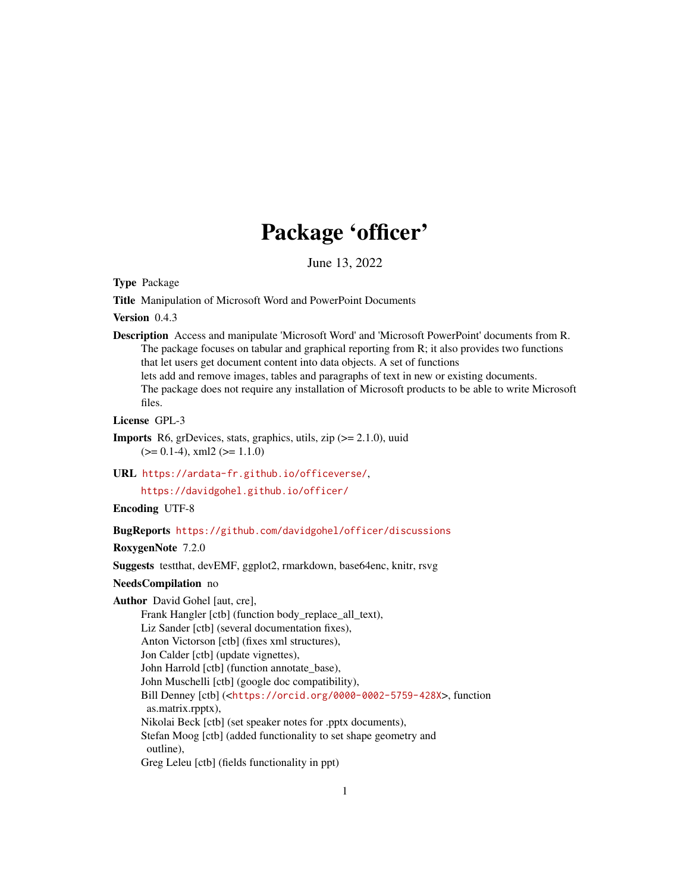# Package 'officer'

June 13, 2022

<span id="page-0-0"></span>Type Package

Title Manipulation of Microsoft Word and PowerPoint Documents

Version 0.4.3

Description Access and manipulate 'Microsoft Word' and 'Microsoft PowerPoint' documents from R. The package focuses on tabular and graphical reporting from R; it also provides two functions that let users get document content into data objects. A set of functions lets add and remove images, tables and paragraphs of text in new or existing documents. The package does not require any installation of Microsoft products to be able to write Microsoft files.

License GPL-3

**Imports** R6, grDevices, stats, graphics, utils, zip  $(>= 2.1.0)$ , uuid  $(>= 0.1-4)$ , xml2  $(>= 1.1.0)$ 

URL <https://ardata-fr.github.io/officeverse/>,

<https://davidgohel.github.io/officer/>

Encoding UTF-8

BugReports <https://github.com/davidgohel/officer/discussions>

RoxygenNote 7.2.0

Suggests testthat, devEMF, ggplot2, rmarkdown, base64enc, knitr, rsvg

# NeedsCompilation no

Author David Gohel [aut, cre],

Frank Hangler [ctb] (function body\_replace\_all\_text), Liz Sander [ctb] (several documentation fixes), Anton Victorson [ctb] (fixes xml structures), Jon Calder [ctb] (update vignettes), John Harrold [ctb] (function annotate\_base), John Muschelli [ctb] (google doc compatibility), Bill Denney [ctb] (<<https://orcid.org/0000-0002-5759-428X>>, function as.matrix.rpptx), Nikolai Beck [ctb] (set speaker notes for .pptx documents), Stefan Moog [ctb] (added functionality to set shape geometry and outline), Greg Leleu [ctb] (fields functionality in ppt)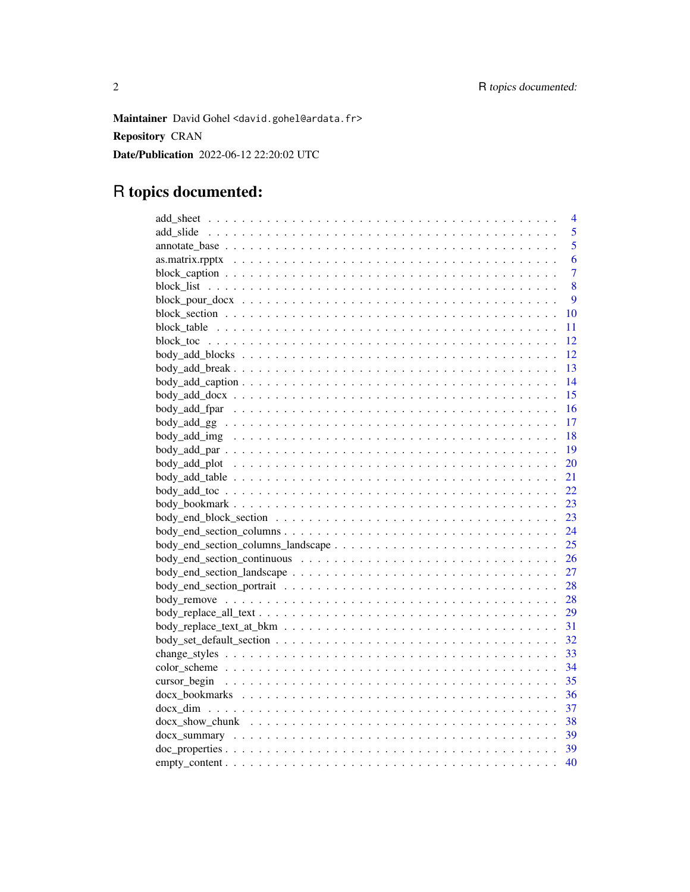Maintainer David Gohel <david.gohel@ardata.fr> Repository CRAN Date/Publication 2022-06-12 22:20:02 UTC

# R topics documented:

| $\overline{4}$                                                                                                     |
|--------------------------------------------------------------------------------------------------------------------|
| 5                                                                                                                  |
| 5                                                                                                                  |
| 6                                                                                                                  |
| $\overline{7}$                                                                                                     |
| 8                                                                                                                  |
| 9                                                                                                                  |
| 10                                                                                                                 |
| 11                                                                                                                 |
| 12                                                                                                                 |
| 12                                                                                                                 |
| 13                                                                                                                 |
| 14<br>$body\_add\_caption$                                                                                         |
| 15                                                                                                                 |
| 16                                                                                                                 |
| 17                                                                                                                 |
| 18                                                                                                                 |
| 19                                                                                                                 |
| 20                                                                                                                 |
| 21                                                                                                                 |
| 22                                                                                                                 |
| 23                                                                                                                 |
| 23                                                                                                                 |
| 24                                                                                                                 |
| 25                                                                                                                 |
| 26                                                                                                                 |
| 27                                                                                                                 |
| 28                                                                                                                 |
| 28                                                                                                                 |
| 29                                                                                                                 |
| 31                                                                                                                 |
| 32                                                                                                                 |
|                                                                                                                    |
| 33                                                                                                                 |
| 34                                                                                                                 |
| 35                                                                                                                 |
| 36                                                                                                                 |
| 37                                                                                                                 |
| 38<br>docx show chunk $\ldots \ldots \ldots \ldots \ldots \ldots \ldots \ldots \ldots \ldots \ldots \ldots \ldots$ |
| 39                                                                                                                 |
| 39                                                                                                                 |
| 40                                                                                                                 |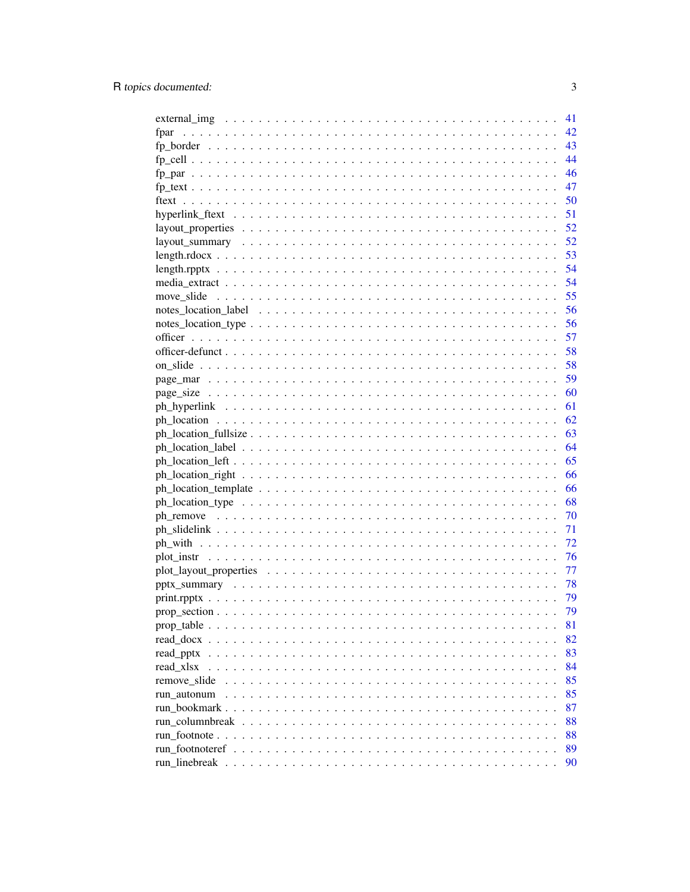|                 | 41 |
|-----------------|----|
| fpar            | 42 |
|                 | 43 |
|                 | 44 |
|                 | 46 |
|                 | 47 |
| ftext           | 50 |
|                 | 51 |
|                 | 52 |
|                 |    |
|                 |    |
|                 |    |
|                 | 54 |
|                 | 55 |
|                 | 56 |
|                 | 56 |
|                 | 57 |
|                 | 58 |
|                 | 58 |
|                 | 59 |
|                 | 60 |
|                 | 61 |
|                 | 62 |
|                 | 63 |
|                 | 64 |
|                 | 65 |
|                 | 66 |
|                 | 66 |
|                 | 68 |
|                 | 70 |
|                 | 71 |
|                 | 72 |
|                 | 76 |
|                 | 77 |
|                 | 78 |
|                 | 79 |
|                 | 79 |
|                 | 81 |
| read docx       | 82 |
| read pptx       | 83 |
| read xlsx       | 84 |
| remove slide    | 85 |
| run autonum     | 85 |
|                 | 87 |
|                 | 88 |
| run footnote    | 88 |
| run_footnoteref | 89 |
| run linebreak   | 90 |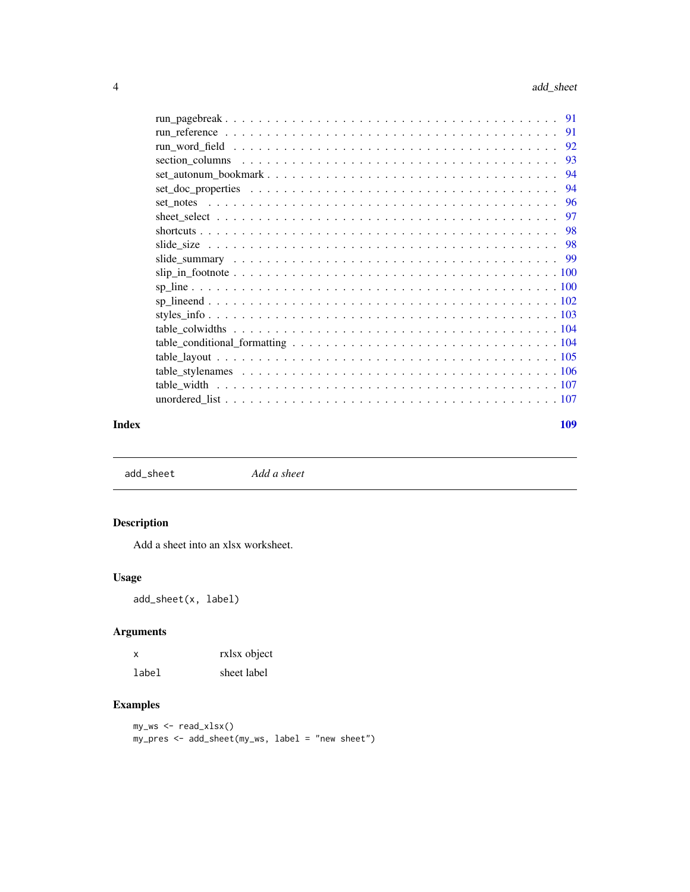<span id="page-3-0"></span>

| 91  |
|-----|
| 92  |
| -93 |
| 94  |
| 94  |
|     |
|     |
|     |
|     |
|     |
|     |
|     |
|     |
|     |
|     |
|     |
|     |
|     |
|     |
|     |
|     |

#### **Index** the contract of the contract of the contract of the contract of the contract of the contract of the contract of the contract of the contract of the contract of the contract of the contract of the contract of the co

add\_sheet *Add a sheet*

# Description

Add a sheet into an xlsx worksheet.

# Usage

add\_sheet(x, label)

# Arguments

| X     | rxlsx object |
|-------|--------------|
| label | sheet label  |

# Examples

my\_ws <- read\_xlsx() my\_pres <- add\_sheet(my\_ws, label = "new sheet")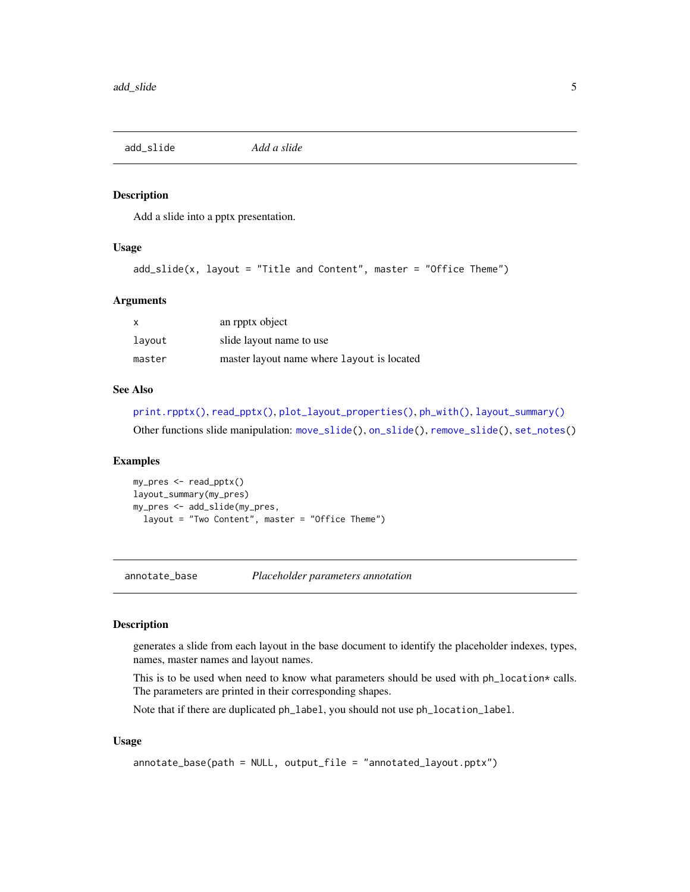<span id="page-4-0"></span>

Add a slide into a pptx presentation.

# Usage

```
add\_slide(x, layout = "Title and Content", master = "Office Them")
```
#### Arguments

| $\boldsymbol{\mathsf{x}}$ | an rpptx object                            |
|---------------------------|--------------------------------------------|
| layout                    | slide layout name to use                   |
| master                    | master layout name where layout is located |

# See Also

```
print.rpptx(), read_pptx(), plot_layout_properties(), ph_with(), layout_summary()
Other functions slide manipulation: move_slide(), on_slide(), remove_slide(), set_notes()
```
#### Examples

```
my_pres <- read_pptx()
layout_summary(my_pres)
my_pres <- add_slide(my_pres,
  layout = "Two Content", master = "Office Theme")
```
<span id="page-4-1"></span>annotate\_base *Placeholder parameters annotation*

# Description

generates a slide from each layout in the base document to identify the placeholder indexes, types, names, master names and layout names.

This is to be used when need to know what parameters should be used with ph\_location\* calls. The parameters are printed in their corresponding shapes.

Note that if there are duplicated ph\_label, you should not use ph\_location\_label.

# Usage

```
annotate_base(path = NULL, output_file = "annotated_layout.pptx")
```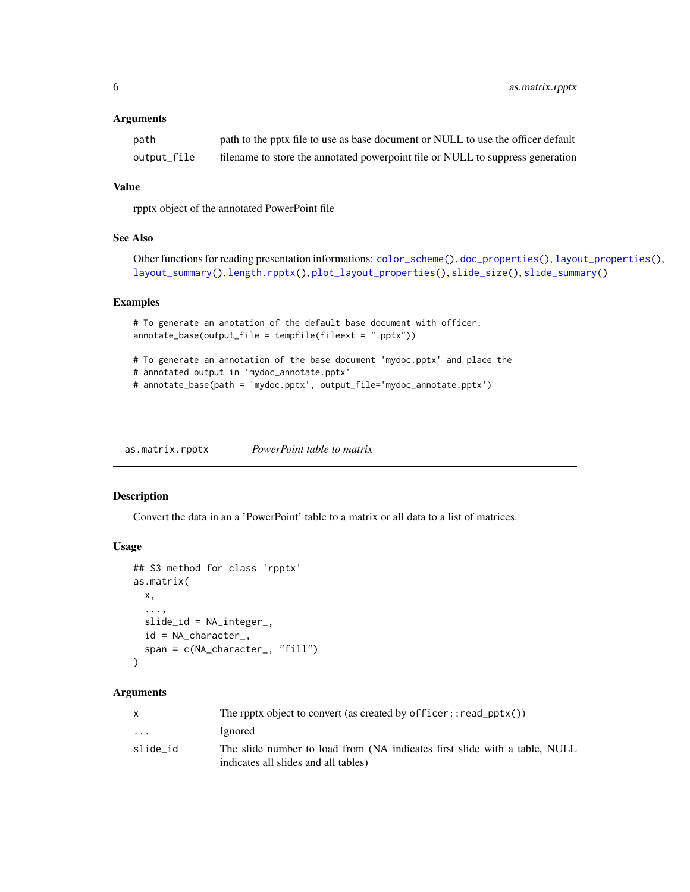<span id="page-5-0"></span>6 as.matrix.rpptx

# Arguments

| path        | path to the pptx file to use as base document or NULL to use the officer default |
|-------------|----------------------------------------------------------------------------------|
| output_file | filename to store the annotated powerpoint file or NULL to suppress generation   |

# Value

rpptx object of the annotated PowerPoint file

#### See Also

```
Other functions for reading presentation informations: color_scheme(), doc_properties(), layout_properties(),
layout_summary(), length.rpptx(), plot_layout_properties(), slide_size(), slide_summary()
```
#### Examples

```
# To generate an anotation of the default base document with officer:
annotate_base(output_file = tempfile(fileext = ".pptx"))
# To generate an annotation of the base document 'mydoc.pptx' and place the
# annotated output in 'mydoc_annotate.pptx'
# annotate_base(path = 'mydoc.pptx', output_file='mydoc_annotate.pptx')
```
as.matrix.rpptx *PowerPoint table to matrix*

# Description

Convert the data in an a 'PowerPoint' table to a matrix or all data to a list of matrices.

# Usage

```
## S3 method for class 'rpptx'
as.matrix(
 x,
  ...,
 slide_id = NA_integer_,
 id = NA_character_,
 span = c(NA_character_, "fill")
)
```
# Arguments

|                         | The rpptx object to convert (as created by officer:: $read_{\text{pptx}}()$ )                                      |
|-------------------------|--------------------------------------------------------------------------------------------------------------------|
| $\cdot$ $\cdot$ $\cdot$ | Ignored                                                                                                            |
| slide id                | The slide number to load from (NA indicates first slide with a table, NULL<br>indicates all slides and all tables) |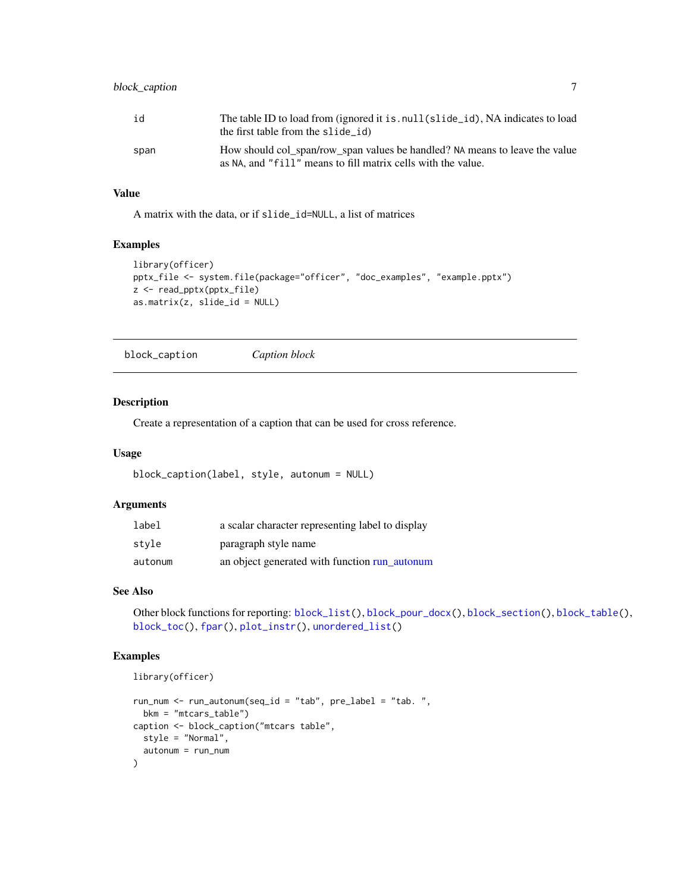# <span id="page-6-0"></span>block\_caption 7

| id   | The table ID to load from (ignored it is, null(slide id), NA indicates to load<br>the first table from the slide id)                        |
|------|---------------------------------------------------------------------------------------------------------------------------------------------|
| span | How should col_span/row_span values be handled? NA means to leave the value<br>as NA, and "fill" means to fill matrix cells with the value. |

# Value

A matrix with the data, or if slide\_id=NULL, a list of matrices

# Examples

```
library(officer)
pptx_file <- system.file(package="officer", "doc_examples", "example.pptx")
z <- read_pptx(pptx_file)
as.matrix(z, slide_id = NULL)
```
<span id="page-6-1"></span>block\_caption *Caption block*

# Description

Create a representation of a caption that can be used for cross reference.

# Usage

```
block_caption(label, style, autonum = NULL)
```
# Arguments

| label   | a scalar character representing label to display |
|---------|--------------------------------------------------|
| style   | paragraph style name                             |
| autonum | an object generated with function run_autonum    |

# See Also

Other block functions for reporting: [block\\_list\(](#page-7-1)), [block\\_pour\\_docx\(](#page-8-1)), [block\\_section\(](#page-9-1)), [block\\_table\(](#page-10-1)), [block\\_toc\(](#page-11-1)), [fpar\(](#page-41-1)), [plot\\_instr\(](#page-75-1)), [unordered\\_list\(](#page-106-1))

```
library(officer)
```

```
run_num <- run_autonum(seq_id = "tab", pre_label = "tab. ",
  bkm = "mtcars_table")
caption <- block_caption("mtcars table",
  style = "Normal",
  autonum = run_num
)
```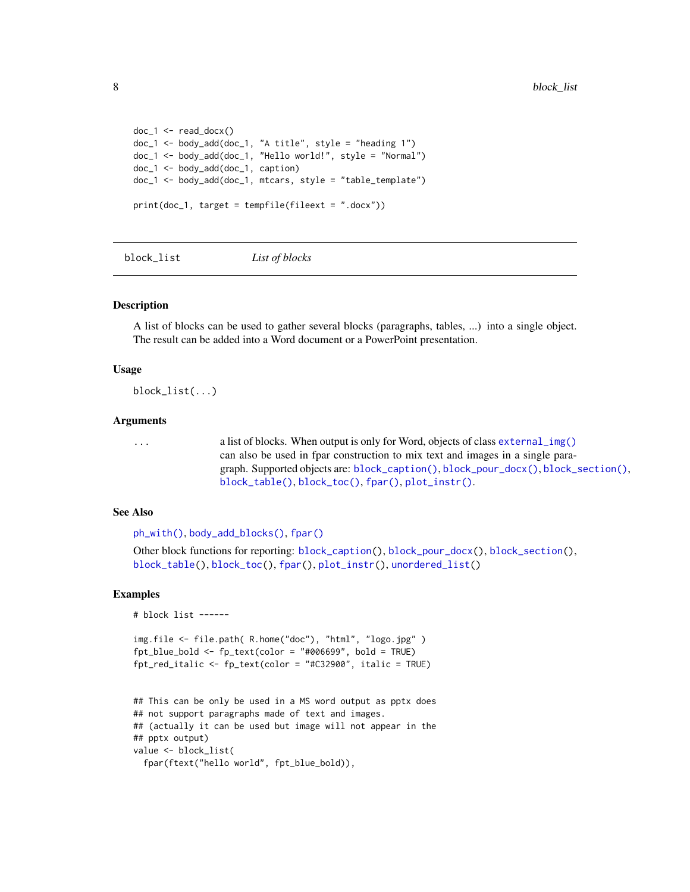```
doc_1 < - read_docx()
doc_1 <- body_add(doc_1, "A title", style = "heading 1")
doc_1 <- body_add(doc_1, "Hello world!", style = "Normal")
doc_1 <- body_add(doc_1, caption)
doc_1 <- body_add(doc_1, mtcars, style = "table_template")
print(doc_1, target = tempfile(fileext = ".docx"))
```
<span id="page-7-1"></span>block\_list *List of blocks*

#### Description

A list of blocks can be used to gather several blocks (paragraphs, tables, ...) into a single object. The result can be added into a Word document or a PowerPoint presentation.

#### Usage

block\_list(...)

# Arguments

... a list of blocks. When output is only for Word, objects of class [external\\_img\(\)](#page-40-1) can also be used in fpar construction to mix text and images in a single paragraph. Supported objects are: [block\\_caption\(\)](#page-6-1), [block\\_pour\\_docx\(\)](#page-8-1), [block\\_section\(\)](#page-9-1), [block\\_table\(\)](#page-10-1), [block\\_toc\(\)](#page-11-1), [fpar\(\)](#page-41-1), [plot\\_instr\(\)](#page-75-1).

#### See Also

```
ph_with(), body_add_blocks(), fpar()
```
Other block functions for reporting: [block\\_caption\(](#page-6-1)), [block\\_pour\\_docx\(](#page-8-1)), [block\\_section\(](#page-9-1)), [block\\_table\(](#page-10-1)), [block\\_toc\(](#page-11-1)), [fpar\(](#page-41-1)), [plot\\_instr\(](#page-75-1)), [unordered\\_list\(](#page-106-1))

```
# block list ------
```

```
img.file <- file.path( R.home("doc"), "html", "logo.jpg" )
ft\_blue\_bold \leftarrow fp\_text(color = "#006699", bold = TRUE)fpt_red_italic <- fp_text(color = "#C32900", italic = TRUE)
```

```
## This can be only be used in a MS word output as pptx does
## not support paragraphs made of text and images.
## (actually it can be used but image will not appear in the
## pptx output)
value <- block_list(
 fpar(ftext("hello world", fpt_blue_bold)),
```
<span id="page-7-0"></span>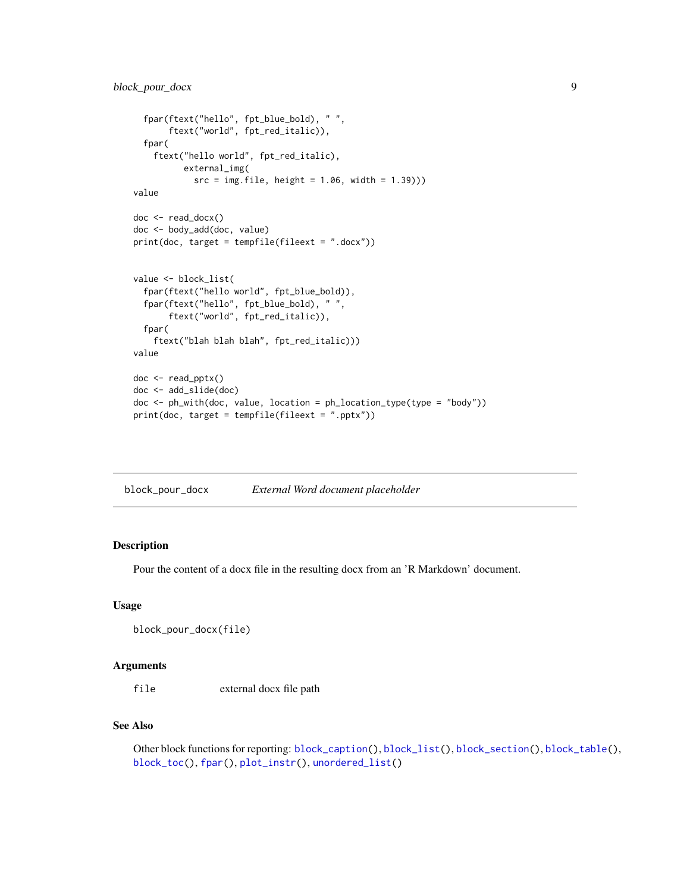```
fpar(ftext("hello", fpt_blue_bold), " ",
       ftext("world", fpt_red_italic)),
  fpar(
    ftext("hello world", fpt_red_italic),
         external_img(
            src = img.file, height = 1.06, width = 1.39))value
doc <- read_docx()
doc <- body_add(doc, value)
print(doc, target = tempfile(fileext = ".docx"))
value <- block_list(
  fpar(ftext("hello world", fpt_blue_bold)),
  fpar(ftext("hello", fpt_blue_bold), " ",
       ftext("world", fpt_red_italic)),
  fpar(
    ftext("blah blah blah", fpt_red_italic)))
value
doc <- read_pptx()
doc <- add_slide(doc)
doc <- ph_with(doc, value, location = ph_location_type(type = "body"))
print(doc, target = tempfile(fileext = ".pptx"))
```
<span id="page-8-1"></span>

| block_pour_docx | External Word document placeholder |  |
|-----------------|------------------------------------|--|
|-----------------|------------------------------------|--|

Pour the content of a docx file in the resulting docx from an 'R Markdown' document.

# Usage

```
block_pour_docx(file)
```
#### Arguments

file external docx file path

### See Also

Other block functions for reporting: [block\\_caption\(](#page-6-1)), [block\\_list\(](#page-7-1)), [block\\_section\(](#page-9-1)), [block\\_table\(](#page-10-1)), [block\\_toc\(](#page-11-1)), [fpar\(](#page-41-1)), [plot\\_instr\(](#page-75-1)), [unordered\\_list\(](#page-106-1))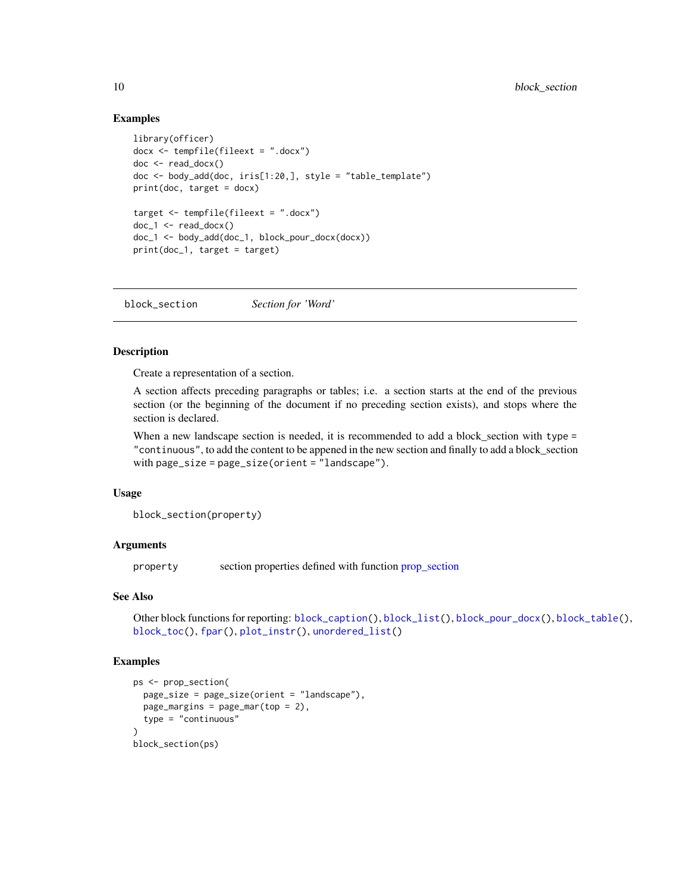# Examples

```
library(officer)
docx <- tempfile(fileext = ".docx")
doc < - read\_docx()doc <- body_add(doc, iris[1:20,], style = "table_template")
print(doc, target = docx)
target <- tempfile(fileext = ".docx")
doc_1 < - read_docx()
doc_1 <- body_add(doc_1, block_pour_docx(docx))
print(doc_1, target = target)
```
<span id="page-9-1"></span>block\_section *Section for 'Word'*

# **Description**

Create a representation of a section.

A section affects preceding paragraphs or tables; i.e. a section starts at the end of the previous section (or the beginning of the document if no preceding section exists), and stops where the section is declared.

When a new landscape section is needed, it is recommended to add a block\_section with type = "continuous", to add the content to be appened in the new section and finally to add a block\_section with page\_size = page\_size(orient = "landscape").

#### Usage

block\_section(property)

# Arguments

property section properties defined with function [prop\\_section](#page-78-2)

#### See Also

Other block functions for reporting: [block\\_caption\(](#page-6-1)), [block\\_list\(](#page-7-1)), [block\\_pour\\_docx\(](#page-8-1)), [block\\_table\(](#page-10-1)), [block\\_toc\(](#page-11-1)), [fpar\(](#page-41-1)), [plot\\_instr\(](#page-75-1)), [unordered\\_list\(](#page-106-1))

```
ps <- prop_section(
  page_size = page_size(orient = "landscape"),
  page_margins = page_mar(top = 2),
  type = "continuous"
)
block_section(ps)
```
<span id="page-9-0"></span>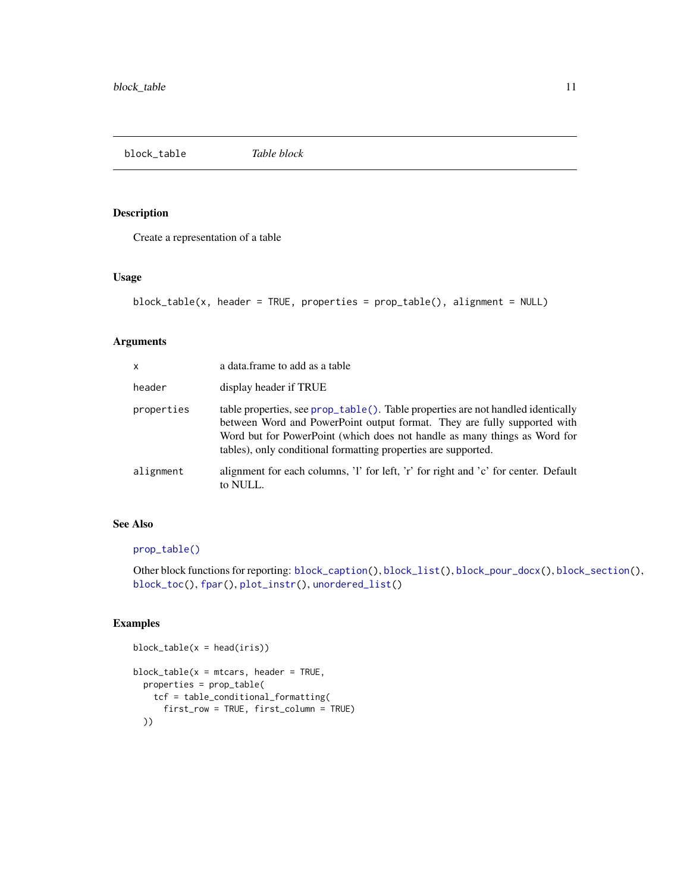<span id="page-10-1"></span><span id="page-10-0"></span>block\_table *Table block*

# Description

Create a representation of a table

# Usage

```
block_table(x, header = TRUE, properties = prop_table(), alignment = NULL)
```
# Arguments

| x          | a data. frame to add as a table                                                                                                                                                                                                                                                                             |
|------------|-------------------------------------------------------------------------------------------------------------------------------------------------------------------------------------------------------------------------------------------------------------------------------------------------------------|
| header     | display header if TRUE                                                                                                                                                                                                                                                                                      |
| properties | table properties, see prop_table(). Table properties are not handled identically<br>between Word and PowerPoint output format. They are fully supported with<br>Word but for PowerPoint (which does not handle as many things as Word for<br>tables), only conditional formatting properties are supported. |
| alignment  | alignment for each columns, 'l' for left, 'r' for right and 'c' for center. Default<br>to NULL.                                                                                                                                                                                                             |

# See Also

# [prop\\_table\(\)](#page-80-1)

Other block functions for reporting: [block\\_caption\(](#page-6-1)), [block\\_list\(](#page-7-1)), [block\\_pour\\_docx\(](#page-8-1)), [block\\_section\(](#page-9-1)), [block\\_toc\(](#page-11-1)), [fpar\(](#page-41-1)), [plot\\_instr\(](#page-75-1)), [unordered\\_list\(](#page-106-1))

```
block\_table(x = head(iris))block\_table(x = mtrans, header = TRUE,properties = prop_table(
   tcf = table_conditional_formatting(
      first_row = TRUE, first_column = TRUE)
  ))
```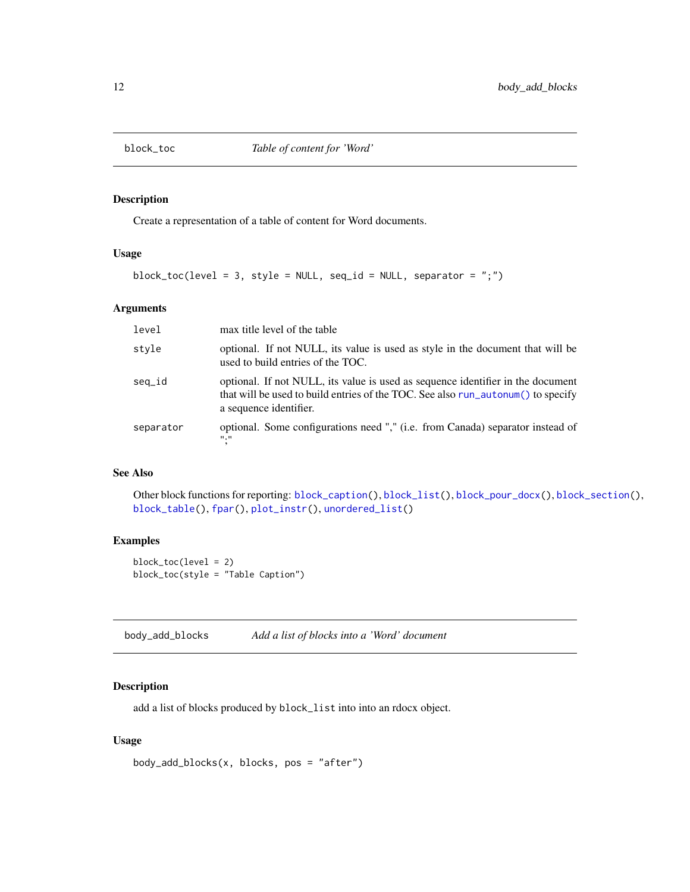<span id="page-11-1"></span><span id="page-11-0"></span>

Create a representation of a table of content for Word documents.

# Usage

block\_toc(level = 3, style = NULL, seq\_id = NULL, separator = ";")

#### Arguments

| level     | max title level of the table                                                                                                                                                                  |
|-----------|-----------------------------------------------------------------------------------------------------------------------------------------------------------------------------------------------|
| style     | optional. If not NULL, its value is used as style in the document that will be<br>used to build entries of the TOC.                                                                           |
| seq_id    | optional. If not NULL, its value is used as sequence identifier in the document<br>that will be used to build entries of the TOC. See also run_autonum() to specify<br>a sequence identifier. |
| separator | optional. Some configurations need "," (i.e. from Canada) separator instead of<br>"."                                                                                                         |

# See Also

Other block functions for reporting: [block\\_caption\(](#page-6-1)), [block\\_list\(](#page-7-1)), [block\\_pour\\_docx\(](#page-8-1)), [block\\_section\(](#page-9-1)), [block\\_table\(](#page-10-1)), [fpar\(](#page-41-1)), [plot\\_instr\(](#page-75-1)), [unordered\\_list\(](#page-106-1))

# Examples

block\_toc(level = 2) block\_toc(style = "Table Caption")

<span id="page-11-2"></span>body\_add\_blocks *Add a list of blocks into a 'Word' document*

# Description

add a list of blocks produced by block\_list into into an rdocx object.

# Usage

```
body_add_blocks(x, blocks, pos = "after")
```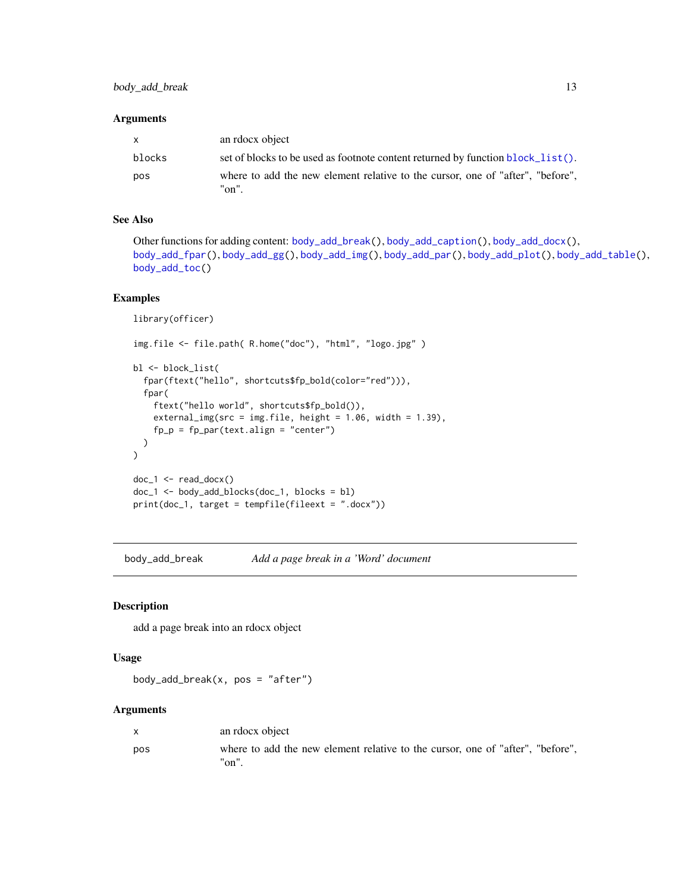# <span id="page-12-0"></span>Arguments

| $\mathsf{X}$ | an rdocx object                                                                            |
|--------------|--------------------------------------------------------------------------------------------|
| blocks       | set of blocks to be used as footnote content returned by function block_list().            |
| pos          | where to add the new element relative to the cursor, one of "after", "before",<br>$"on"$ . |

# See Also

```
Other functions for adding content: body_add_break(), body_add_caption(), body_add_docx(),
body_add_fpar(), body_add_gg(), body_add_img(), body_add_par(), body_add_plot(), body_add_table(),
body_add_toc()
```
# Examples

```
library(officer)
img.file <- file.path( R.home("doc"), "html", "logo.jpg" )
bl <- block_list(
  fpar(ftext("hello", shortcuts$fp_bold(color="red"))),
  fpar(
    ftext("hello world", shortcuts$fp_bold()),
   external_img(src = img.file, height = 1.06, width = 1.39),
   fp_p = fp_par(text.align = "center")
 )
)
doc_1 < - read_docx()
doc_1 <- body_add_blocks(doc_1, blocks = bl)
print(doc_1, target = tempfile(fileext = ".docx"))
```
<span id="page-12-1"></span>body\_add\_break *Add a page break in a 'Word' document*

# Description

add a page break into an rdocx object

#### Usage

```
body_add_break(x, pos = "after")
```
#### Arguments

| $\mathsf{x}$ | an rdocx object                                                                         |
|--------------|-----------------------------------------------------------------------------------------|
| pos          | where to add the new element relative to the cursor, one of "after", "before",<br>"on". |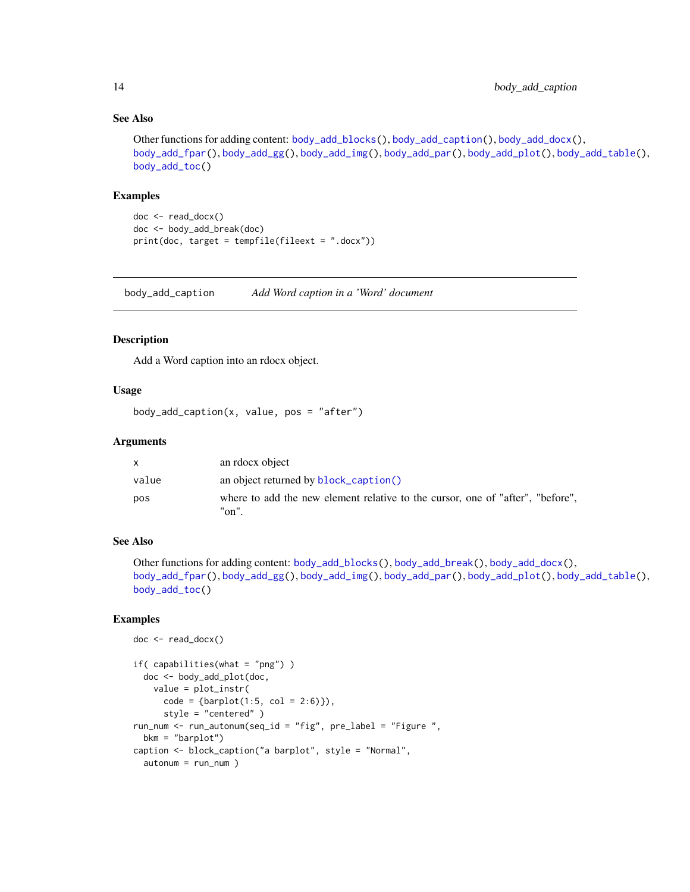# See Also

```
Other functions for adding content: body_add_blocks(), body_add_caption(), body_add_docx(),
body_add_fpar(), body_add_gg(), body_add_img(), body_add_par(), body_add_plot(), body_add_table(),
body_add_toc()
```
#### Examples

```
doc <- read_docx()
doc <- body_add_break(doc)
print(doc, target = tempfile(fileext = ".docx"))
```
<span id="page-13-1"></span>body\_add\_caption *Add Word caption in a 'Word' document*

# Description

Add a Word caption into an rdocx object.

# Usage

```
body\_add\_caption(x, value, pos = "after")
```
#### Arguments

|       | an rdocx object                                                                         |
|-------|-----------------------------------------------------------------------------------------|
| value | an object returned by <b>block_caption()</b>                                            |
| pos   | where to add the new element relative to the cursor, one of "after", "before",<br>"on". |

#### See Also

```
Other functions for adding content: body_add_blocks(), body_add_break(), body_add_docx(),
body_add_fpar(), body_add_gg(), body_add_img(), body_add_par(), body_add_plot(), body_add_table(),
body_add_toc()
```

```
doc <- read_docx()
```

```
if( capabilities(what = "png") )
  doc <- body_add_plot(doc,
   value = plot_instr(
      code = {barplot(1:5, col = 2:6)},
      style = "centered" )
run_num <- run_autonum(seq_id = "fig", pre_label = "Figure ",
  bkm = "barplot")
caption <- block_caption("a barplot", style = "Normal",
  autonum = run_num )
```
<span id="page-13-0"></span>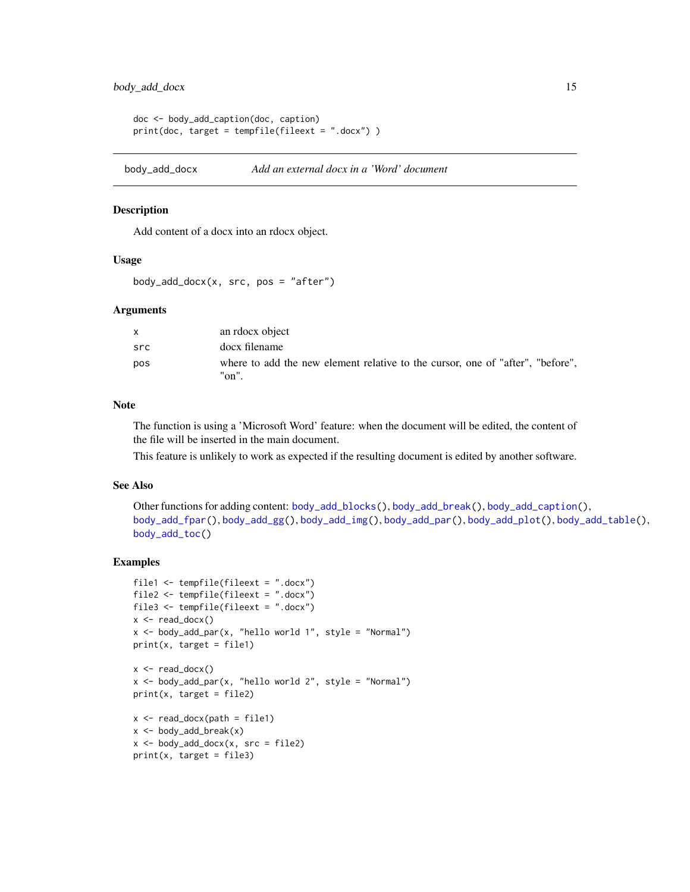```
doc <- body_add_caption(doc, caption)
print(doc, target = tempfile(fileext = ".docx") )
```
<span id="page-14-1"></span>body\_add\_docx *Add an external docx in a 'Word' document*

# Description

Add content of a docx into an rdocx object.

# Usage

 $body\_add\_docx(x, src, pos = "after")$ 

#### Arguments

| X   | an rdocx object                                                                            |
|-----|--------------------------------------------------------------------------------------------|
| src | docx filename                                                                              |
| pos | where to add the new element relative to the cursor, one of "after", "before",<br>$"on"$ . |

#### Note

The function is using a 'Microsoft Word' feature: when the document will be edited, the content of the file will be inserted in the main document.

This feature is unlikely to work as expected if the resulting document is edited by another software.

# See Also

```
Other functions for adding content: body_add_blocks(), body_add_break(), body_add_caption(),
body_add_fpar(), body_add_gg(), body_add_img(), body_add_par(), body_add_plot(), body_add_table(),
body_add_toc()
```

```
file1 <- tempfile(fileext = ".docx")
file2 <- tempfile(fileext = ".docx")
file3 <- tempfile(fileext = ".docx")
x <- read_docx()
x <- body_add_par(x, "hello world 1", style = "Normal")
print(x, target = file1)
x \leftarrow \text{read\_docx}()x \le -\text{body\_add\_par}(x, \text{ "hello world } 2", \text{ style = "Normal"})print(x, target = file2)
x \leftarrow \text{read\_docx(path = file1)}x \leftarrow body\_add\_break(x)x \le - body_add_docx(x, src = file2)
print(x, target = file3)
```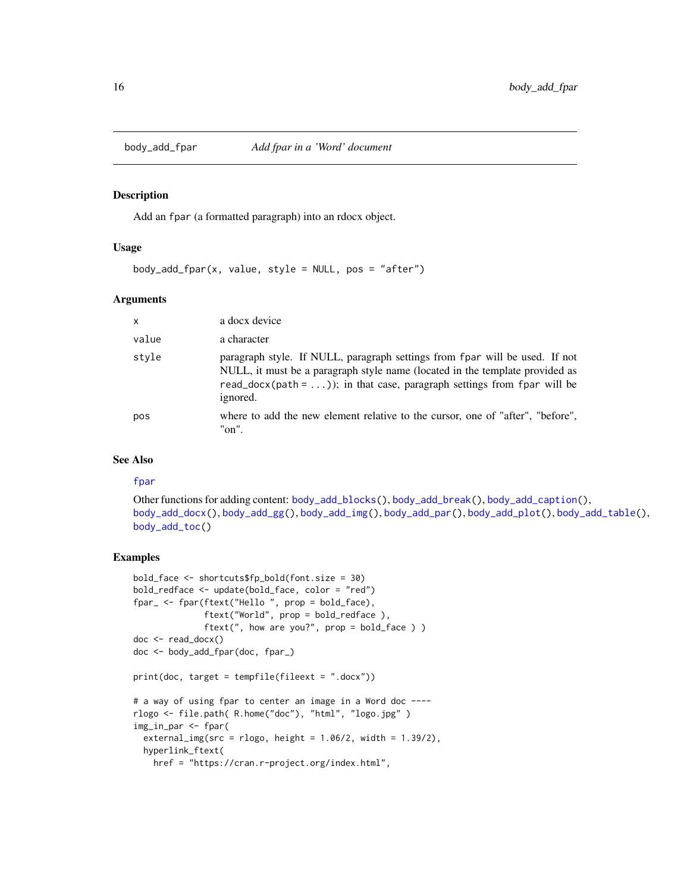<span id="page-15-1"></span><span id="page-15-0"></span>

Add an fpar (a formatted paragraph) into an rdocx object.

# Usage

```
body\_add\_fpar(x, value, style = NULL, pos = "after")
```
#### Arguments

| $\boldsymbol{\mathsf{x}}$ | a docx device                                                                                                                                                                                                                                      |
|---------------------------|----------------------------------------------------------------------------------------------------------------------------------------------------------------------------------------------------------------------------------------------------|
| value                     | a character                                                                                                                                                                                                                                        |
| style                     | paragraph style. If NULL, paragraph settings from fpar will be used. If not<br>NULL, it must be a paragraph style name (located in the template provided as<br>read_docx(path = )); in that case, paragraph settings from fpar will be<br>ignored. |
| pos                       | where to add the new element relative to the cursor, one of "after", "before",<br>"on".                                                                                                                                                            |

# See Also

#### [fpar](#page-41-1)

Other functions for adding content: [body\\_add\\_blocks\(](#page-11-2)), [body\\_add\\_break\(](#page-12-1)), [body\\_add\\_caption\(](#page-13-1)), [body\\_add\\_docx\(](#page-14-1)), [body\\_add\\_gg\(](#page-16-1)), [body\\_add\\_img\(](#page-17-1)), [body\\_add\\_par\(](#page-18-1)), [body\\_add\\_plot\(](#page-19-1)), [body\\_add\\_table\(](#page-20-1)), [body\\_add\\_toc\(](#page-21-1))

```
bold_face <- shortcuts$fp_bold(font.size = 30)
bold_redface <- update(bold_face, color = "red")
fpar_ <- fpar(ftext("Hello ", prop = bold_face),
              ftext("World", prop = bold_redface ),
              ftext(", how are you?", prop = bold_face ) )
doc <- read_docx()
doc <- body_add_fpar(doc, fpar_)
print(doc, target = tempfile(fileext = ".docx"))
# a way of using fpar to center an image in a Word doc ----
rlogo <- file.path( R.home("doc"), "html", "logo.jpg" )
img_in_par <- fpar(
  external\_img(src = rlogo, height = 1.06/2, width = 1.39/2),hyperlink_ftext(
   href = "https://cran.r-project.org/index.html",
```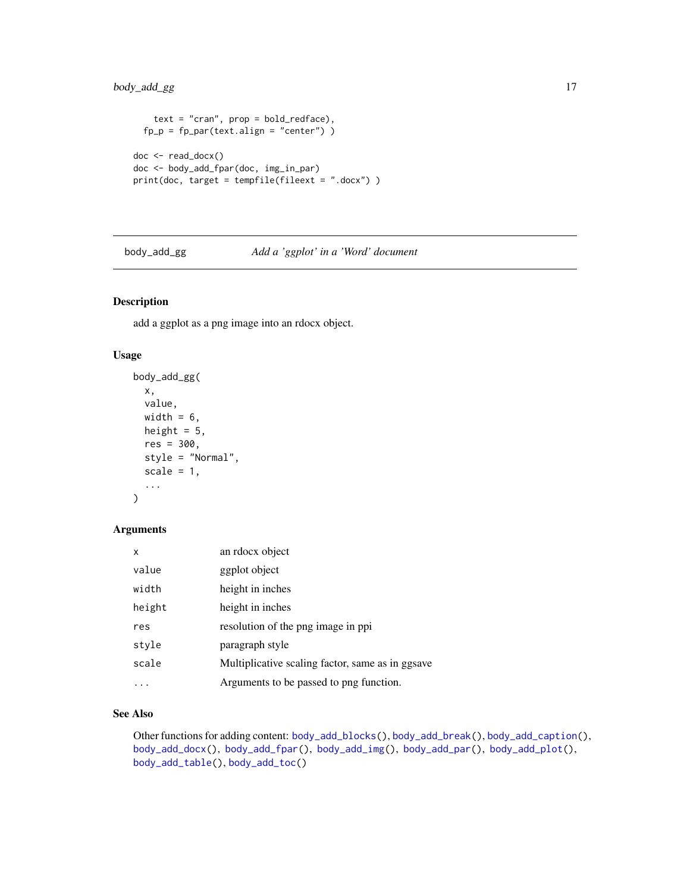# <span id="page-16-0"></span>body\_add\_gg 17

```
text = "cran", prop = bold_redface),fp_p = fp_par(text.align = "center"))
doc <- read_docx()
doc <- body_add_fpar(doc, img_in_par)
print(doc, target = tempfile(fileext = ".docx") )
```
<span id="page-16-1"></span>

#### body\_add\_gg *Add a 'ggplot' in a 'Word' document*

# Description

add a ggplot as a png image into an rdocx object.

# Usage

```
body_add_gg(
  x,
  value,
  width = 6,
  height = 5,
  res = 300,
  style = "Normal",
  scale = 1,
  ...
\mathcal{L}
```
# Arguments

| x      | an rdocx object                                  |
|--------|--------------------------------------------------|
| value  | ggplot object                                    |
| width  | height in inches                                 |
| height | height in inches                                 |
| res    | resolution of the png image in ppi               |
| style  | paragraph style                                  |
| scale  | Multiplicative scaling factor, same as in ggsave |
|        | Arguments to be passed to png function.          |

# See Also

Other functions for adding content: [body\\_add\\_blocks\(](#page-11-2)), [body\\_add\\_break\(](#page-12-1)), [body\\_add\\_caption\(](#page-13-1)), [body\\_add\\_docx\(](#page-14-1)), [body\\_add\\_fpar\(](#page-15-1)), [body\\_add\\_img\(](#page-17-1)), [body\\_add\\_par\(](#page-18-1)), [body\\_add\\_plot\(](#page-19-1)), [body\\_add\\_table\(](#page-20-1)), [body\\_add\\_toc\(](#page-21-1))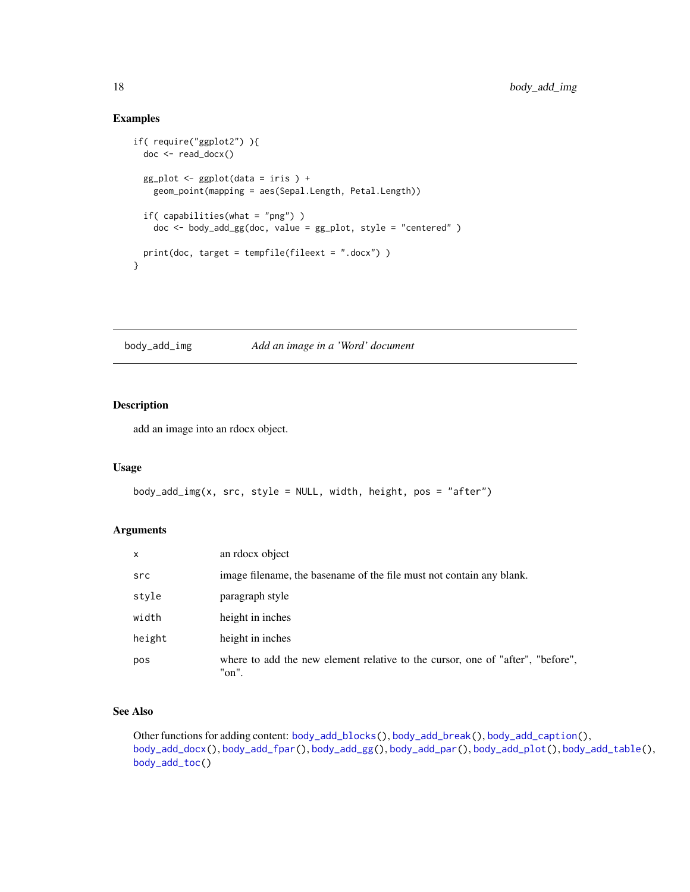# Examples

```
if( require("ggplot2") ){
 doc <- read_docx()
 gg\_plot \leftarrow ggplot(data = iris) +geom_point(mapping = aes(Sepal.Length, Petal.Length))
 if( capabilities(what = "png") )
   doc <- body_add_gg(doc, value = gg_plot, style = "centered" )
 print(doc, target = tempfile(fileext = ".docx") )
}
```
<span id="page-17-1"></span>body\_add\_img *Add an image in a 'Word' document*

# Description

add an image into an rdocx object.

#### Usage

```
body_add_img(x, src, style = NULL, width, height, pos = "after")
```
# Arguments

| $\mathsf{x}$ | an rdocx object                                                                         |
|--------------|-----------------------------------------------------------------------------------------|
| src          | image filename, the basename of the file must not contain any blank.                    |
| style        | paragraph style                                                                         |
| width        | height in inches                                                                        |
| height       | height in inches                                                                        |
| pos          | where to add the new element relative to the cursor, one of "after", "before",<br>"on". |

# See Also

Other functions for adding content: [body\\_add\\_blocks\(](#page-11-2)), [body\\_add\\_break\(](#page-12-1)), [body\\_add\\_caption\(](#page-13-1)), [body\\_add\\_docx\(](#page-14-1)), [body\\_add\\_fpar\(](#page-15-1)), [body\\_add\\_gg\(](#page-16-1)), [body\\_add\\_par\(](#page-18-1)), [body\\_add\\_plot\(](#page-19-1)), [body\\_add\\_table\(](#page-20-1)), [body\\_add\\_toc\(](#page-21-1))

<span id="page-17-0"></span>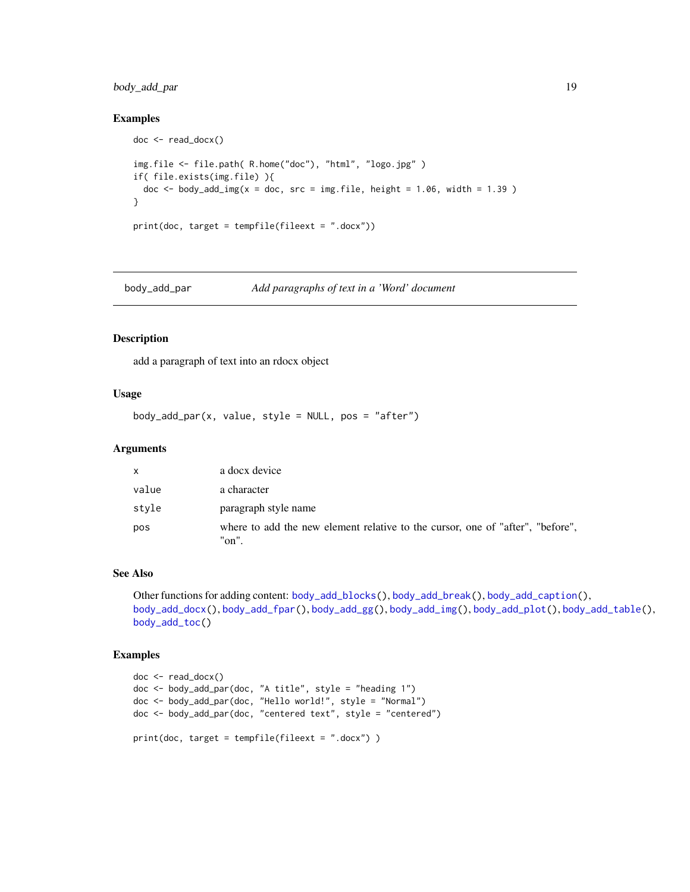# <span id="page-18-0"></span>body\_add\_par 19

# Examples

```
doc <- read_docx()
img.file <- file.path( R.home("doc"), "html", "logo.jpg" )
if( file.exists(img.file) ){
  doc \le body_add_img(x = doc, src = img.file, height = 1.06, width = 1.39)
}
print(doc, target = tempfile(fileext = ".docx"))
```
<span id="page-18-1"></span>body\_add\_par *Add paragraphs of text in a 'Word' document*

#### Description

add a paragraph of text into an rdocx object

# Usage

 $body\_add\_par(x, value, style = NULL, pos = "after")$ 

# Arguments

| $\mathsf{x}$ | a docx device                                                                           |
|--------------|-----------------------------------------------------------------------------------------|
| value        | a character                                                                             |
| style        | paragraph style name                                                                    |
| pos          | where to add the new element relative to the cursor, one of "after", "before",<br>"on". |

# See Also

```
Other functions for adding content: body_add_blocks(), body_add_break(), body_add_caption(),
body_add_docx(), body_add_fpar(), body_add_gg(), body_add_img(), body_add_plot(), body_add_table(),
body_add_toc()
```

```
doc <- read_docx()
doc <- body_add_par(doc, "A title", style = "heading 1")
doc <- body_add_par(doc, "Hello world!", style = "Normal")
doc <- body_add_par(doc, "centered text", style = "centered")
print(doc, target = tempfile(fileext = ".docx") )
```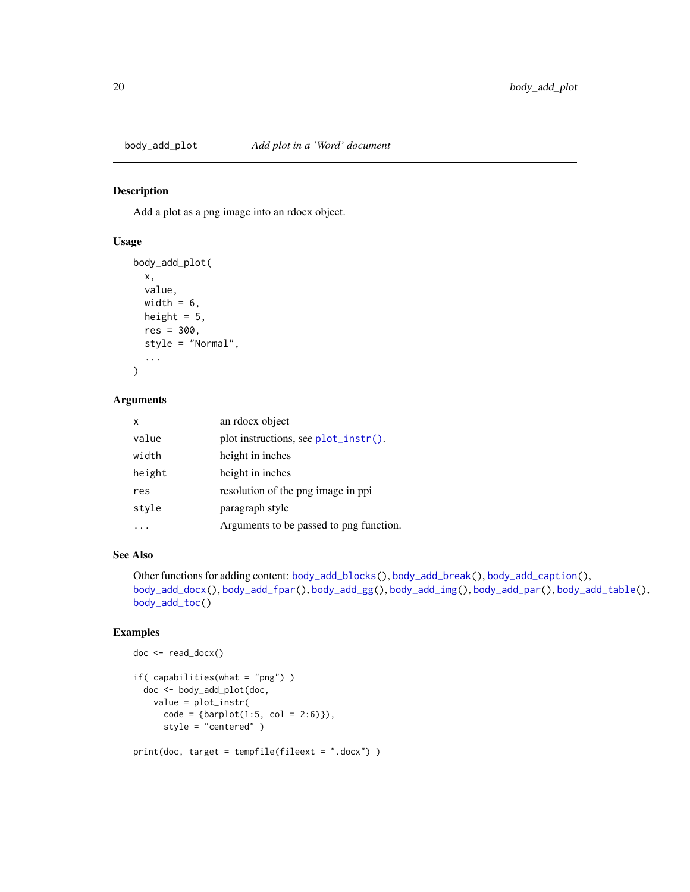<span id="page-19-1"></span><span id="page-19-0"></span>

Add a plot as a png image into an rdocx object.

# Usage

```
body_add_plot(
  x,
  value,
 width = 6,
 height = 5,
 res = 300,style = "Normal",
  ...
)
```
#### Arguments

| x      | an rdocx object                         |
|--------|-----------------------------------------|
| value  | plot instructions, see $plot_instr()$ . |
| width  | height in inches                        |
| height | height in inches                        |
| res    | resolution of the png image in ppi      |
| style  | paragraph style                         |
|        | Arguments to be passed to png function. |

# See Also

Other functions for adding content: [body\\_add\\_blocks\(](#page-11-2)), [body\\_add\\_break\(](#page-12-1)), [body\\_add\\_caption\(](#page-13-1)), [body\\_add\\_docx\(](#page-14-1)), [body\\_add\\_fpar\(](#page-15-1)), [body\\_add\\_gg\(](#page-16-1)), [body\\_add\\_img\(](#page-17-1)), [body\\_add\\_par\(](#page-18-1)), [body\\_add\\_table\(](#page-20-1)), [body\\_add\\_toc\(](#page-21-1))

```
doc <- read_docx()
if( capabilities(what = "png") )
  doc <- body_add_plot(doc,
   value = plot_instr(
      code = {barplot(1:5, col = 2:6)},
      style = "centered" )
print(doc, target = tempfile(fileext = ".docx") )
```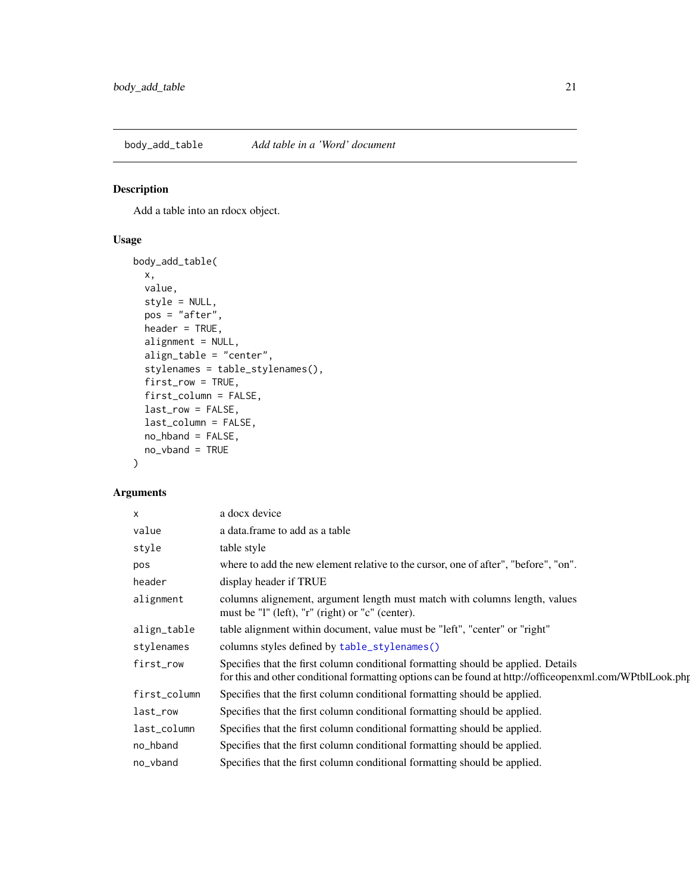<span id="page-20-1"></span><span id="page-20-0"></span>body\_add\_table *Add table in a 'Word' document*

# Description

Add a table into an rdocx object.

# Usage

```
body_add_table(
 x,
 value,
  style = NULL,
 pos = "after",
 header = TRUE,
  alignment = NULL,
  align_table = "center",
  stylenames = table_stylenames(),
  first_row = TRUE,
  first_column = FALSE,
  last_row = FALSE,
  last_column = FALSE,
 no_hband = FALSE,
 no_vband = TRUE
)
```
# Arguments

| $\times$     | a docx device                                                                                                                                                                                 |
|--------------|-----------------------------------------------------------------------------------------------------------------------------------------------------------------------------------------------|
| value        | a data.frame to add as a table                                                                                                                                                                |
| style        | table style                                                                                                                                                                                   |
| pos          | where to add the new element relative to the cursor, one of after", "before", "on".                                                                                                           |
| header       | display header if TRUE                                                                                                                                                                        |
| alignment    | columns alignement, argument length must match with columns length, values<br>must be "l" (left), "r" (right) or "c" (center).                                                                |
| align_table  | table alignment within document, value must be "left", "center" or "right"                                                                                                                    |
| stylenames   | columns styles defined by table_stylenames()                                                                                                                                                  |
| first_row    | Specifies that the first column conditional formatting should be applied. Details<br>for this and other conditional formatting options can be found at http://officeopenxml.com/WPtblLook.php |
| first_column | Specifies that the first column conditional formatting should be applied.                                                                                                                     |
| last_row     | Specifies that the first column conditional formatting should be applied.                                                                                                                     |
| last_column  | Specifies that the first column conditional formatting should be applied.                                                                                                                     |
| no_hband     | Specifies that the first column conditional formatting should be applied.                                                                                                                     |
| no_vband     | Specifies that the first column conditional formatting should be applied.                                                                                                                     |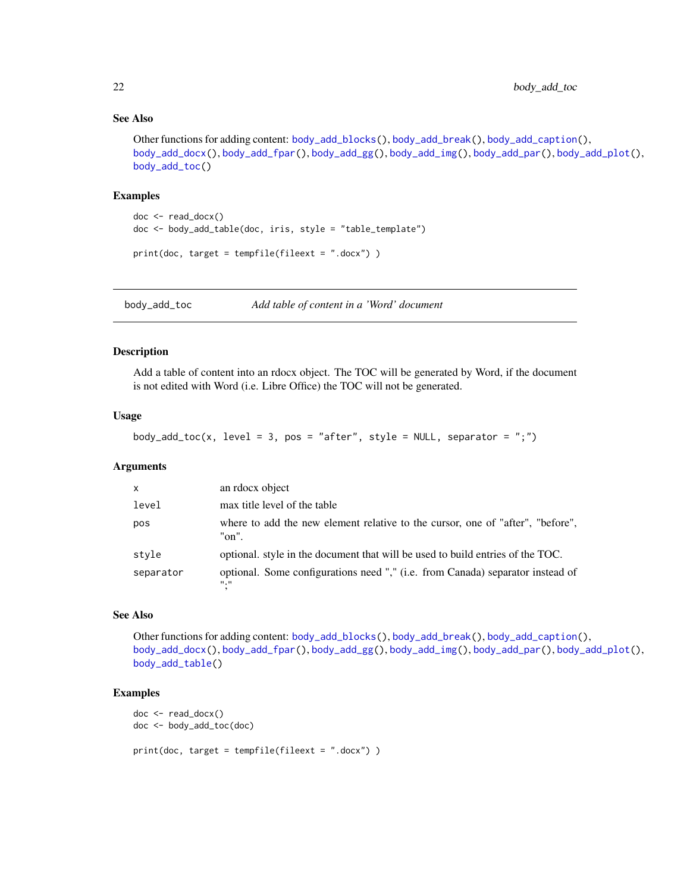# See Also

```
Other functions for adding content: body_add_blocks(), body_add_break(), body_add_caption(),
body_add_docx(), body_add_fpar(), body_add_gg(), body_add_img(), body_add_par(), body_add_plot(),
body_add_toc()
```
#### Examples

```
doc <- read_docx()
doc <- body_add_table(doc, iris, style = "table_template")
print(doc, target = tempfile(fileext = ".docx") )
```
<span id="page-21-1"></span>body\_add\_toc *Add table of content in a 'Word' document*

# Description

Add a table of content into an rdocx object. The TOC will be generated by Word, if the document is not edited with Word (i.e. Libre Office) the TOC will not be generated.

# Usage

```
body_add_toc(x, level = 3, pos = "after", style = NULL, separator = ";")
```
# Arguments

| $\mathsf{x}$ | an rdocx object                                                                                 |
|--------------|-------------------------------------------------------------------------------------------------|
| level        | max title level of the table                                                                    |
| pos          | where to add the new element relative to the cursor, one of "after", "before",<br>"on".         |
| style        | optional, style in the document that will be used to build entries of the TOC.                  |
| separator    | optional. Some configurations need "," (i.e. from Canada) separator instead of<br><b>11, 11</b> |

# See Also

Other functions for adding content: [body\\_add\\_blocks\(](#page-11-2)), [body\\_add\\_break\(](#page-12-1)), [body\\_add\\_caption\(](#page-13-1)), [body\\_add\\_docx\(](#page-14-1)), [body\\_add\\_fpar\(](#page-15-1)), [body\\_add\\_gg\(](#page-16-1)), [body\\_add\\_img\(](#page-17-1)), [body\\_add\\_par\(](#page-18-1)), [body\\_add\\_plot\(](#page-19-1)), [body\\_add\\_table\(](#page-20-1))

```
doc <- read_docx()
doc <- body_add_toc(doc)
print(doc, target = tempfile(fileext = ".docx") )
```
<span id="page-21-0"></span>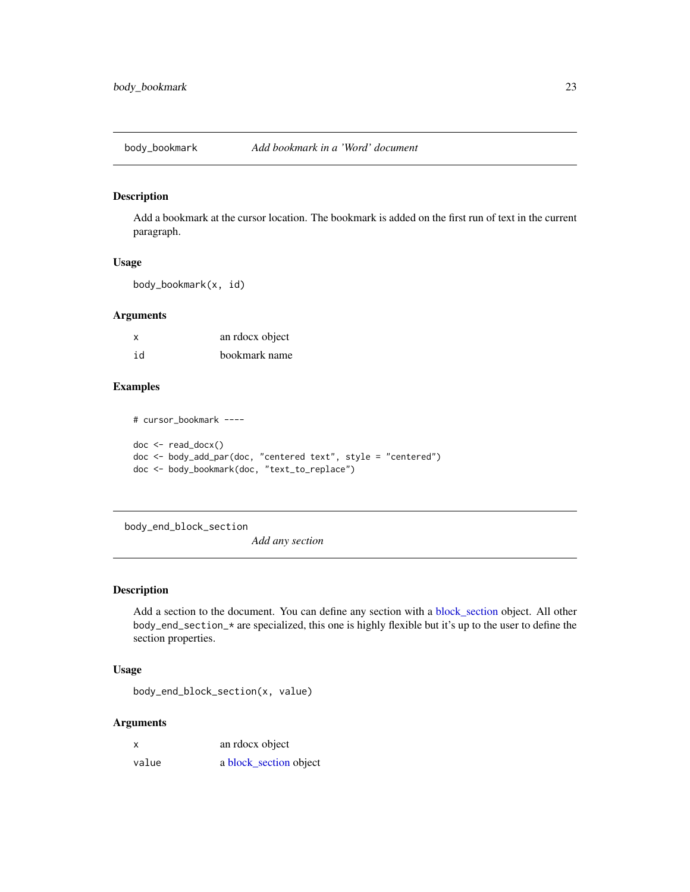<span id="page-22-0"></span>

Add a bookmark at the cursor location. The bookmark is added on the first run of text in the current paragraph.

# Usage

body\_bookmark(x, id)

# Arguments

| x  | an rdocx object |
|----|-----------------|
| id | bookmark name   |

# Examples

# cursor\_bookmark --- doc <- read\_docx() doc <- body\_add\_par(doc, "centered text", style = "centered") doc <- body\_bookmark(doc, "text\_to\_replace")

<span id="page-22-1"></span>body\_end\_block\_section

*Add any section*

# Description

Add a section to the document. You can define any section with a [block\\_section](#page-9-1) object. All other body\_end\_section\_\* are specialized, this one is highly flexible but it's up to the user to define the section properties.

# Usage

body\_end\_block\_section(x, value)

#### Arguments

| x     | an rdocx object        |
|-------|------------------------|
| value | a block_section object |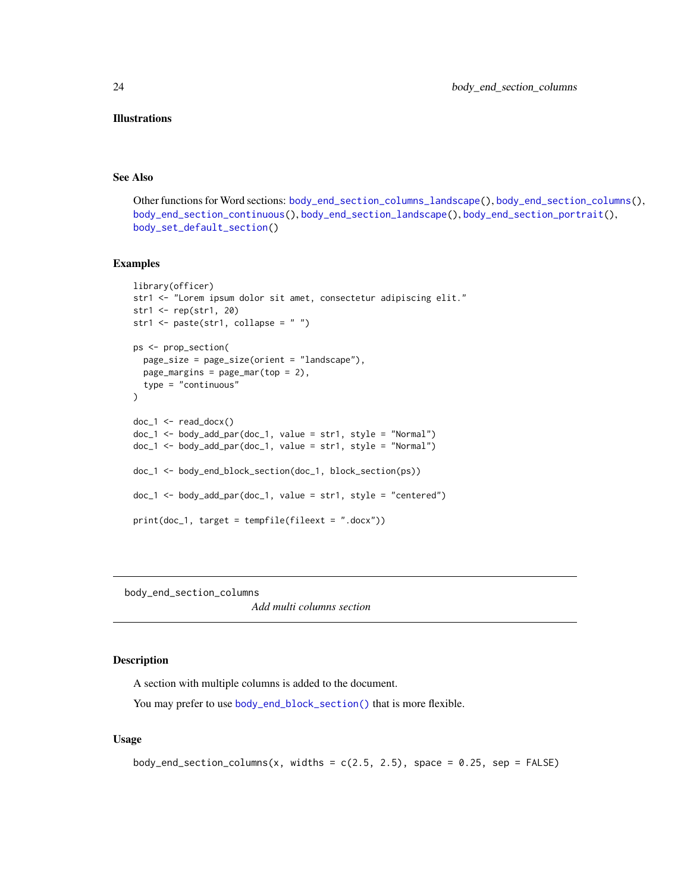# <span id="page-23-0"></span>Illustrations

# See Also

Other functions for Word sections: [body\\_end\\_section\\_columns\\_landscape\(](#page-24-1)), [body\\_end\\_section\\_columns\(](#page-23-1)), [body\\_end\\_section\\_continuous\(](#page-25-1)), [body\\_end\\_section\\_landscape\(](#page-26-1)), [body\\_end\\_section\\_portrait\(](#page-27-1)), [body\\_set\\_default\\_section\(](#page-31-1))

# Examples

```
library(officer)
str1 <- "Lorem ipsum dolor sit amet, consectetur adipiscing elit."
str1 <- rep(str1, 20)
str1 <- paste(str1, collapse = " ")
ps <- prop_section(
  page_size = page_size(orient = "landscape"),
  page\_margins = page\_mar(top = 2),
  type = "continuous"
)
doc_1 < - read_docx()
doc_1 <- body_add_par(doc_1, value = str1, style = "Normal")
doc_1 <- body_add_par(doc_1, value = str1, style = "Normal")
doc_1 <- body_end_block_section(doc_1, block_section(ps))
doc_1 <- body_add_par(doc_1, value = str1, style = "centered")
print(doc_1, target = tempfile(fileext = ".docx"))
```
<span id="page-23-1"></span>body\_end\_section\_columns

*Add multi columns section*

# Description

A section with multiple columns is added to the document.

You may prefer to use [body\\_end\\_block\\_section\(\)](#page-22-1) that is more flexible.

#### Usage

```
body_end_section_columns(x, widths = c(2.5, 2.5), space = 0.25, sep = FALSE)
```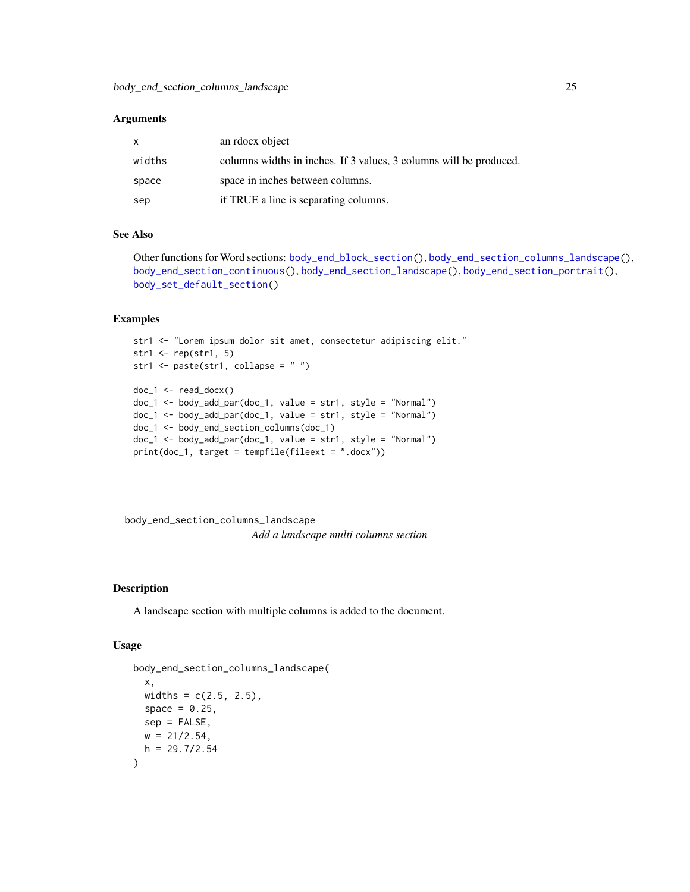# <span id="page-24-0"></span>Arguments

| X.     | an rdocx object                                                    |
|--------|--------------------------------------------------------------------|
| widths | columns widths in inches. If 3 values, 3 columns will be produced. |
| space  | space in inches between columns.                                   |
| sep    | if TRUE a line is separating columns.                              |

# See Also

Other functions for Word sections: [body\\_end\\_block\\_section\(](#page-22-1)), [body\\_end\\_section\\_columns\\_landscape\(](#page-24-1)), [body\\_end\\_section\\_continuous\(](#page-25-1)), [body\\_end\\_section\\_landscape\(](#page-26-1)), [body\\_end\\_section\\_portrait\(](#page-27-1)), [body\\_set\\_default\\_section\(](#page-31-1))

#### Examples

```
str1 <- "Lorem ipsum dolor sit amet, consectetur adipiscing elit."
str1 \leftarrow rep(str1, 5)
str1 <- paste(str1, collapse = " ")
doc_1 <- read_docx()
doc_1 <- body_add_par(doc_1, value = str1, style = "Normal")
doc_1 <- body_add_par(doc_1, value = str1, style = "Normal")
doc_1 <- body_end_section_columns(doc_1)
doc_1 < - body_add_par(doc_1, value = str1, style = "Normal")print(doc_1, target = tempfile(fileext = ".docx"))
```
<span id="page-24-1"></span>body\_end\_section\_columns\_landscape *Add a landscape multi columns section*

# Description

A landscape section with multiple columns is added to the document.

# Usage

```
body_end_section_columns_landscape(
 x,
 widths = c(2.5, 2.5),
 space = 0.25,
 sep = FALSE,
 w = 21/2.54,
 h = 29.7/2.54)
```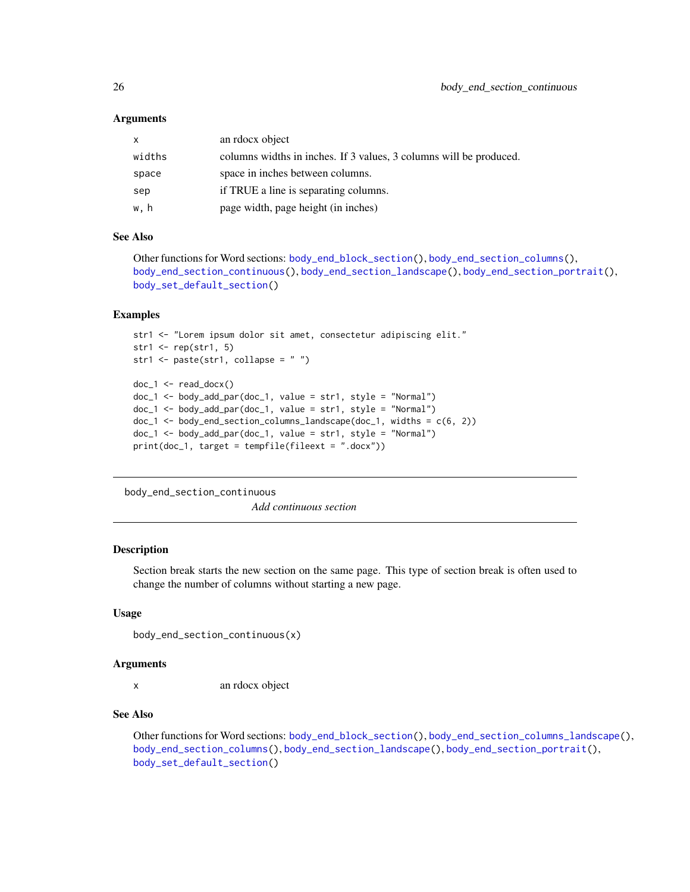# <span id="page-25-0"></span>Arguments

| $\mathsf{x}$ | an rdocx object                                                    |
|--------------|--------------------------------------------------------------------|
| widths       | columns widths in inches. If 3 values, 3 columns will be produced. |
| space        | space in inches between columns.                                   |
| sep          | if TRUE a line is separating columns.                              |
| w, h         | page width, page height (in inches)                                |

### See Also

```
Other functions for Word sections: body_end_block_section(), body_end_section_columns(),
body_end_section_continuous(), body_end_section_landscape(), body_end_section_portrait(),
body_set_default_section()
```
#### Examples

```
str1 <- "Lorem ipsum dolor sit amet, consectetur adipiscing elit."
str1 \leftarrow rep(str1, 5)
str1 <- paste(str1, collapse = " ")
doc_1 < - read_docx()
doc_1 <- body_add_par(doc_1, value = str1, style = "Normal")
doc_1 <- body_add_par(doc_1, value = str1, style = "Normal")
doc_1 < - body_end_section_columns_landscape(doc_1, widths = c(6, 2))
doc_1 < - body_add_par(doc_1, value = str1, style = "Normal")
print(doc_1, target = tempfile(fileext = ".docx"))
```
<span id="page-25-1"></span>body\_end\_section\_continuous

*Add continuous section*

# Description

Section break starts the new section on the same page. This type of section break is often used to change the number of columns without starting a new page.

### Usage

```
body_end_section_continuous(x)
```
#### Arguments

x an rdocx object

# See Also

Other functions for Word sections: [body\\_end\\_block\\_section\(](#page-22-1)), [body\\_end\\_section\\_columns\\_landscape\(](#page-24-1)), [body\\_end\\_section\\_columns\(](#page-23-1)), [body\\_end\\_section\\_landscape\(](#page-26-1)), [body\\_end\\_section\\_portrait\(](#page-27-1)), [body\\_set\\_default\\_section\(](#page-31-1))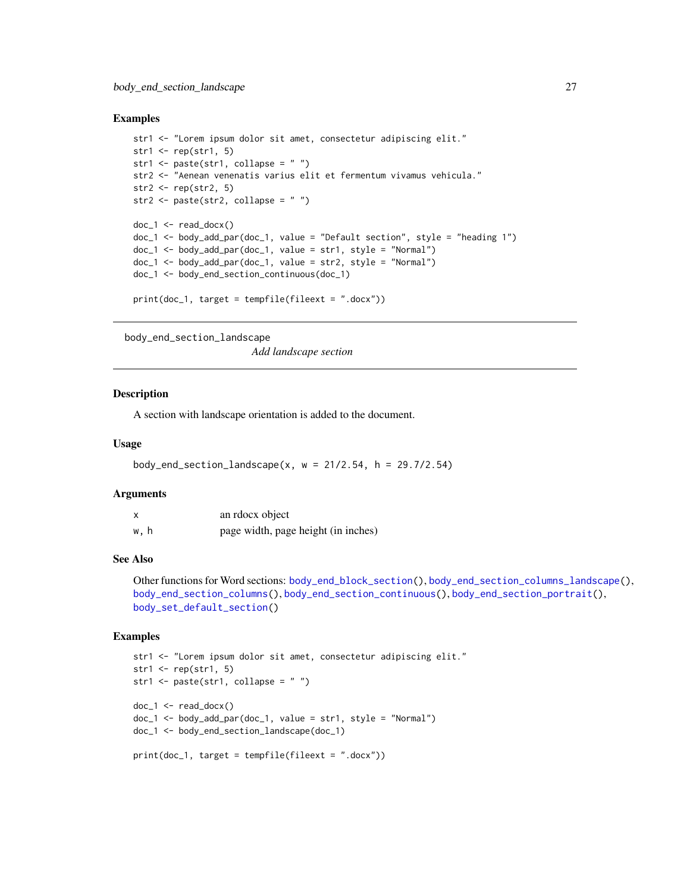#### <span id="page-26-0"></span>Examples

```
str1 <- "Lorem ipsum dolor sit amet, consectetur adipiscing elit."
str1 \leftarrow rep(str1, 5)
str1 <- paste(str1, collapse = " ")
str2 <- "Aenean venenatis varius elit et fermentum vivamus vehicula."
str2 \leftarrow rep(str2, 5)
str2 <- paste(str2, collapse = " ")
doc_1 < - read_docx()
doc_1 <- body_add_par(doc_1, value = "Default section", style = "heading 1")
doc_1 <- body_add_par(doc_1, value = str1, style = "Normal")
doc_1 <- body_add_par(doc_1, value = str2, style = "Normal")
doc_1 <- body_end_section_continuous(doc_1)
print(doc_1, target = tempfile(fileext = ".docx"))
```

```
body_end_section_landscape
```
*Add landscape section*

#### Description

A section with landscape orientation is added to the document.

#### Usage

body\_end\_section\_landscape(x,  $w = 21/2.54$ ,  $h = 29.7/2.54$ )

#### Arguments

| $\boldsymbol{\mathsf{x}}$ | an rdocx object                     |
|---------------------------|-------------------------------------|
| w.h                       | page width, page height (in inches) |

#### See Also

Other functions for Word sections: [body\\_end\\_block\\_section\(](#page-22-1)), [body\\_end\\_section\\_columns\\_landscape\(](#page-24-1)), [body\\_end\\_section\\_columns\(](#page-23-1)), [body\\_end\\_section\\_continuous\(](#page-25-1)), [body\\_end\\_section\\_portrait\(](#page-27-1)), [body\\_set\\_default\\_section\(](#page-31-1))

```
str1 <- "Lorem ipsum dolor sit amet, consectetur adipiscing elit."
str1 \le rep(str1, 5)
str1 \leftarrow paste(str1, collapse = "")
doc_1 < - read_docx()
doc_1 <- body_add_par(doc_1, value = str1, style = "Normal")
doc_1 <- body_end_section_landscape(doc_1)
print(doc_1, target = tempfile(fileext = ".docx"))
```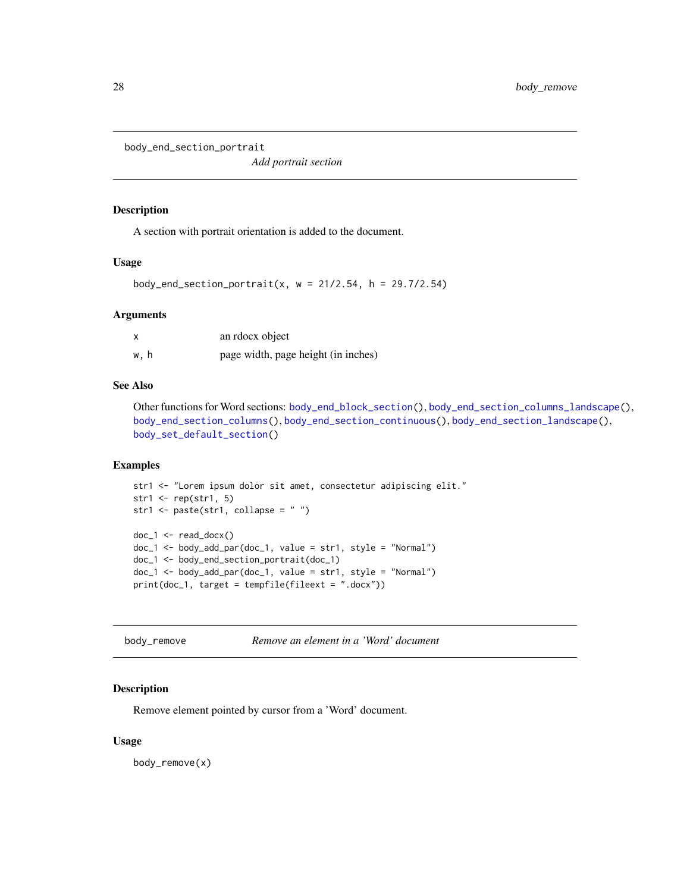<span id="page-27-1"></span><span id="page-27-0"></span>body\_end\_section\_portrait

*Add portrait section*

# Description

A section with portrait orientation is added to the document.

# Usage

```
body_end_section_portrait(x, w = 21/2.54, h = 29.7/2.54)
```
# Arguments

|      | an rdocx object                     |
|------|-------------------------------------|
| w, h | page width, page height (in inches) |

# See Also

Other functions for Word sections: [body\\_end\\_block\\_section\(](#page-22-1)), [body\\_end\\_section\\_columns\\_landscape\(](#page-24-1)), [body\\_end\\_section\\_columns\(](#page-23-1)), [body\\_end\\_section\\_continuous\(](#page-25-1)), [body\\_end\\_section\\_landscape\(](#page-26-1)), [body\\_set\\_default\\_section\(](#page-31-1))

# Examples

```
str1 <- "Lorem ipsum dolor sit amet, consectetur adipiscing elit."
str1 \leftarrow \text{rep}(\text{str1}, 5)str1 <- paste(str1, collapse = " ")
doc_1 < - read_docx()
doc_1 <- body_add_par(doc_1, value = str1, style = "Normal")
doc_1 <- body_end_section_portrait(doc_1)
doc_1 <- body_add_par(doc_1, value = str1, style = "Normal")
print(doc_1, target = tempfile(fileext = ".docx"))
```

| Remove an element in a 'Word' document<br>body_remove |  |  |
|-------------------------------------------------------|--|--|
|-------------------------------------------------------|--|--|

# Description

Remove element pointed by cursor from a 'Word' document.

# Usage

body\_remove(x)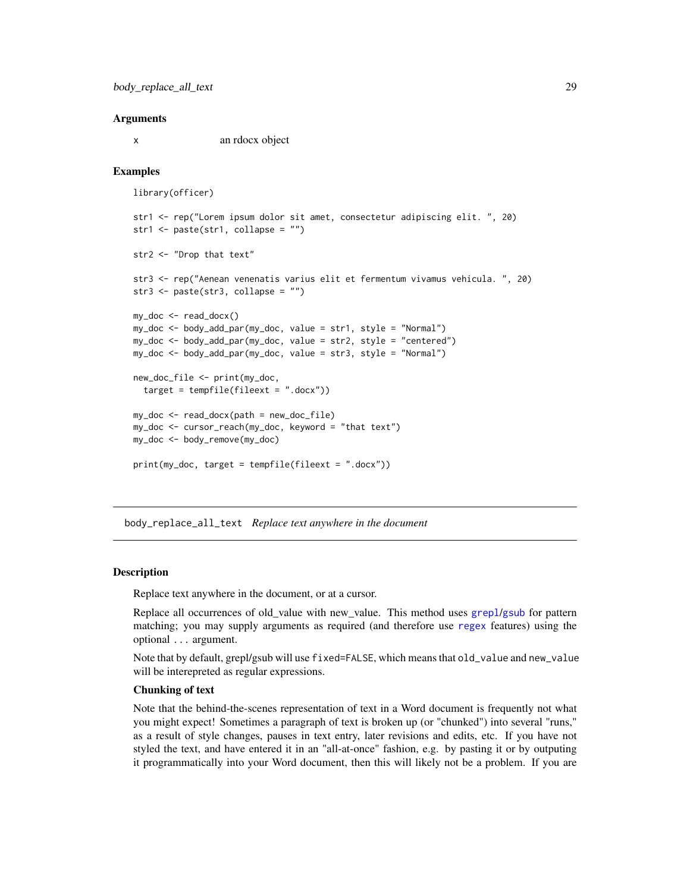#### <span id="page-28-0"></span>Arguments

x an rdocx object

# Examples

```
library(officer)
```

```
str1 <- rep("Lorem ipsum dolor sit amet, consectetur adipiscing elit. ", 20)
str1 <- paste(str1, collapse = "")
str2 <- "Drop that text"
str3 <- rep("Aenean venenatis varius elit et fermentum vivamus vehicula. ", 20)
str3 <- paste(str3, collapse = "")
my_doc <- read_docx()
my_doc <- body_add_par(my_doc, value = str1, style = "Normal")
my_doc <- body_add_par(my_doc, value = str2, style = "centered")
my_doc <- body_add_par(my_doc, value = str3, style = "Normal")
new_doc_file <- print(my_doc,
  target = tempfile(fileext = ".docx"))
my_doc <- read_docx(path = new_doc_file)
my_doc <- cursor_reach(my_doc, keyword = "that text")
my_doc <- body_remove(my_doc)
print(my_doc, target = tempfile(fileext = ".docx"))
```
body\_replace\_all\_text *Replace text anywhere in the document*

#### Description

Replace text anywhere in the document, or at a cursor.

Replace all occurrences of old\_value with new\_value. This method uses [grepl](#page-0-0)/[gsub](#page-0-0) for pattern matching; you may supply arguments as required (and therefore use [regex](#page-0-0) features) using the optional ... argument.

Note that by default, grepl/gsub will use fixed=FALSE, which means that old\_value and new\_value will be interepreted as regular expressions.

# Chunking of text

Note that the behind-the-scenes representation of text in a Word document is frequently not what you might expect! Sometimes a paragraph of text is broken up (or "chunked") into several "runs," as a result of style changes, pauses in text entry, later revisions and edits, etc. If you have not styled the text, and have entered it in an "all-at-once" fashion, e.g. by pasting it or by outputing it programmatically into your Word document, then this will likely not be a problem. If you are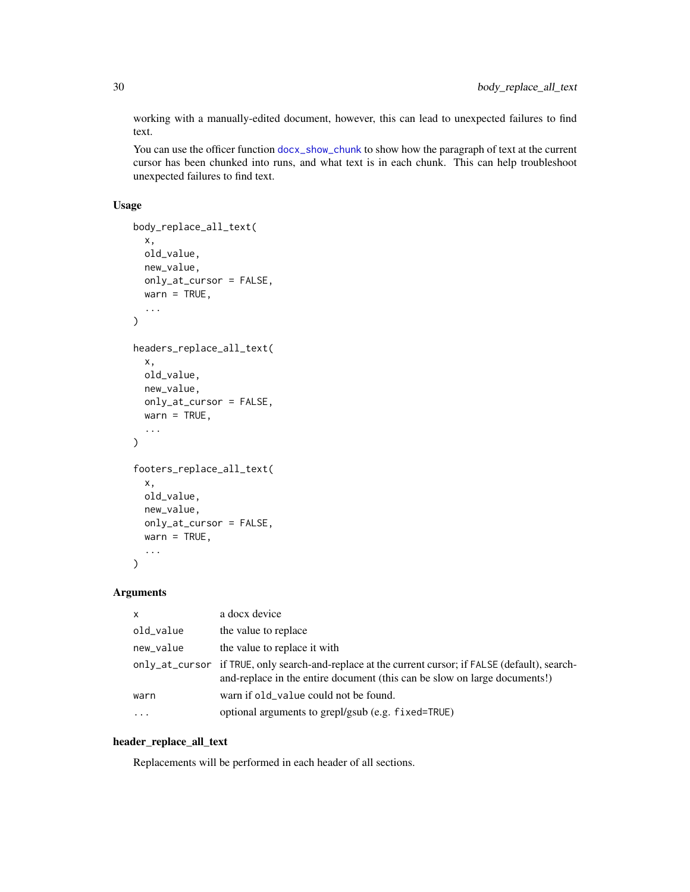working with a manually-edited document, however, this can lead to unexpected failures to find text.

You can use the officer function [docx\\_show\\_chunk](#page-37-1) to show how the paragraph of text at the current cursor has been chunked into runs, and what text is in each chunk. This can help troubleshoot unexpected failures to find text.

# Usage

```
body_replace_all_text(
  x,
 old_value,
 new_value,
  only_at_cursor = FALSE,
 warn = TRUE,...
)
headers_replace_all_text(
  x,
 old_value,
 new_value,
  only_at_cursor = FALSE,
  wan = TRUE,...
)
footers_replace_all_text(
  x,
  old_value,
 new_value,
  only_at_cursor = FALSE,
 warn = TRUE,...
\mathcal{L}
```
# Arguments

| $\times$  | a docx device                                                                                                                                                                   |
|-----------|---------------------------------------------------------------------------------------------------------------------------------------------------------------------------------|
| old_value | the value to replace                                                                                                                                                            |
| new_value | the value to replace it with                                                                                                                                                    |
|           | only_at_cursor if TRUE, only search-and-replace at the current cursor; if FALSE (default), search-<br>and-replace in the entire document (this can be slow on large documents!) |
| warn      | warn if old_value could not be found.                                                                                                                                           |
| .         | optional arguments to grepl/gsub (e.g. fixed=TRUE)                                                                                                                              |

# header\_replace\_all\_text

Replacements will be performed in each header of all sections.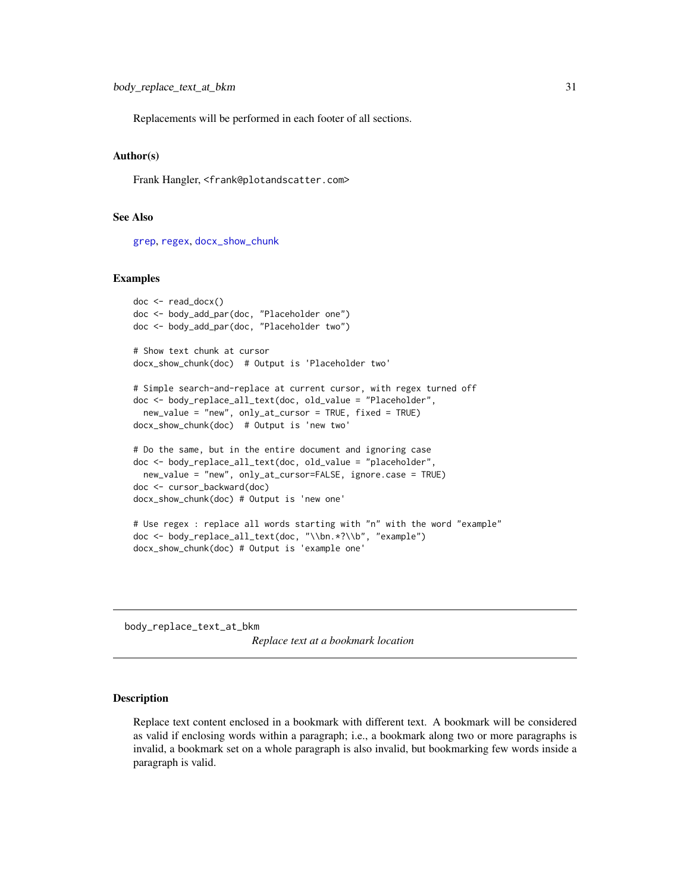<span id="page-30-0"></span>Replacements will be performed in each footer of all sections.

# Author(s)

Frank Hangler, <frank@plotandscatter.com>

# See Also

[grep](#page-0-0), [regex](#page-0-0), [docx\\_show\\_chunk](#page-37-1)

#### Examples

```
doc <- read_docx()
doc <- body_add_par(doc, "Placeholder one")
doc <- body_add_par(doc, "Placeholder two")
# Show text chunk at cursor
docx_show_chunk(doc) # Output is 'Placeholder two'
# Simple search-and-replace at current cursor, with regex turned off
doc <- body_replace_all_text(doc, old_value = "Placeholder",
 new_value = "new", only_at_cursor = TRUE, fixed = TRUE)docx_show_chunk(doc) # Output is 'new two'
# Do the same, but in the entire document and ignoring case
doc <- body_replace_all_text(doc, old_value = "placeholder",
 new_value = "new", only_at_cursor=FALSE, ignore.case = TRUE)
doc <- cursor_backward(doc)
docx_show_chunk(doc) # Output is 'new one'
# Use regex : replace all words starting with "n" with the word "example"
doc <- body_replace_all_text(doc, "\\bn.*?\\b", "example")
docx_show_chunk(doc) # Output is 'example one'
```
body\_replace\_text\_at\_bkm

*Replace text at a bookmark location*

# Description

Replace text content enclosed in a bookmark with different text. A bookmark will be considered as valid if enclosing words within a paragraph; i.e., a bookmark along two or more paragraphs is invalid, a bookmark set on a whole paragraph is also invalid, but bookmarking few words inside a paragraph is valid.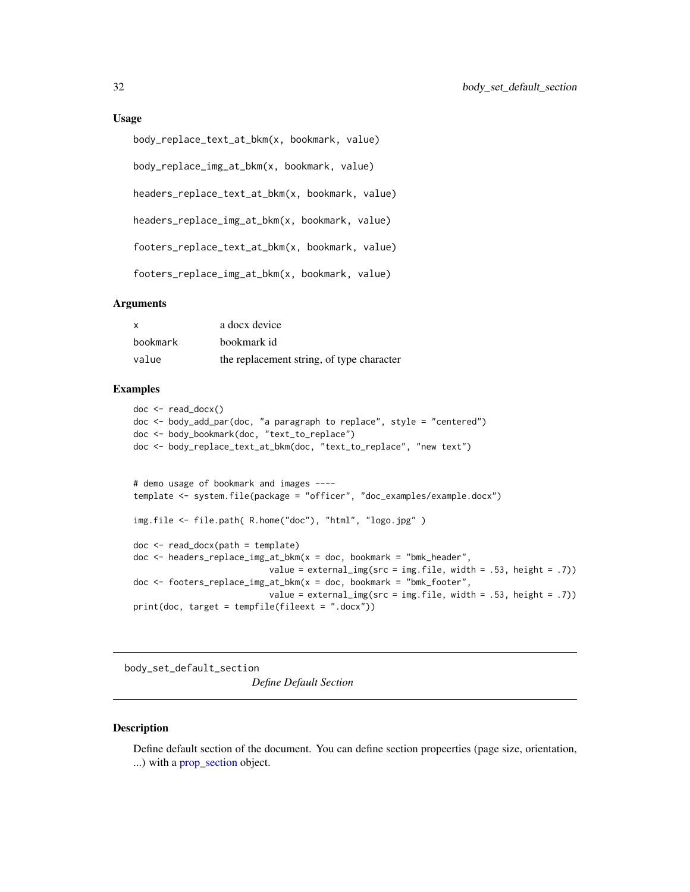# <span id="page-31-0"></span>Usage

```
body_replace_text_at_bkm(x, bookmark, value)
```
body\_replace\_img\_at\_bkm(x, bookmark, value)

headers\_replace\_text\_at\_bkm(x, bookmark, value)

headers\_replace\_img\_at\_bkm(x, bookmark, value)

footers\_replace\_text\_at\_bkm(x, bookmark, value)

footers\_replace\_img\_at\_bkm(x, bookmark, value)

# Arguments

| X        | a docx device                             |
|----------|-------------------------------------------|
| bookmark | bookmark id                               |
| value    | the replacement string, of type character |

# Examples

```
doc <- read_docx()
doc <- body_add_par(doc, "a paragraph to replace", style = "centered")
doc <- body_bookmark(doc, "text_to_replace")
doc <- body_replace_text_at_bkm(doc, "text_to_replace", "new text")
# demo usage of bookmark and images ----
template <- system.file(package = "officer", "doc_examples/example.docx")
img.file <- file.path( R.home("doc"), "html", "logo.jpg" )
doc <- read_docx(path = template)
doc <- headers_replace_img_at_bkm(x = doc, bookmark = "bmk_header",
                           value = external_img(src = img.file, width = .53, height = .7))
doc <- footers_replace_img_at_bkm(x = doc, bookmark = "bmk_footer",
                           value = external_img(src = img.file, width = .53, height = .7))
print(doc, target = tempfile(fileext = ".docx"))
```
<span id="page-31-1"></span>body\_set\_default\_section *Define Default Section*

# **Description**

Define default section of the document. You can define section propeerties (page size, orientation, ...) with a [prop\\_section](#page-78-2) object.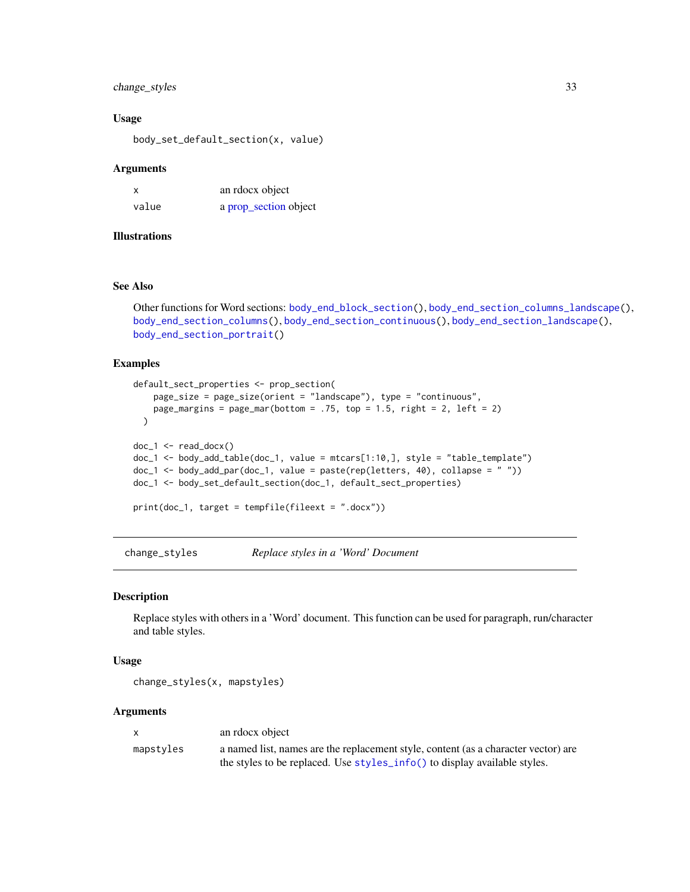# <span id="page-32-0"></span>change\_styles 33

#### Usage

body\_set\_default\_section(x, value)

#### Arguments

| X     | an rdocx object       |
|-------|-----------------------|
| value | a prop_section object |

# Illustrations

# See Also

```
Other functions for Word sections: body_end_block_section(), body_end_section_columns_landscape(),
body_end_section_columns(), body_end_section_continuous(), body_end_section_landscape(),
body_end_section_portrait()
```
# Examples

```
default_sect_properties <- prop_section(
   page_size = page_size(orient = "landscape"), type = "continuous",
   page_margins = page_mar(bottom = .75, top = 1.5, right = 2, left = 2)
  \lambdadoc_1 < - read_docx()
doc_1 <- body_add_table(doc_1, value = mtcars[1:10,], style = "table_template")
doc_1 <- body_add_par(doc_1, value = paste(rep(letters, 40), collapse = " "))
doc_1 <- body_set_default_section(doc_1, default_sect_properties)
print(doc_1, target = tempfile(fileext = ".docx"))
```
change\_styles *Replace styles in a 'Word' Document*

#### Description

Replace styles with others in a 'Word' document. This function can be used for paragraph, run/character and table styles.

#### Usage

change\_styles(x, mapstyles)

#### Arguments

| $\mathsf{X}$ | an rdocx object                                                                    |
|--------------|------------------------------------------------------------------------------------|
| mapstyles    | a named list, names are the replacement style, content (as a character vector) are |
|              | the styles to be replaced. Use styles_info() to display available styles.          |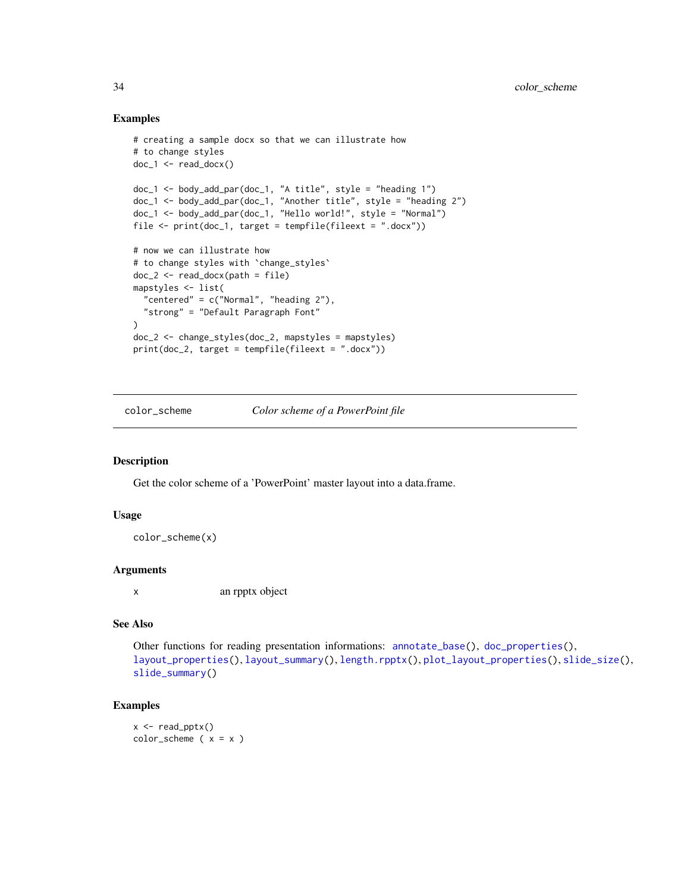# Examples

```
# creating a sample docx so that we can illustrate how
# to change styles
doc_1 <- read_docx()
doc_1 <- body_add_par(doc_1, "A title", style = "heading 1")
doc_1 <- body_add_par(doc_1, "Another title", style = "heading 2")
doc_1 <- body_add_par(doc_1, "Hello world!", style = "Normal")
file <- print(doc_1, target = tempfile(fileext = ".docx"))
# now we can illustrate how
# to change styles with `change_styles`
doc_2 <- read_docx(path = file)
mapstyles <- list(
  "centered" = c("Normal", "heading 2"),"strong" = "Default Paragraph Font"
\lambdadoc_2 <- change_styles(doc_2, mapstyles = mapstyles)
print(doc_2, target = tempfile(fileext = ".docx"))
```
<span id="page-33-1"></span>color\_scheme *Color scheme of a PowerPoint file*

## Description

Get the color scheme of a 'PowerPoint' master layout into a data.frame.

#### Usage

```
color_scheme(x)
```
#### Arguments

x an rpptx object

#### See Also

Other functions for reading presentation informations: [annotate\\_base\(](#page-4-1)), [doc\\_properties\(](#page-38-1)), [layout\\_properties\(](#page-51-2)), [layout\\_summary\(](#page-51-1)), [length.rpptx\(](#page-53-1)), [plot\\_layout\\_properties\(](#page-76-1)), [slide\\_size\(](#page-97-1)), [slide\\_summary\(](#page-98-1))

```
x \leftarrow \text{read\_pptx()}color\_scheme ( x = x )
```
<span id="page-33-0"></span>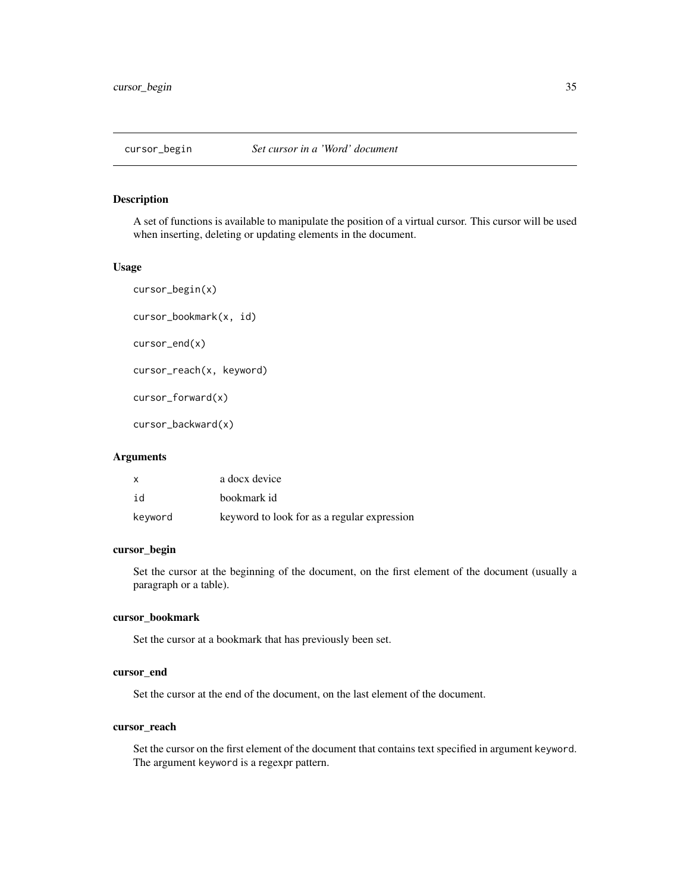<span id="page-34-0"></span>A set of functions is available to manipulate the position of a virtual cursor. This cursor will be used when inserting, deleting or updating elements in the document.

#### Usage

```
cursor_begin(x)
cursor_bookmark(x, id)
cursor_end(x)
cursor_reach(x, keyword)
cursor_forward(x)
cursor_backward(x)
```
#### Arguments

| $\mathsf{x}$ | a docx device                               |
|--------------|---------------------------------------------|
| id           | bookmark id                                 |
| keyword      | keyword to look for as a regular expression |

# cursor\_begin

Set the cursor at the beginning of the document, on the first element of the document (usually a paragraph or a table).

#### cursor\_bookmark

Set the cursor at a bookmark that has previously been set.

# cursor\_end

Set the cursor at the end of the document, on the last element of the document.

# cursor\_reach

Set the cursor on the first element of the document that contains text specified in argument keyword. The argument keyword is a regexpr pattern.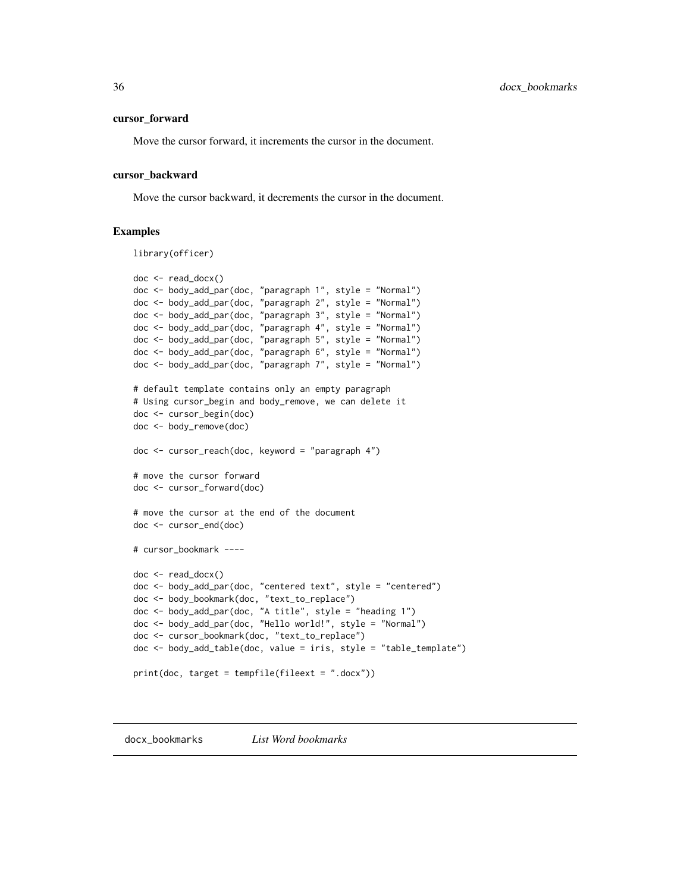#### <span id="page-35-0"></span>cursor\_forward

Move the cursor forward, it increments the cursor in the document.

#### cursor\_backward

Move the cursor backward, it decrements the cursor in the document.

#### Examples

library(officer)

```
doc <- read_docx()
doc <- body_add_par(doc, "paragraph 1", style = "Normal")
doc <- body_add_par(doc, "paragraph 2", style = "Normal")
doc <- body_add_par(doc, "paragraph 3", style = "Normal")
doc <- body_add_par(doc, "paragraph 4", style = "Normal")
doc <- body_add_par(doc, "paragraph 5", style = "Normal")
doc <- body_add_par(doc, "paragraph 6", style = "Normal")
doc <- body_add_par(doc, "paragraph 7", style = "Normal")
# default template contains only an empty paragraph
# Using cursor_begin and body_remove, we can delete it
doc <- cursor_begin(doc)
doc <- body_remove(doc)
doc <- cursor_reach(doc, keyword = "paragraph 4")
# move the cursor forward
doc <- cursor_forward(doc)
# move the cursor at the end of the document
doc <- cursor_end(doc)
# cursor_bookmark ----
doc <- read_docx()
doc <- body_add_par(doc, "centered text", style = "centered")
doc <- body_bookmark(doc, "text_to_replace")
doc <- body_add_par(doc, "A title", style = "heading 1")
doc <- body_add_par(doc, "Hello world!", style = "Normal")
doc <- cursor_bookmark(doc, "text_to_replace")
doc <- body_add_table(doc, value = iris, style = "table_template")
print(doc, target = tempfile(fileext = ".docx"))
```
docx\_bookmarks *List Word bookmarks*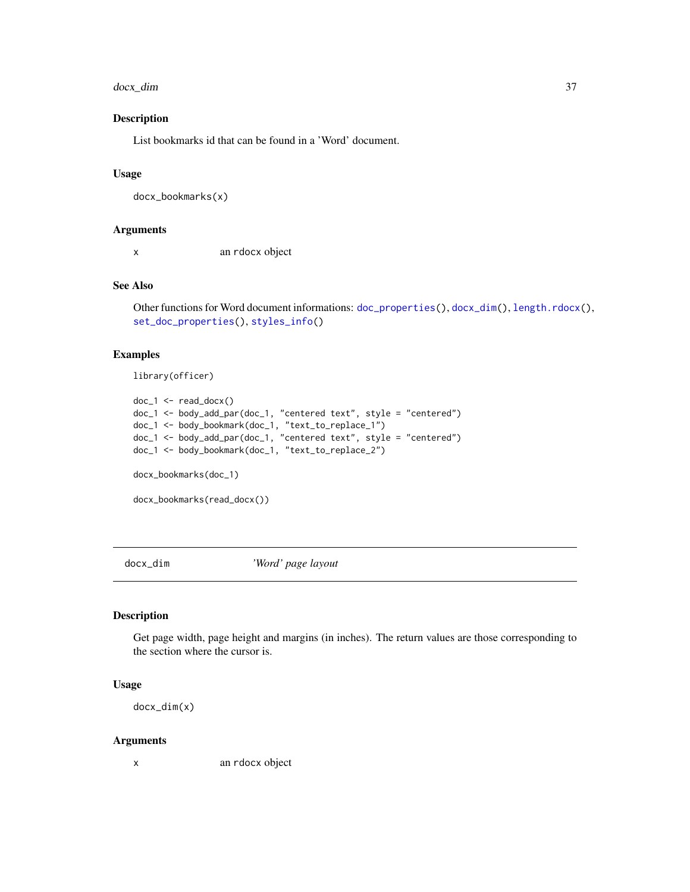#### docx\_dim 37

# Description

List bookmarks id that can be found in a 'Word' document.

## Usage

docx\_bookmarks(x)

## Arguments

x an rdocx object

# See Also

```
Other functions for Word document informations: doc_properties(), docx_dim(), length.rdocx(),
set_doc_properties(), styles_info()
```
# Examples

```
library(officer)
```

```
doc_1 < - read_docx()
doc_1 <- body_add_par(doc_1, "centered text", style = "centered")
doc_1 <- body_bookmark(doc_1, "text_to_replace_1")
doc_1 <- body_add_par(doc_1, "centered text", style = "centered")
doc_1 <- body_bookmark(doc_1, "text_to_replace_2")
docx_bookmarks(doc_1)
```
docx\_bookmarks(read\_docx())

<span id="page-36-0"></span>docx\_dim *'Word' page layout*

### Description

Get page width, page height and margins (in inches). The return values are those corresponding to the section where the cursor is.

### Usage

docx\_dim(x)

#### Arguments

x an rdocx object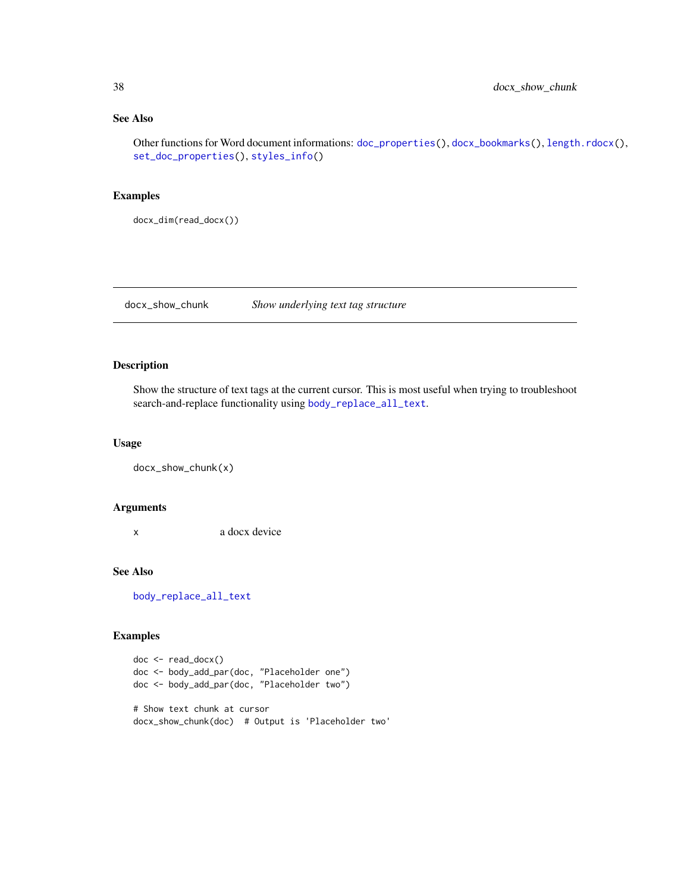# See Also

Other functions for Word document informations: [doc\\_properties\(](#page-38-0)), [docx\\_bookmarks\(](#page-35-0)), [length.rdocx\(](#page-52-0)), [set\\_doc\\_properties\(](#page-93-0)), [styles\\_info\(](#page-102-0))

### Examples

docx\_dim(read\_docx())

docx\_show\_chunk *Show underlying text tag structure*

# Description

Show the structure of text tags at the current cursor. This is most useful when trying to troubleshoot search-and-replace functionality using [body\\_replace\\_all\\_text](#page-28-0).

#### Usage

docx\_show\_chunk(x)

# Arguments

x a docx device

## See Also

[body\\_replace\\_all\\_text](#page-28-0)

```
doc <- read_docx()
doc <- body_add_par(doc, "Placeholder one")
doc <- body_add_par(doc, "Placeholder two")
# Show text chunk at cursor
docx_show_chunk(doc) # Output is 'Placeholder two'
```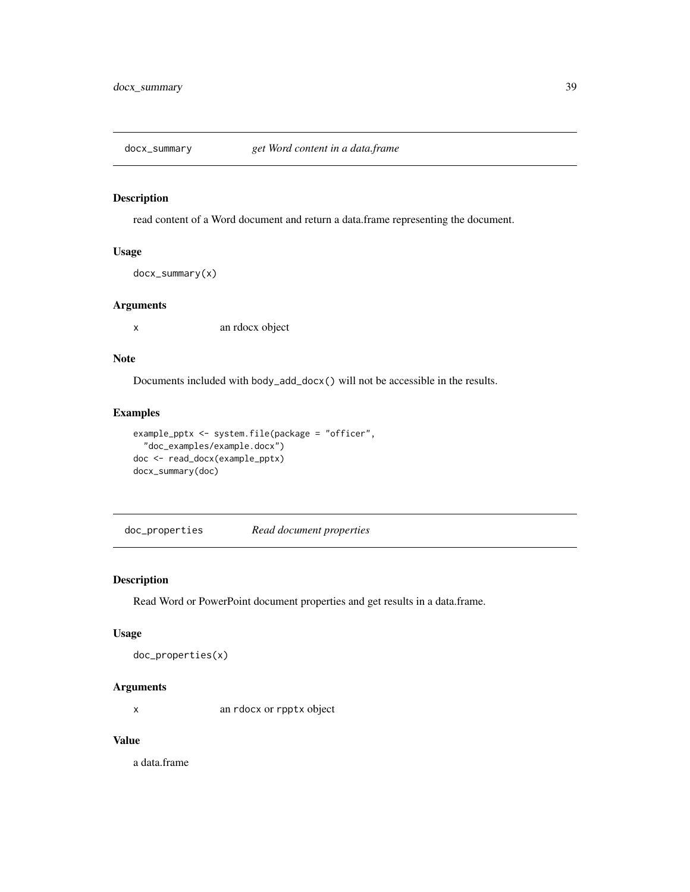read content of a Word document and return a data.frame representing the document.

## Usage

docx\_summary(x)

#### Arguments

x an rdocx object

## Note

Documents included with body\_add\_docx() will not be accessible in the results.

## Examples

```
example_pptx <- system.file(package = "officer",
  "doc_examples/example.docx")
doc <- read_docx(example_pptx)
docx_summary(doc)
```
<span id="page-38-0"></span>doc\_properties *Read document properties*

# Description

Read Word or PowerPoint document properties and get results in a data.frame.

### Usage

```
doc_properties(x)
```
### Arguments

x an rdocx or rpptx object

### Value

a data.frame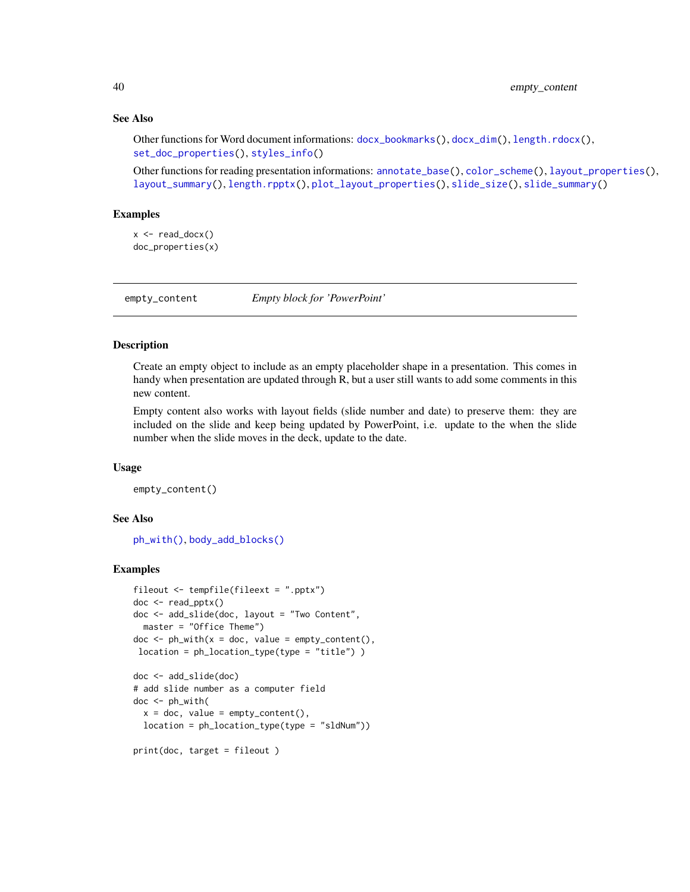## See Also

```
Other functions for Word document informations: docx_bookmarks(), docx_dim(), length.rdocx(),
set_doc_properties(), styles_info()
```
Other functions for reading presentation informations: [annotate\\_base\(](#page-4-0)), [color\\_scheme\(](#page-33-0)), [layout\\_properties\(](#page-51-0)), [layout\\_summary\(](#page-51-1)), [length.rpptx\(](#page-53-0)), [plot\\_layout\\_properties\(](#page-76-0)), [slide\\_size\(](#page-97-0)), [slide\\_summary\(](#page-98-0))

### Examples

```
x \leftarrow \text{read\_docx}()doc_properties(x)
```
empty\_content *Empty block for 'PowerPoint'*

### Description

Create an empty object to include as an empty placeholder shape in a presentation. This comes in handy when presentation are updated through R, but a user still wants to add some comments in this new content.

Empty content also works with layout fields (slide number and date) to preserve them: they are included on the slide and keep being updated by PowerPoint, i.e. update to the when the slide number when the slide moves in the deck, update to the date.

#### Usage

empty\_content()

#### See Also

[ph\\_with\(\)](#page-71-0), [body\\_add\\_blocks\(\)](#page-11-0)

```
fileout <- tempfile(fileext = ".pptx")
doc <- read_pptx()
doc <- add_slide(doc, layout = "Two Content",
 master = "Office Theme")
doc < -ph_with(x = doc, value = empty_count(n),location = ph_location_type(type = "title") )
doc <- add_slide(doc)
# add slide number as a computer field
doc <- ph_with(
  x = doc, value = empty_countent(),location = ph_location_type(type = "sldNum"))
print(doc, target = fileout )
```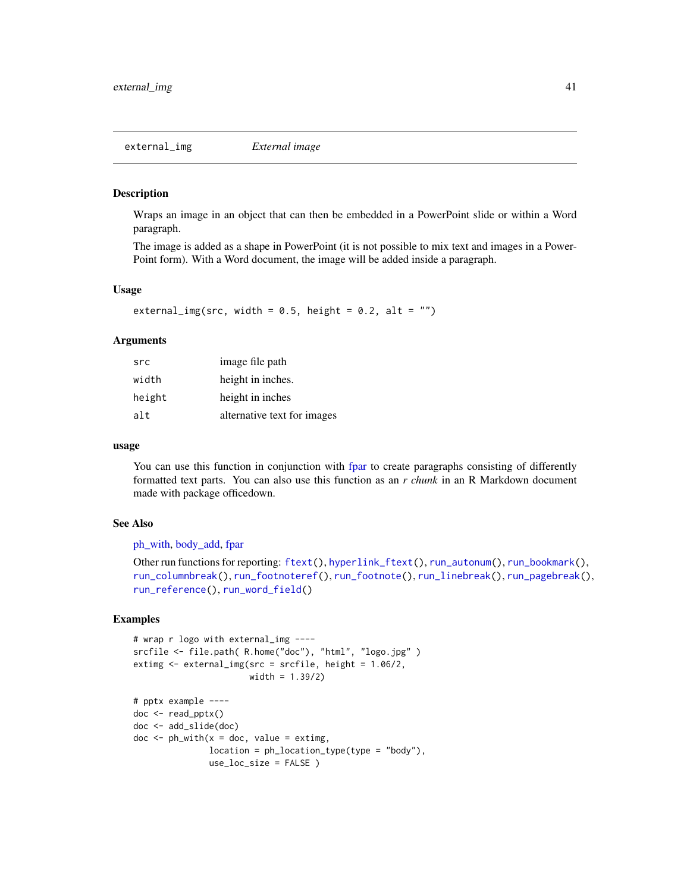<span id="page-40-0"></span>Wraps an image in an object that can then be embedded in a PowerPoint slide or within a Word paragraph.

The image is added as a shape in PowerPoint (it is not possible to mix text and images in a Power-Point form). With a Word document, the image will be added inside a paragraph.

#### Usage

```
external_img(src, width = 0.5, height = 0.2, alt = "")
```
### Arguments

| src    | image file path             |
|--------|-----------------------------|
| width  | height in inches.           |
| height | height in inches            |
| alt    | alternative text for images |

### usage

You can use this function in conjunction with [fpar](#page-41-0) to create paragraphs consisting of differently formatted text parts. You can also use this function as an *r chunk* in an R Markdown document made with package officedown.

#### See Also

[ph\\_with,](#page-71-0) [body\\_add,](#page-0-0) [fpar](#page-41-0)

```
Other run functions for reporting: ftext(), hyperlink_ftext(), run_autonum(), run_bookmark(),
run_columnbreak(), run_footnoteref(), run_footnote(), run_linebreak(), run_pagebreak(),
run_reference(), run_word_field()
```

```
# wrap r logo with external_img ----
srcfile <- file.path( R.home("doc"), "html", "logo.jpg" )
extimg <- external_img(src = srcfile, height = 1.06/2,
                       width = 1.39/2)
# pptx example ----
doc <- read_pptx()
doc <- add_slide(doc)
doc < -ph_with(x = doc, value = extimg,location = ph_location_type(type = "body"),
              use_loc_size = FALSE )
```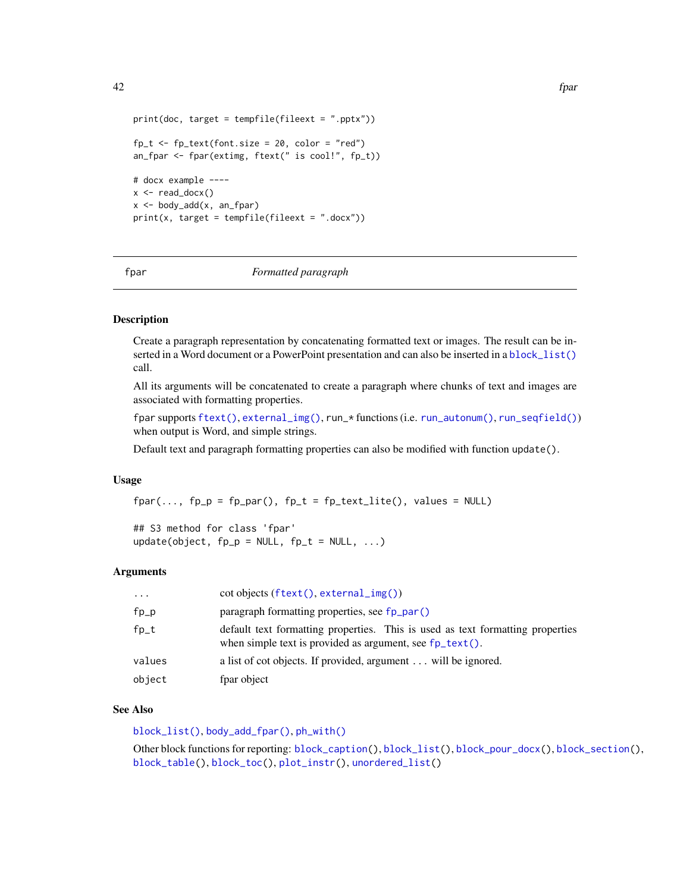```
42 fpart of the state of the state of the state of the state of the state of the state of the state of the state of the state of the state of the state of the state of the state of the state of the state of the state of th
```

```
print(doc, target = template(fileext = ".pptx"))fp_t \leftarrow fp_text(fromt.size = 20, color = "red")an_fpar <- fpar(extimg, ftext(" is cool!", fp_t))
# docx example ----
x \leftarrow \text{read\_docx}()x <- body_add(x, an_fpar)
print(x, target = template(fileext = ".docx"))
```
<span id="page-41-0"></span>

fpar *Formatted paragraph*

### **Description**

Create a paragraph representation by concatenating formatted text or images. The result can be inserted in a Word document or a PowerPoint presentation and can also be inserted in a [block\\_list\(\)](#page-7-0) call.

All its arguments will be concatenated to create a paragraph where chunks of text and images are associated with formatting properties.

fpar supports [ftext\(\)](#page-49-0), [external\\_img\(\)](#page-40-0), run\_\* functions (i.e. [run\\_autonum\(\)](#page-84-0), [run\\_seqfield\(\)](#page-91-1)) when output is Word, and simple strings.

Default text and paragraph formatting properties can also be modified with function update().

#### Usage

 $fpar(..., fp_p = fp_par(), fp_t = fp_text_lite(), values = NULL)$ 

## S3 method for class 'fpar' update(object,  $fp_p = NULL$ ,  $fp_t = NULL$ , ...)

### **Arguments**

| $\cdots$ | $\cot$ objects (ftext(), external_img())                                                                                                              |
|----------|-------------------------------------------------------------------------------------------------------------------------------------------------------|
| fp_p     | paragraph formatting properties, see fp_par()                                                                                                         |
| $f$ p_t  | default text formatting properties. This is used as text formatting properties<br>when simple text is provided as argument, see $fp_{\text{text}}($ . |
| values   | a list of cot objects. If provided, argument will be ignored.                                                                                         |
| object   | fpar object                                                                                                                                           |
|          |                                                                                                                                                       |

### See Also

[block\\_list\(\)](#page-7-0), [body\\_add\\_fpar\(\)](#page-15-0), [ph\\_with\(\)](#page-71-0)

Other block functions for reporting: [block\\_caption\(](#page-6-0)), [block\\_list\(](#page-7-0)), [block\\_pour\\_docx\(](#page-8-0)), [block\\_section\(](#page-9-0)), [block\\_table\(](#page-10-0)), [block\\_toc\(](#page-11-1)), [plot\\_instr\(](#page-75-0)), [unordered\\_list\(](#page-106-0))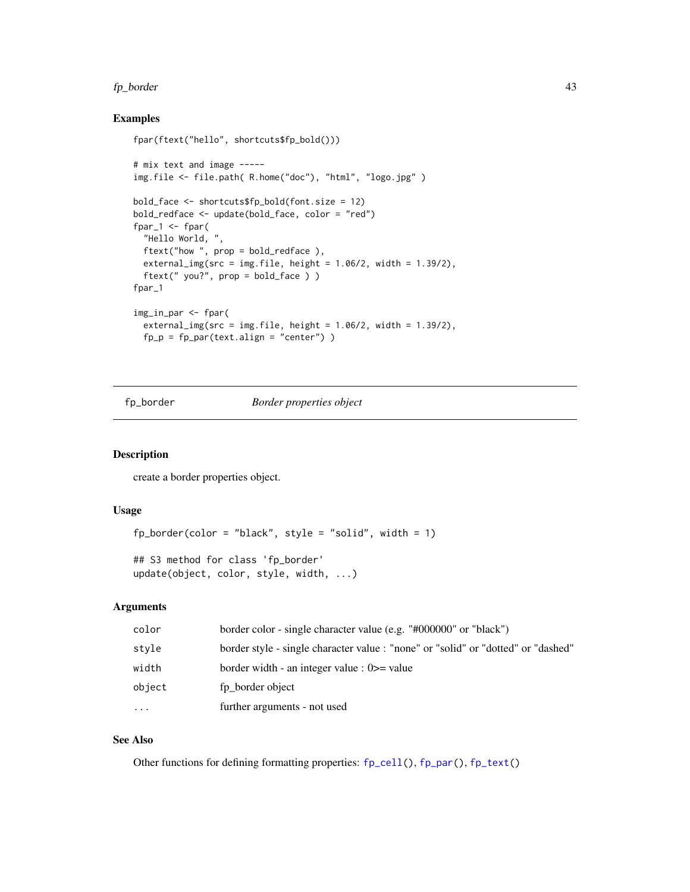#### fp\_border 43

### Examples

```
fpar(ftext("hello", shortcuts$fp_bold()))
# mix text and image -----
img.file <- file.path( R.home("doc"), "html", "logo.jpg" )
bold_face <- shortcuts$fp_bold(font.size = 12)
bold_redface <- update(bold_face, color = "red")
fpar-1 <- fpar("Hello World, ",
 ftext("how ", prop = bold_redface ),
  external_img(src = img.file, height = 1.06/2, width = 1.39/2),ftext(" you?", prop = bold_face ) )
fpar_1
img_in_par <- fpar(
  external_img(src = img.file, height = 1.06/2, width = 1.39/2),
  fp_p = fp_par(text.align = "center"))
```
<span id="page-42-0"></span>fp\_border *Border properties object*

#### Description

create a border properties object.

#### Usage

```
fp\_border(color = "black", style = "solid", width = 1)
```

```
## S3 method for class 'fp_border'
update(object, color, style, width, ...)
```
# Arguments

| color      | border color - single character value (e.g. "#000000" or "black")                 |
|------------|-----------------------------------------------------------------------------------|
| style      | border style - single character value : "none" or "solid" or "dotted" or "dashed" |
| width      | border width - an integer value : $0 \ge$ value                                   |
| object     | fp border object                                                                  |
| $\ddots$ . | further arguments - not used                                                      |

### See Also

Other functions for defining formatting properties: [fp\\_cell\(](#page-43-0)), [fp\\_par\(](#page-45-0)), [fp\\_text\(](#page-46-0))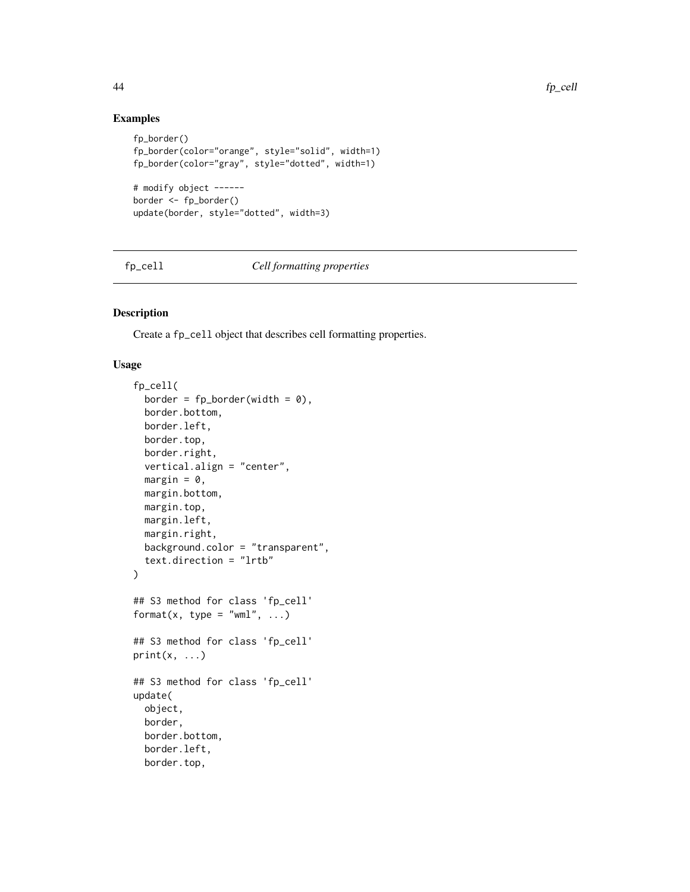# Examples

```
fp_border()
fp_border(color="orange", style="solid", width=1)
fp_border(color="gray", style="dotted", width=1)
# modify object ------
border <- fp_border()
update(border, style="dotted", width=3)
```
<span id="page-43-0"></span>fp\_cell *Cell formatting properties*

### Description

Create a fp\_cell object that describes cell formatting properties.

## Usage

```
fp_cell(
 border = fp\_border(width = 0),
 border.bottom,
 border.left,
 border.top,
 border.right,
 vertical.align = "center",
 margin = 0,
 margin.bottom,
 margin.top,
 margin.left,
 margin.right,
 background.color = "transparent",
  text.direction = "lrtb"
)
## S3 method for class 'fp_cell'
format(x, type = "wml", \dots)
## S3 method for class 'fp_cell'
print(x, \ldots)## S3 method for class 'fp_cell'
update(
 object,
 border,
 border.bottom,
 border.left,
 border.top,
```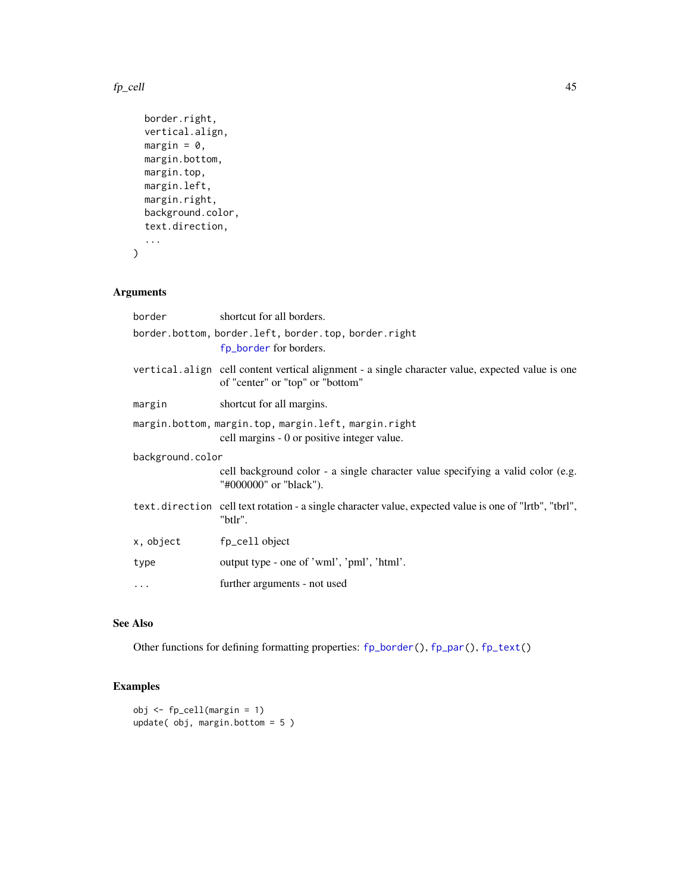#### $f_{\rm p\_cell}$  45

```
border.right,
 vertical.align,
 margin = 0,
 margin.bottom,
 margin.top,
 margin.left,
 margin.right,
 background.color,
  text.direction,
  ...
\mathcal{L}
```
# Arguments

| border           | shortcut for all borders.                                                                                                            |
|------------------|--------------------------------------------------------------------------------------------------------------------------------------|
|                  | border.bottom, border.left, border.top, border.right<br>fp_border for borders.                                                       |
|                  | vertical align cell content vertical alignment - a single character value, expected value is one<br>of "center" or "top" or "bottom" |
| margin           | shortcut for all margins.                                                                                                            |
|                  | margin.bottom, margin.top, margin.left, margin.right<br>cell margins - 0 or positive integer value.                                  |
| background.color |                                                                                                                                      |
|                  | cell background color - a single character value specifying a valid color (e.g.<br>"#000000" or "black").                            |
|                  | text.direction cell text rotation - a single character value, expected value is one of "lrtb", "tbrl",<br>"btlr".                    |
| x, object        | fp_cell object                                                                                                                       |
| type             | output type - one of 'wml', 'pml', 'html'.                                                                                           |
| $\cdot$          | further arguments - not used                                                                                                         |
|                  |                                                                                                                                      |

# See Also

Other functions for defining formatting properties: [fp\\_border\(](#page-42-0)), [fp\\_par\(](#page-45-0)), [fp\\_text\(](#page-46-0))

```
obj <- fp_cell(margin = 1)
update( obj, margin.bottom = 5 )
```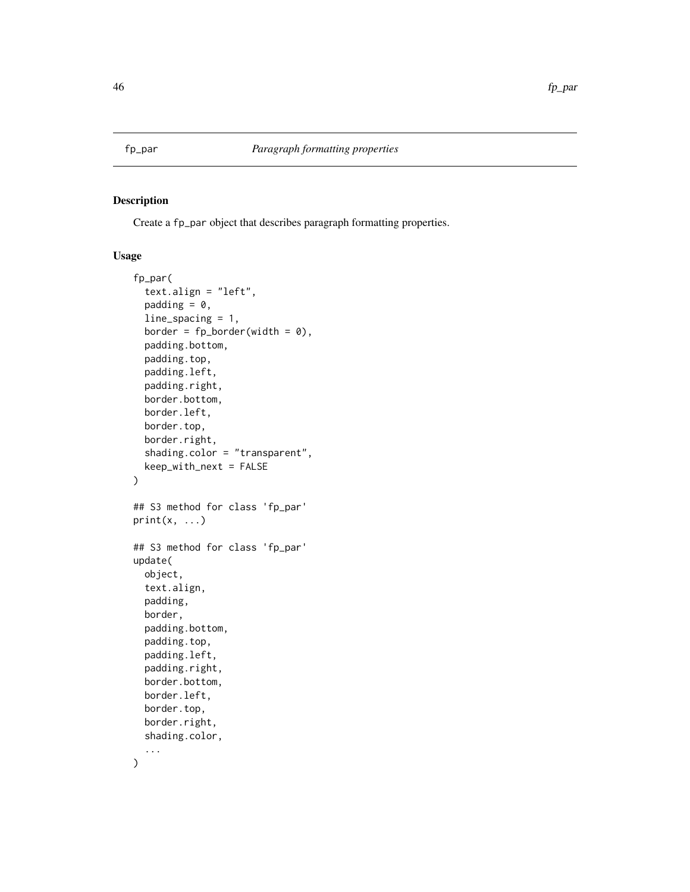<span id="page-45-0"></span>

Create a fp\_par object that describes paragraph formatting properties.

#### Usage

```
fp_par(
  text.align = "left",
  padding = 0,
 line_spacing = 1,
 border = fp\_border(width = 0),
 padding.bottom,
 padding.top,
 padding.left,
 padding.right,
 border.bottom,
 border.left,
 border.top,
 border.right,
  shading.color = "transparent",
 keep_with_next = FALSE
\mathcal{L}## S3 method for class 'fp_par'
print(x, \ldots)## S3 method for class 'fp_par'
update(
 object,
  text.align,
 padding,
 border,
 padding.bottom,
 padding.top,
 padding.left,
 padding.right,
  border.bottom,
 border.left,
 border.top,
 border.right,
  shading.color,
  ...
\mathcal{L}
```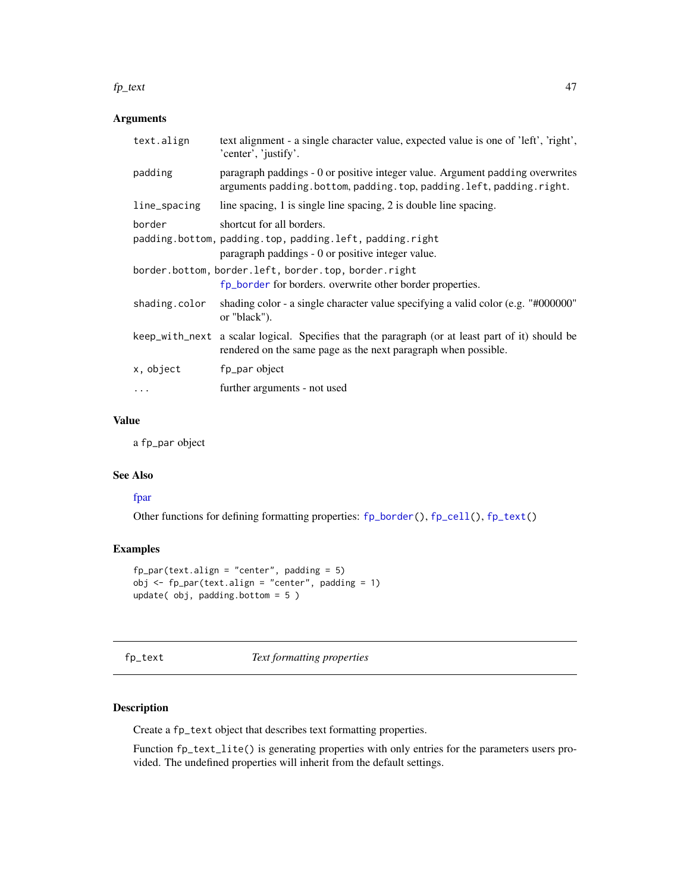#### $f_{\text{L}}$  text  $47$

## Arguments

| text.align    | text alignment - a single character value, expected value is one of 'left', 'right',<br>'center', 'justify'.                                                       |
|---------------|--------------------------------------------------------------------------------------------------------------------------------------------------------------------|
| padding       | paragraph paddings - 0 or positive integer value. Argument padding overwrites<br>arguments padding.bottom, padding.top, padding.left, padding.right.               |
| line_spacing  | line spacing, 1 is single line spacing, 2 is double line spacing.                                                                                                  |
| border        | shortcut for all borders.<br>padding.bottom, padding.top, padding.left, padding.right<br>paragraph paddings - 0 or positive integer value.                         |
|               | border.bottom, border.left, border.top, border.right<br>fp_border for borders. overwrite other border properties.                                                  |
| shading.color | shading color - a single character value specifying a valid color (e.g. "#000000"<br>or "black").                                                                  |
|               | keep_with_next a scalar logical. Specifies that the paragraph (or at least part of it) should be<br>rendered on the same page as the next paragraph when possible. |
| x, object     | fp_par object                                                                                                                                                      |
| .             | further arguments - not used                                                                                                                                       |
|               |                                                                                                                                                                    |

## Value

a fp\_par object

### See Also

# [fpar](#page-41-0)

Other functions for defining formatting properties: [fp\\_border\(](#page-42-0)), [fp\\_cell\(](#page-43-0)), [fp\\_text\(](#page-46-0))

# Examples

```
fp\_par(text.align = "center", padding = 5)obj <- fp_par(text.align = "center", padding = 1)
update( obj, padding.bottom = 5 )
```
<span id="page-46-0"></span>fp\_text *Text formatting properties*

# Description

Create a fp\_text object that describes text formatting properties.

Function fp\_text\_lite() is generating properties with only entries for the parameters users provided. The undefined properties will inherit from the default settings.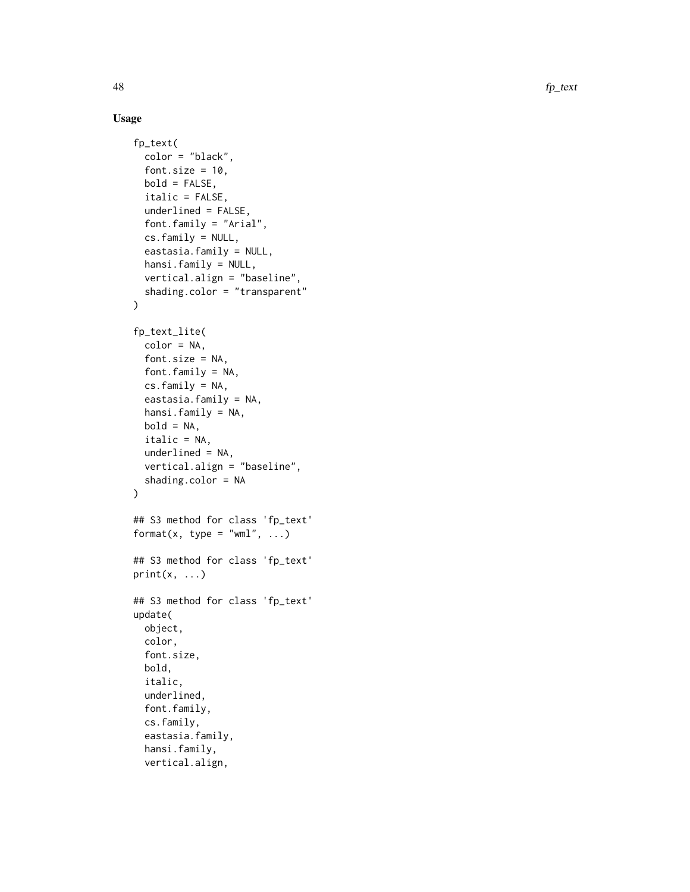48 fp\_text

### Usage

```
fp_text(
  color = "black",
  font.size = 10,
 bold = FALSE,italic = FALSE,
  underlined = FALSE,
  font.family = "Arial",
  cs.family = NULL,
  eastasia.family = NULL,
  hansi.family = NULL,
  vertical.align = "baseline",
  shading.color = "transparent"
\mathcal{L}fp_text_lite(
  color = NA,
  font.size = NA,
  font.family = NA,
  cs.family = NA,
  eastasia.family = NA,
  hansi.family = NA,
 bold = NA,italic = NA,
  underlined = NA,
  vertical.align = "baseline",
  shading.color = NA
)
## S3 method for class 'fp_text'
format(x, type = "wml", \dots)
## S3 method for class 'fp_text'
print(x, \ldots)## S3 method for class 'fp_text'
update(
 object,
  color,
  font.size,
  bold,
  italic,
  underlined,
  font.family,
  cs.family,
  eastasia.family,
  hansi.family,
  vertical.align,
```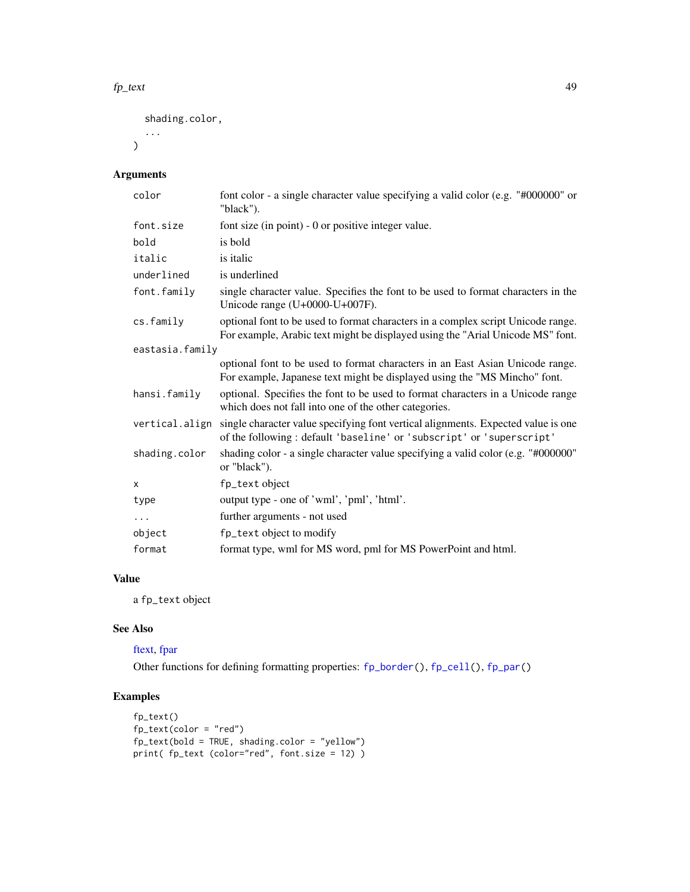#### $f_{\text{L}}$  text  $49$

shading.color,

...  $\mathcal{L}$ 

# Arguments

| color           | font color - a single character value specifying a valid color (e.g. "#000000" or<br>"black").                                                                           |  |
|-----------------|--------------------------------------------------------------------------------------------------------------------------------------------------------------------------|--|
| font.size       | font size (in point) - 0 or positive integer value.                                                                                                                      |  |
| bold            | is bold                                                                                                                                                                  |  |
| italic          | is italic                                                                                                                                                                |  |
| underlined      | is underlined                                                                                                                                                            |  |
| font.family     | single character value. Specifies the font to be used to format characters in the<br>Unicode range (U+0000-U+007F).                                                      |  |
| cs.family       | optional font to be used to format characters in a complex script Unicode range.<br>For example, Arabic text might be displayed using the "Arial Unicode MS" font.       |  |
| eastasia.family |                                                                                                                                                                          |  |
|                 | optional font to be used to format characters in an East Asian Unicode range.<br>For example, Japanese text might be displayed using the "MS Mincho" font.               |  |
| hansi.family    | optional. Specifies the font to be used to format characters in a Unicode range<br>which does not fall into one of the other categories.                                 |  |
|                 | vertical.align single character value specifying font vertical alignments. Expected value is one<br>of the following: default 'baseline' or 'subscript' or 'superscript' |  |
| shading.color   | shading color - a single character value specifying a valid color (e.g. "#000000"<br>or "black").                                                                        |  |
| X               | fp_text object                                                                                                                                                           |  |
| type            | output type - one of 'wml', 'pml', 'html'.                                                                                                                               |  |
| $\cdots$        | further arguments - not used                                                                                                                                             |  |
| object          | fp_text object to modify                                                                                                                                                 |  |
| format          | format type, wml for MS word, pml for MS PowerPoint and html.                                                                                                            |  |

# Value

a fp\_text object

# See Also

[ftext,](#page-49-0) [fpar](#page-41-0)

Other functions for defining formatting properties: [fp\\_border\(](#page-42-0)), [fp\\_cell\(](#page-43-0)), [fp\\_par\(](#page-45-0))

```
fp_text()
fp_text(color = "red")
fp_text(bold = TRUE, shading.color = "yellow")
print( fp_text (color="red", font.size = 12) )
```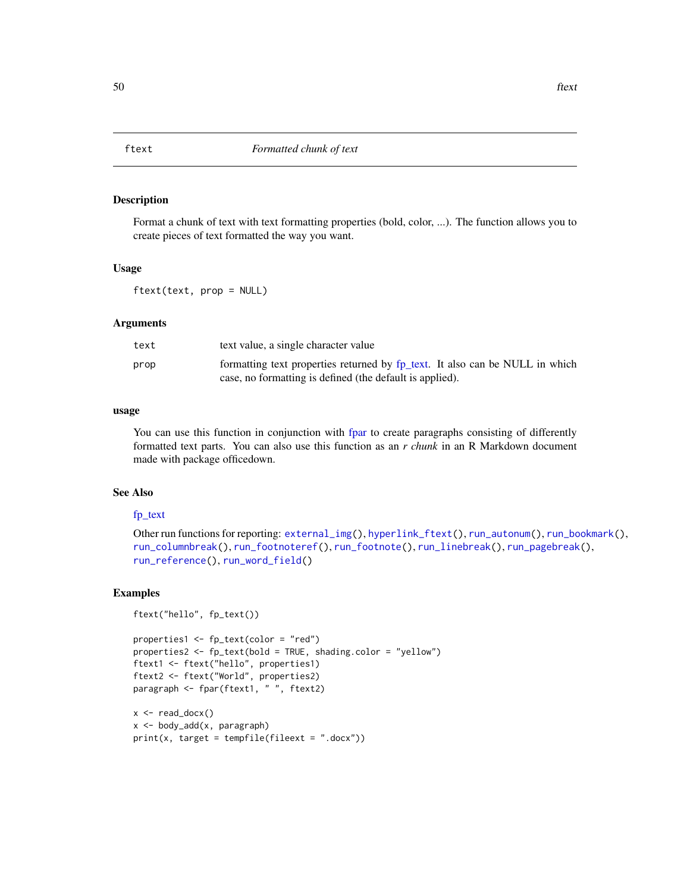<span id="page-49-0"></span>

Format a chunk of text with text formatting properties (bold, color, ...). The function allows you to create pieces of text formatted the way you want.

#### Usage

ftext(text, prop = NULL)

#### Arguments

| text | text value, a single character value                                         |
|------|------------------------------------------------------------------------------|
| prop | formatting text properties returned by fp_text. It also can be NULL in which |
|      | case, no formatting is defined (the default is applied).                     |

### usage

You can use this function in conjunction with [fpar](#page-41-0) to create paragraphs consisting of differently formatted text parts. You can also use this function as an *r chunk* in an R Markdown document made with package officedown.

### See Also

### [fp\\_text](#page-46-0)

```
Other run functions for reporting: external_img(), hyperlink_ftext(), run_autonum(), run_bookmark(),
run_columnbreak(), run_footnoteref(), run_footnote(), run_linebreak(), run_pagebreak(),
run_reference(), run_word_field()
```

```
ftext("hello", fp_text())
```

```
properties1 <- fp_text(color = "red")
properties2 <- fp_text(bold = TRUE, shading.color = "yellow")
ftext1 <- ftext("hello", properties1)
ftext2 <- ftext("World", properties2)
paragraph <- fpar(ftext1, " ", ftext2)
```

```
x \leftarrow \text{read\_docx}()x <- body_add(x, paragraph)
print(x, target = template(fileext = ".docx"))
```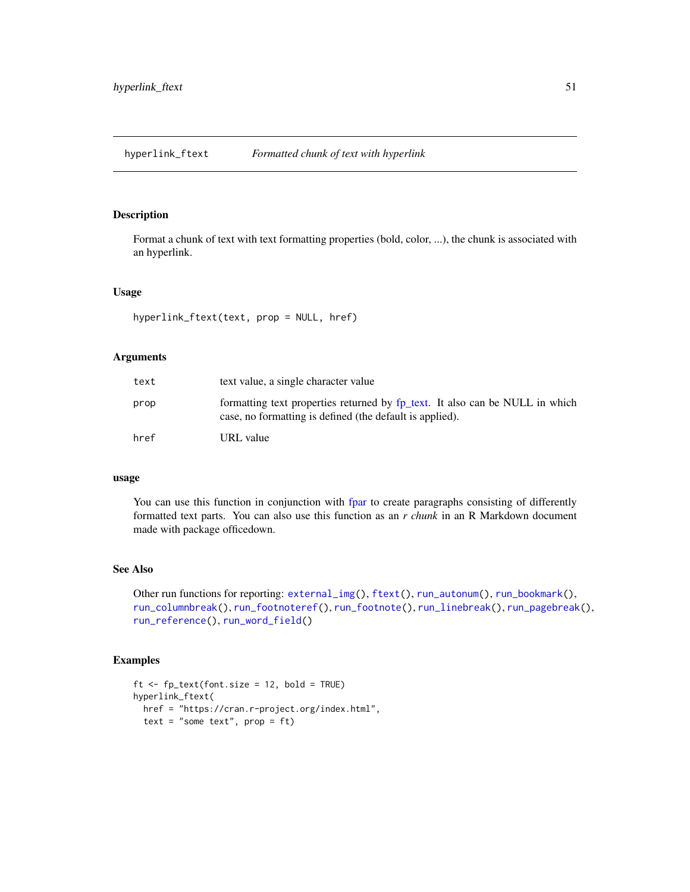<span id="page-50-0"></span>Format a chunk of text with text formatting properties (bold, color, ...), the chunk is associated with an hyperlink.

### Usage

```
hyperlink_ftext(text, prop = NULL, href)
```
### Arguments

| text | text value, a single character value                                                                                                     |
|------|------------------------------------------------------------------------------------------------------------------------------------------|
| prop | formatting text properties returned by fp_text. It also can be NULL in which<br>case, no formatting is defined (the default is applied). |
| href | URL value                                                                                                                                |

### usage

You can use this function in conjunction with [fpar](#page-41-0) to create paragraphs consisting of differently formatted text parts. You can also use this function as an *r chunk* in an R Markdown document made with package officedown.

### See Also

Other run functions for reporting: [external\\_img\(](#page-40-0)), [ftext\(](#page-49-0)), [run\\_autonum\(](#page-84-0)), [run\\_bookmark\(](#page-86-0)), [run\\_columnbreak\(](#page-87-0)), [run\\_footnoteref\(](#page-88-0)), [run\\_footnote\(](#page-87-1)), [run\\_linebreak\(](#page-89-0)), [run\\_pagebreak\(](#page-90-0)), [run\\_reference\(](#page-90-1)), [run\\_word\\_field\(](#page-91-0))

```
ft <- fp_text(font.size = 12, bold = TRUE)
hyperlink_ftext(
  href = "https://cran.r-project.org/index.html",
  text = "some text", prop = ft)
```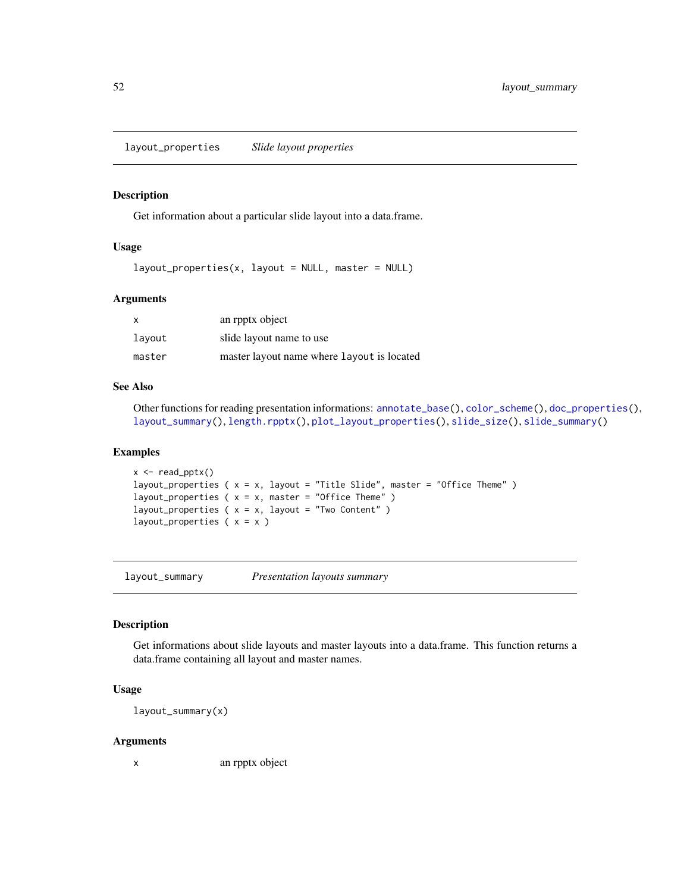<span id="page-51-0"></span>layout\_properties *Slide layout properties*

#### Description

Get information about a particular slide layout into a data.frame.

### Usage

 $layout\_properties(x, layout = NULL, master = NULL)$ 

### Arguments

| $\times$ | an rpptx object                            |
|----------|--------------------------------------------|
| lavout   | slide layout name to use                   |
| master   | master layout name where layout is located |

### See Also

Other functions for reading presentation informations: [annotate\\_base\(](#page-4-0)), [color\\_scheme\(](#page-33-0)), [doc\\_properties\(](#page-38-0)), [layout\\_summary\(](#page-51-1)), [length.rpptx\(](#page-53-0)), [plot\\_layout\\_properties\(](#page-76-0)), [slide\\_size\(](#page-97-0)), [slide\\_summary\(](#page-98-0))

### Examples

```
x \leftarrow \text{read\_pptx()}layout_properties (x = x, layout = "Title Slide", master = "Office Theme")
layout_properties (x = x, master = "Office Theme")
layout_properties (x = x, layout = "Two Content")
layout_properties ( x = x )
```
<span id="page-51-1"></span>layout\_summary *Presentation layouts summary*

### Description

Get informations about slide layouts and master layouts into a data.frame. This function returns a data.frame containing all layout and master names.

### Usage

layout\_summary(x)

#### Arguments

x an rpptx object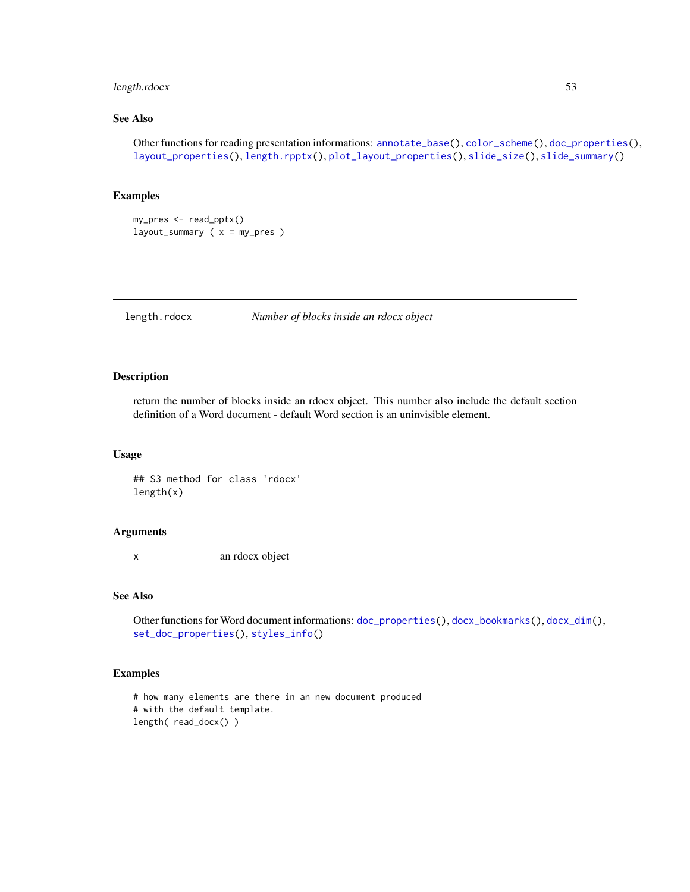# length.rdocx 53

## See Also

Other functions for reading presentation informations: [annotate\\_base\(](#page-4-0)), [color\\_scheme\(](#page-33-0)), [doc\\_properties\(](#page-38-0)), [layout\\_properties\(](#page-51-0)), [length.rpptx\(](#page-53-0)), [plot\\_layout\\_properties\(](#page-76-0)), [slide\\_size\(](#page-97-0)), [slide\\_summary\(](#page-98-0))

### Examples

my\_pres <- read\_pptx() layout\_summary ( x = my\_pres )

<span id="page-52-0"></span>length.rdocx *Number of blocks inside an rdocx object*

#### Description

return the number of blocks inside an rdocx object. This number also include the default section definition of a Word document - default Word section is an uninvisible element.

#### Usage

## S3 method for class 'rdocx' length(x)

#### Arguments

x an rdocx object

### See Also

Other functions for Word document informations: [doc\\_properties\(](#page-38-0)), [docx\\_bookmarks\(](#page-35-0)), [docx\\_dim\(](#page-36-0)), [set\\_doc\\_properties\(](#page-93-0)), [styles\\_info\(](#page-102-0))

```
# how many elements are there in an new document produced
# with the default template.
length( read_docx() )
```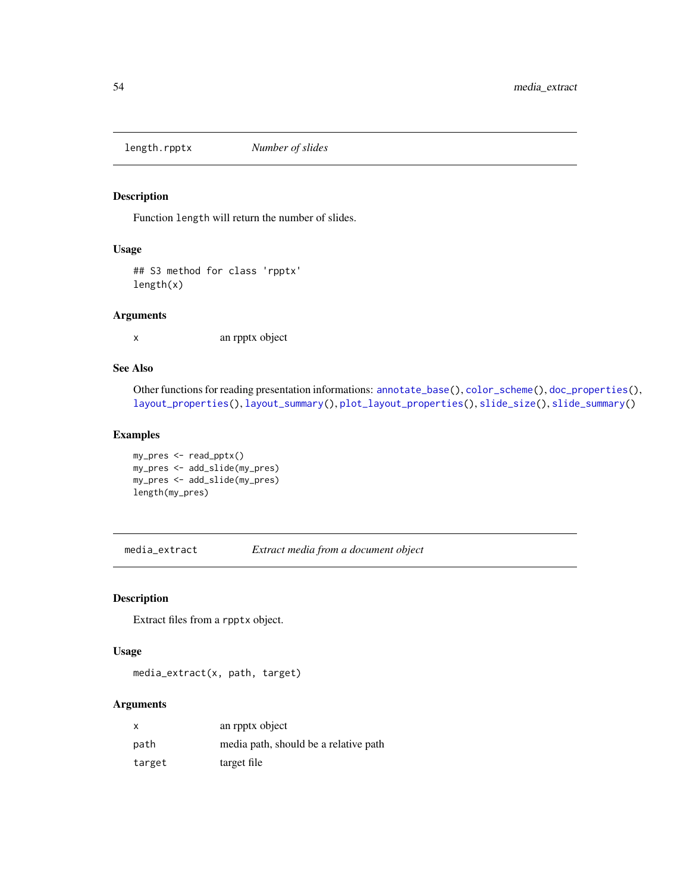<span id="page-53-0"></span>length.rpptx *Number of slides*

# Description

Function length will return the number of slides.

### Usage

## S3 method for class 'rpptx' length(x)

# Arguments

x an rpptx object

# See Also

Other functions for reading presentation informations: [annotate\\_base\(](#page-4-0)), [color\\_scheme\(](#page-33-0)), [doc\\_properties\(](#page-38-0)), [layout\\_properties\(](#page-51-0)), [layout\\_summary\(](#page-51-1)), [plot\\_layout\\_properties\(](#page-76-0)), [slide\\_size\(](#page-97-0)), [slide\\_summary\(](#page-98-0))

### Examples

```
my_pres <- read_pptx()
my_pres <- add_slide(my_pres)
my_pres <- add_slide(my_pres)
length(my_pres)
```
media\_extract *Extract media from a document object*

# Description

Extract files from a rpptx object.

# Usage

media\_extract(x, path, target)

#### Arguments

| X      | an rpptx object                       |
|--------|---------------------------------------|
| path   | media path, should be a relative path |
| target | target file                           |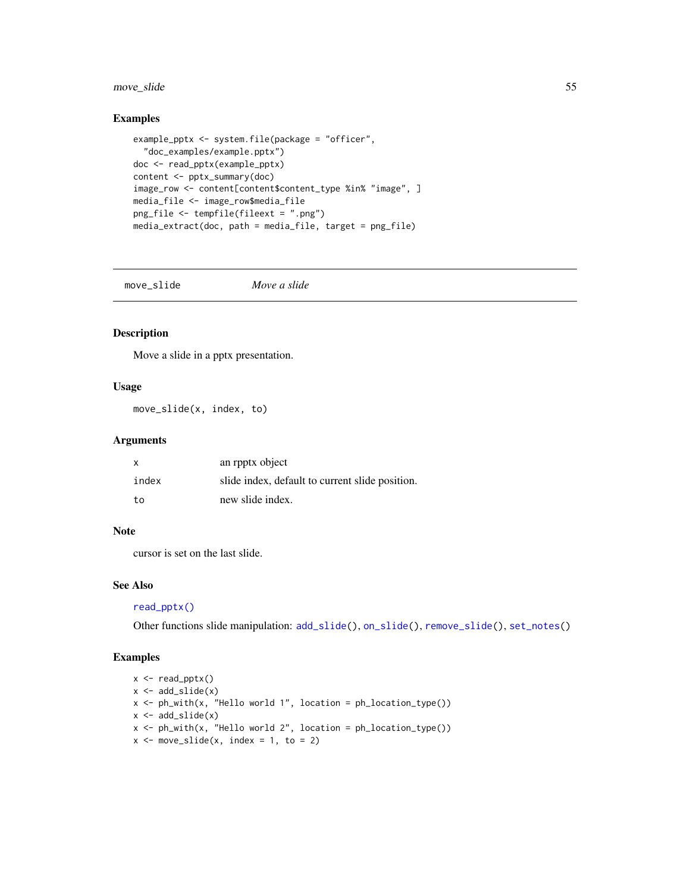# move\_slide 55

### Examples

```
example_pptx <- system.file(package = "officer",
  "doc_examples/example.pptx")
doc <- read_pptx(example_pptx)
content <- pptx_summary(doc)
image_row <- content[content$content_type %in% "image", ]
media_file <- image_row$media_file
png_file <- tempfile(fileext = ".png")
media_extract(doc, path = media_file, target = png_file)
```
<span id="page-54-0"></span>move\_slide *Move a slide*

# Description

Move a slide in a pptx presentation.

### Usage

move\_slide(x, index, to)

### Arguments

| $\times$ | an rpptx object                                 |
|----------|-------------------------------------------------|
| index    | slide index, default to current slide position. |
| to       | new slide index.                                |

### Note

cursor is set on the last slide.

#### See Also

# [read\\_pptx\(\)](#page-82-0)

Other functions slide manipulation: [add\\_slide\(](#page-4-1)), [on\\_slide\(](#page-57-0)), [remove\\_slide\(](#page-84-1)), [set\\_notes\(](#page-95-0))

```
x <- read_pptx()
x \leftarrow add\_slide(x)x \leq -ph\_with(x, "Hello world 1", location = ph\_location\_type())x \leftarrow add\_slide(x)x \leq -ph_with(x, "Hello world 2", location = ph\_location_type())x \le - move_slide(x, index = 1, to = 2)
```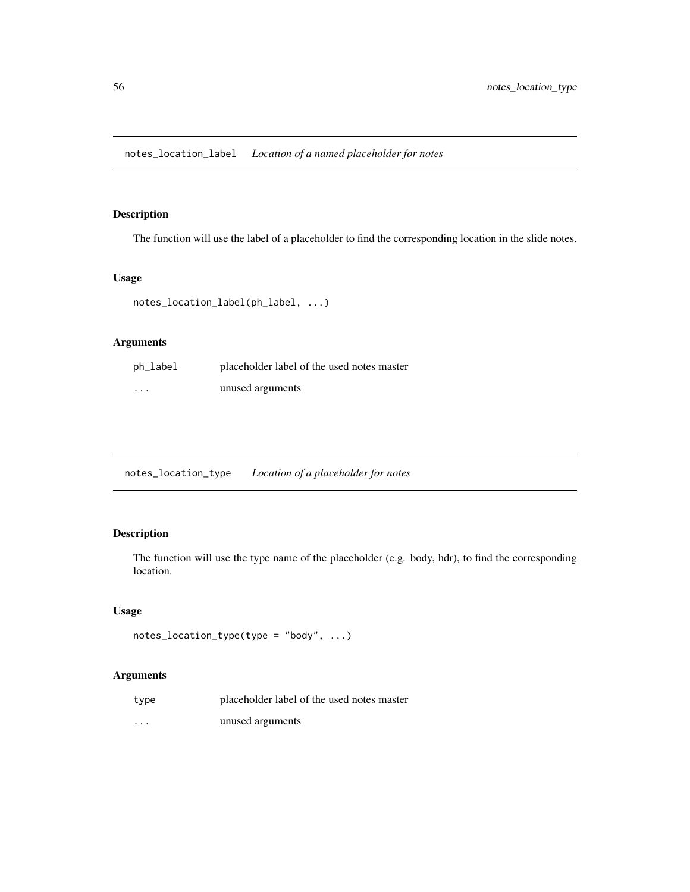The function will use the label of a placeholder to find the corresponding location in the slide notes.

# Usage

```
notes_location_label(ph_label, ...)
```
# Arguments

| ph_label | placeholder label of the used notes master |
|----------|--------------------------------------------|
| $\cdots$ | unused arguments                           |

notes\_location\_type *Location of a placeholder for notes*

# Description

The function will use the type name of the placeholder (e.g. body, hdr), to find the corresponding location.

# Usage

```
notes_location_type(type = "body", ...)
```
# Arguments

| type     | placeholder label of the used notes master |
|----------|--------------------------------------------|
| $\cdots$ | unused arguments                           |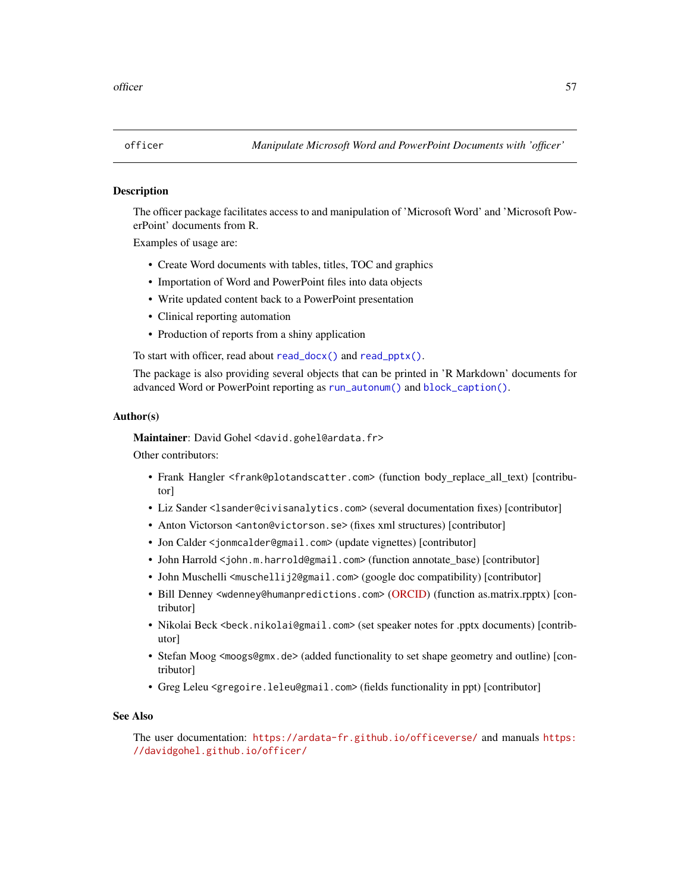The officer package facilitates access to and manipulation of 'Microsoft Word' and 'Microsoft PowerPoint' documents from R.

Examples of usage are:

- Create Word documents with tables, titles, TOC and graphics
- Importation of Word and PowerPoint files into data objects
- Write updated content back to a PowerPoint presentation
- Clinical reporting automation
- Production of reports from a shiny application

To start with officer, read about [read\\_docx\(\)](#page-81-0) and [read\\_pptx\(\)](#page-82-0).

The package is also providing several objects that can be printed in 'R Markdown' documents for advanced Word or PowerPoint reporting as [run\\_autonum\(\)](#page-84-0) and [block\\_caption\(\)](#page-6-0).

#### Author(s)

Maintainer: David Gohel <david.gohel@ardata.fr>

Other contributors:

- Frank Hangler <frank@plotandscatter.com> (function body\_replace\_all\_text) [contributor]
- Liz Sander <lsander@civisanalytics.com> (several documentation fixes) [contributor]
- Anton Victorson <anton@victorson.se> (fixes xml structures) [contributor]
- Jon Calder <jonmcalder@gmail.com> (update vignettes) [contributor]
- John Harrold <john.m.harrold@gmail.com> (function annotate\_base) [contributor]
- John Muschelli <muschellij2@gmail.com> (google doc compatibility) [contributor]
- Bill Denney <wdenney@humanpredictions.com> [\(ORCID\)](https://orcid.org/0000-0002-5759-428X) (function as.matrix.rpptx) [contributor]
- Nikolai Beck <beck.nikolai@gmail.com> (set speaker notes for .pptx documents) [contributor]
- Stefan Moog <moogs@gmx.de> (added functionality to set shape geometry and outline) [contributor]
- Greg Leleu <gregoire.leleu@gmail.com> (fields functionality in ppt) [contributor]

### See Also

The user documentation: <https://ardata-fr.github.io/officeverse/> and manuals [https:](https://davidgohel.github.io/officer/) [//davidgohel.github.io/officer/](https://davidgohel.github.io/officer/)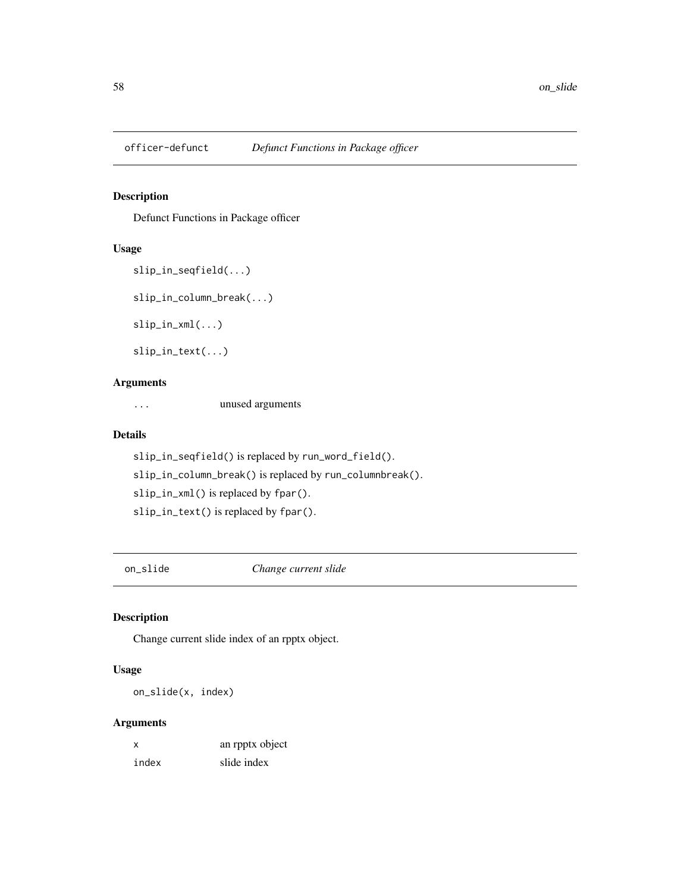Defunct Functions in Package officer

## Usage

```
slip_in_seqfield(...)
slip_in_column_break(...)
```
slip\_in\_xml(...)

slip\_in\_text(...)

### Arguments

... unused arguments

# Details

slip\_in\_seqfield() is replaced by run\_word\_field(). slip\_in\_column\_break() is replaced by run\_columnbreak(). slip\_in\_xml() is replaced by fpar(). slip\_in\_text() is replaced by fpar().

<span id="page-57-0"></span>on\_slide *Change current slide*

# Description

Change current slide index of an rpptx object.

# Usage

on\_slide(x, index)

# Arguments

| x     | an rpptx object |
|-------|-----------------|
| index | slide index     |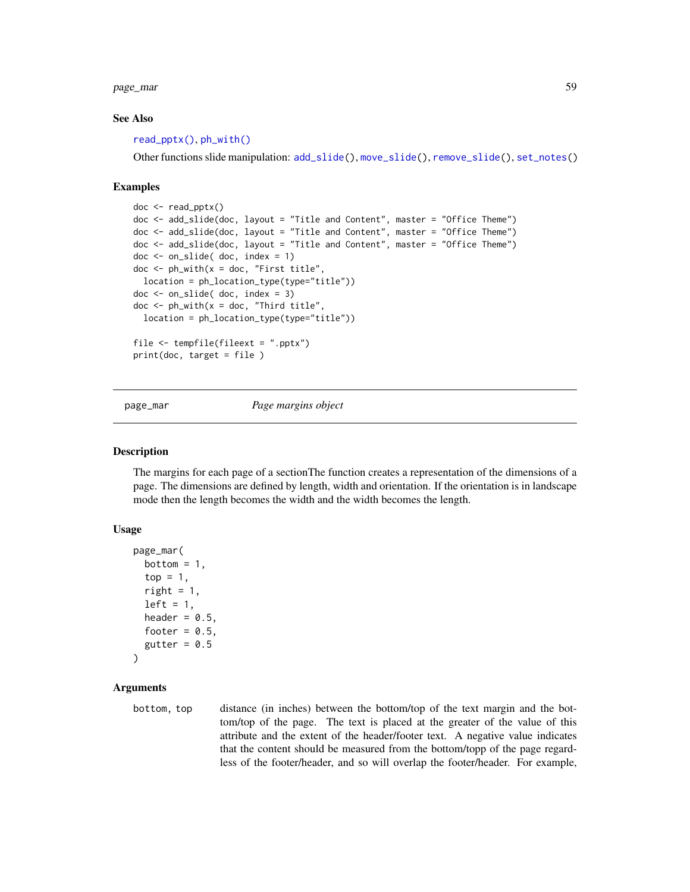page\_mar 59

#### See Also

[read\\_pptx\(\)](#page-82-0), [ph\\_with\(\)](#page-71-0)

Other functions slide manipulation: [add\\_slide\(](#page-4-1)), [move\\_slide\(](#page-54-0)), [remove\\_slide\(](#page-84-1)), [set\\_notes\(](#page-95-0))

#### Examples

```
doc <- read_pptx()
doc <- add_slide(doc, layout = "Title and Content", master = "Office Theme")
doc <- add_slide(doc, layout = "Title and Content", master = "Office Theme")
doc <- add_slide(doc, layout = "Title and Content", master = "Office Theme")
doc <- on_slide( doc, index = 1)
doc \leq ph_with(x = doc, "First title",
  location = ph_location_type(type="title"))
doc <- on_slide( doc, index = 3)
doc \leq ph_with(x = doc, "Third title",
  location = ph_location_type(type="title"))
file <- tempfile(fileext = ".pptx")
print(doc, target = file )
```
<span id="page-58-0"></span>page\_mar *Page margins object*

### Description

The margins for each page of a sectionThe function creates a representation of the dimensions of a page. The dimensions are defined by length, width and orientation. If the orientation is in landscape mode then the length becomes the width and the width becomes the length.

#### Usage

```
page_mar(
  bottom = 1,
  top = 1,
  right = 1,
  left = 1,
  header = 0.5,
  footer = 0.5,
  gutter = 0.5\lambda
```
### Arguments

bottom, top distance (in inches) between the bottom/top of the text margin and the bottom/top of the page. The text is placed at the greater of the value of this attribute and the extent of the header/footer text. A negative value indicates that the content should be measured from the bottom/topp of the page regardless of the footer/header, and so will overlap the footer/header. For example,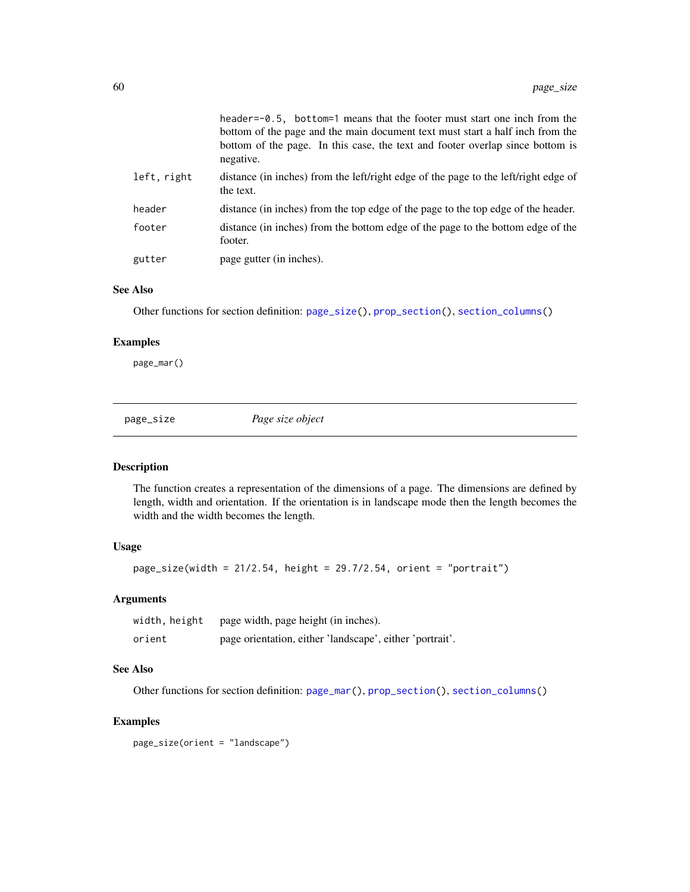|             | header= $-0.5$ , bottom=1 means that the footer must start one inch from the<br>bottom of the page and the main document text must start a half inch from the<br>bottom of the page. In this case, the text and footer overlap since bottom is<br>negative. |
|-------------|-------------------------------------------------------------------------------------------------------------------------------------------------------------------------------------------------------------------------------------------------------------|
| left, right | distance (in inches) from the left/right edge of the page to the left/right edge of<br>the text.                                                                                                                                                            |
| header      | distance (in inches) from the top edge of the page to the top edge of the header.                                                                                                                                                                           |
| footer      | distance (in inches) from the bottom edge of the page to the bottom edge of the<br>footer.                                                                                                                                                                  |
| gutter      | page gutter (in inches).                                                                                                                                                                                                                                    |

### See Also

Other functions for section definition: [page\\_size\(](#page-59-0)), [prop\\_section\(](#page-78-0)), [section\\_columns\(](#page-92-0))

## Examples

page\_mar()

<span id="page-59-0"></span>page\_size *Page size object*

### Description

The function creates a representation of the dimensions of a page. The dimensions are defined by length, width and orientation. If the orientation is in landscape mode then the length becomes the width and the width becomes the length.

## Usage

 $page\_size(width = 21/2.54, height = 29.7/2.54, orient = "portrait")$ 

# Arguments

| width, height | page width, page height (in inches).                     |
|---------------|----------------------------------------------------------|
| orient        | page orientation, either 'landscape', either 'portrait'. |

## See Also

Other functions for section definition: [page\\_mar\(](#page-58-0)), [prop\\_section\(](#page-78-0)), [section\\_columns\(](#page-92-0))

### Examples

page\_size(orient = "landscape")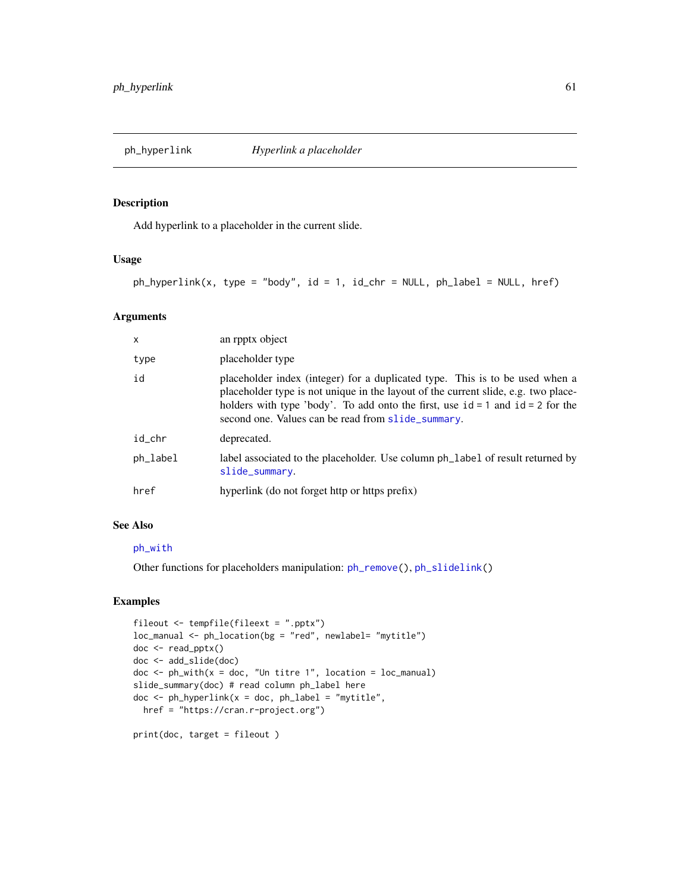<span id="page-60-0"></span>

Add hyperlink to a placeholder in the current slide.

### Usage

 $ph_{\text{hyperlink}(x, type = "body", id = 1, id_{\text{chr}} = NULL, ph_{\text{label}} = NULL}$ 

## Arguments

| $\mathsf{x}$ | an rpptx object                                                                                                                                                                                                                                                                                                |
|--------------|----------------------------------------------------------------------------------------------------------------------------------------------------------------------------------------------------------------------------------------------------------------------------------------------------------------|
| type         | placeholder type                                                                                                                                                                                                                                                                                               |
| id           | placeholder index (integer) for a duplicated type. This is to be used when a<br>placeholder type is not unique in the layout of the current slide, e.g. two place-<br>holders with type 'body'. To add onto the first, use $id = 1$ and $id = 2$ for the<br>second one. Values can be read from slide_summary. |
| id_chr       | deprecated.                                                                                                                                                                                                                                                                                                    |
| $ph$ abel    | label associated to the placeholder. Use column ph_label of result returned by<br>slide_summary.                                                                                                                                                                                                               |
| href         | hyperlink (do not forget http or https prefix)                                                                                                                                                                                                                                                                 |

#### See Also

#### [ph\\_with](#page-71-0)

Other functions for placeholders manipulation: [ph\\_remove\(](#page-69-0)), [ph\\_slidelink\(](#page-70-0))

```
fileout <- tempfile(fileext = ".pptx")
loc_manual <- ph_location(bg = "red", newlabel= "mytitle")
doc <- read_pptx()
doc <- add_slide(doc)
doc \leq ph_with(x = doc, "Un titre 1", location = loc_manual)
slide_summary(doc) # read column ph_label here
doc \le ph_hyperlink(x = doc, ph_label = "mytitle",
 href = "https://cran.r-project.org")
print(doc, target = fileout )
```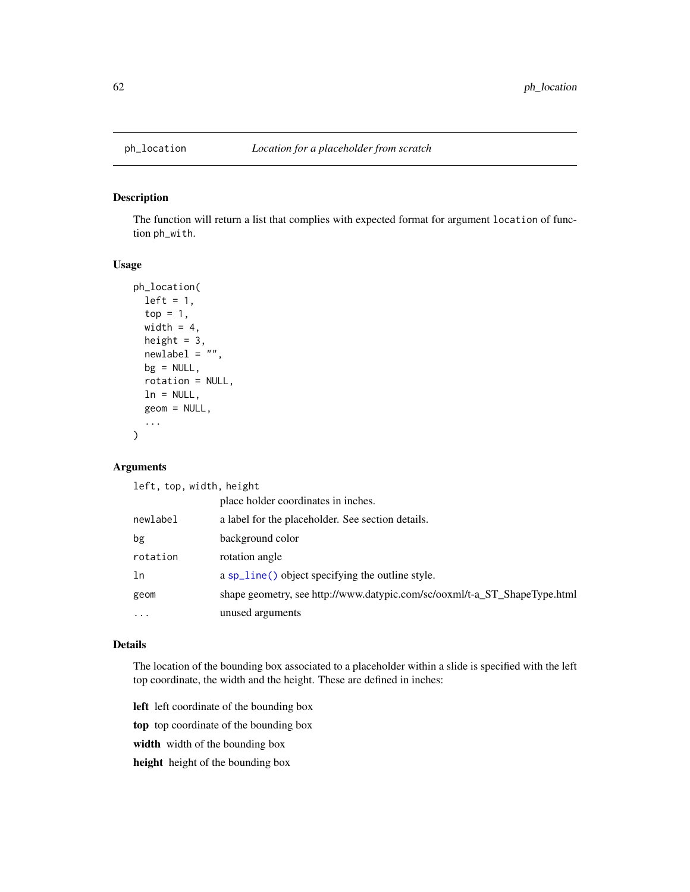The function will return a list that complies with expected format for argument location of function ph\_with.

# Usage

```
ph_location(
  left = 1,top = 1,
  width = 4,
  height = 3,
  newlabel = "",bg = NULL,rotation = NULL,
  ln = NULL,geom = NULL,
  ...
\mathcal{E}
```
# Arguments

left, top, width, height

|          | place holder coordinates in inches.                                       |
|----------|---------------------------------------------------------------------------|
| newlabel | a label for the placeholder. See section details.                         |
| bg       | background color                                                          |
| rotation | rotation angle                                                            |
| ln       | a sp_line() object specifying the outline style.                          |
| geom     | shape geometry, see http://www.datypic.com/sc/ooxml/t-a_ST_ShapeType.html |
| $\cdots$ | unused arguments                                                          |

### Details

The location of the bounding box associated to a placeholder within a slide is specified with the left top coordinate, the width and the height. These are defined in inches:

left left coordinate of the bounding box

top top coordinate of the bounding box

width width of the bounding box

height height of the bounding box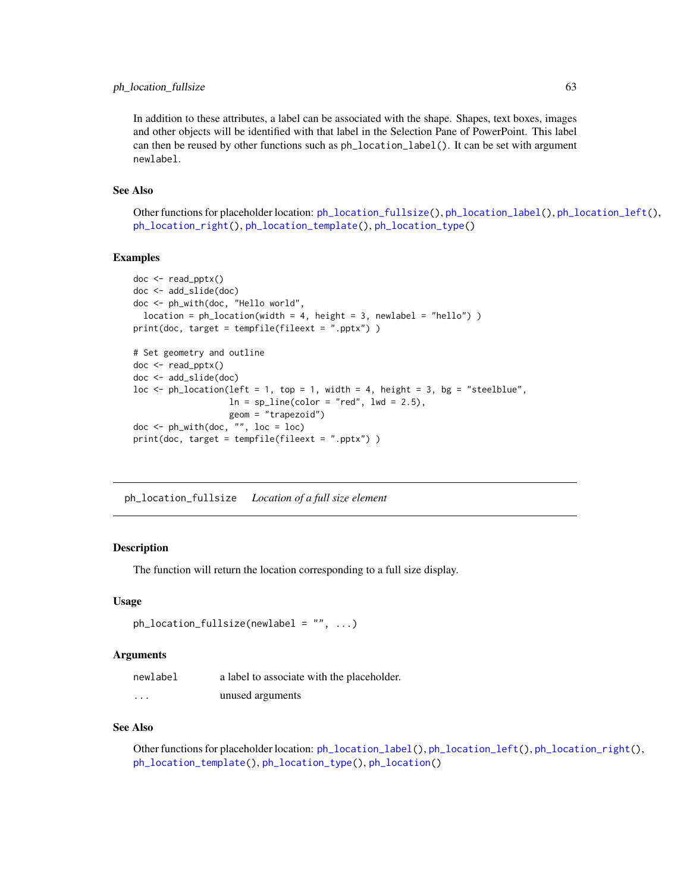### ph\_location\_fullsize 63

In addition to these attributes, a label can be associated with the shape. Shapes, text boxes, images and other objects will be identified with that label in the Selection Pane of PowerPoint. This label can then be reused by other functions such as ph\_location\_label(). It can be set with argument newlabel.

### See Also

Other functions for placeholder location: [ph\\_location\\_fullsize\(](#page-62-0)), [ph\\_location\\_label\(](#page-63-0)), [ph\\_location\\_left\(](#page-64-0)), [ph\\_location\\_right\(](#page-65-0)), [ph\\_location\\_template\(](#page-65-1)), [ph\\_location\\_type\(](#page-67-0))

## Examples

```
doc <- read_pptx()
doc <- add_slide(doc)
doc <- ph_with(doc, "Hello world",
 location = ph_location(width = 4, height = 3, newlabel = "hello") )
print(doc, target = tempfile(fileext = ".pptx") )
# Set geometry and outline
doc <- read_pptx()
doc <- add_slide(doc)
loc <- ph_location(left = 1, top = 1, width = 4, height = 3, bg = "steelblue",
                   ln = sp\_line(color = "red", lwd = 2.5),geom = "trapezoid")
doc < -ph_with(doc, "", loc = loc)print(doc, target = tempfile(fileext = ".pptx") )
```
<span id="page-62-0"></span>ph\_location\_fullsize *Location of a full size element*

### Description

The function will return the location corresponding to a full size display.

### Usage

```
ph\_location\_fullsize(newlabel = "", ...)
```
### Arguments

| newlabel | a label to associate with the placeholder. |
|----------|--------------------------------------------|
| $\cdots$ | unused arguments                           |

### See Also

Other functions for placeholder location: [ph\\_location\\_label\(](#page-63-0)), [ph\\_location\\_left\(](#page-64-0)), [ph\\_location\\_right\(](#page-65-0)), [ph\\_location\\_template\(](#page-65-1)), [ph\\_location\\_type\(](#page-67-0)), [ph\\_location\(](#page-61-0))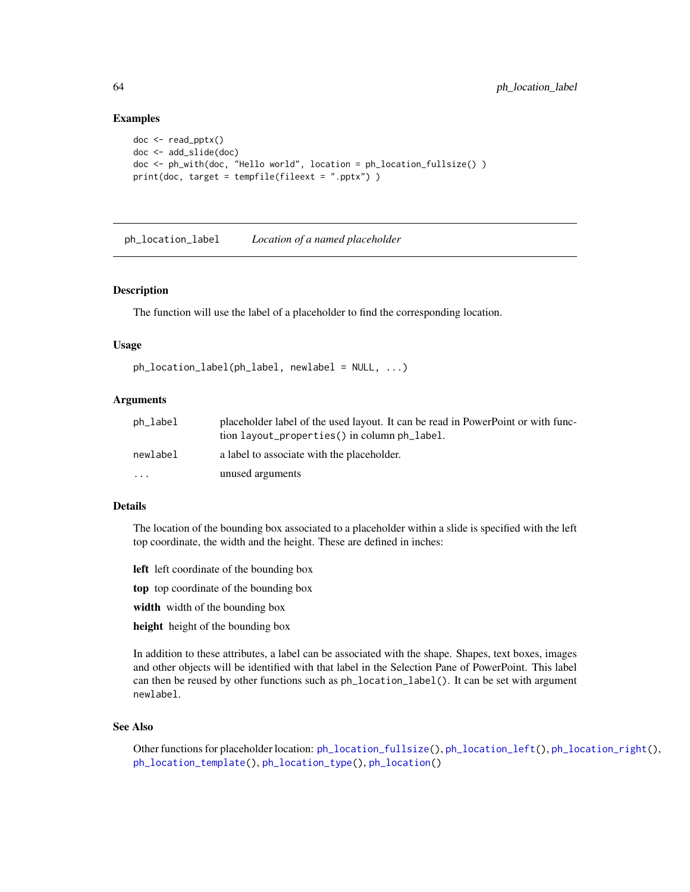### Examples

```
doc <- read_pptx()
doc <- add_slide(doc)
doc <- ph_with(doc, "Hello world", location = ph_location_fullsize() )
print(doc, target = tempfile(fileext = ".pptx") )
```
<span id="page-63-0"></span>ph\_location\_label *Location of a named placeholder*

### **Description**

The function will use the label of a placeholder to find the corresponding location.

#### Usage

```
ph\_location\_label(ph\_label, newlabel = NULL, ...)
```
### Arguments

| ph_label  | placeholder label of the used layout. It can be read in PowerPoint or with func-<br>tion layout_properties() in column ph_label. |
|-----------|----------------------------------------------------------------------------------------------------------------------------------|
| newlabel  | a label to associate with the placeholder.                                                                                       |
| $\ddotsc$ | unused arguments                                                                                                                 |

### Details

The location of the bounding box associated to a placeholder within a slide is specified with the left top coordinate, the width and the height. These are defined in inches:

- left left coordinate of the bounding box
- top top coordinate of the bounding box
- width width of the bounding box
- height height of the bounding box

In addition to these attributes, a label can be associated with the shape. Shapes, text boxes, images and other objects will be identified with that label in the Selection Pane of PowerPoint. This label can then be reused by other functions such as ph\_location\_label(). It can be set with argument newlabel.

#### See Also

Other functions for placeholder location: [ph\\_location\\_fullsize\(](#page-62-0)), [ph\\_location\\_left\(](#page-64-0)), [ph\\_location\\_right\(](#page-65-0)), [ph\\_location\\_template\(](#page-65-1)), [ph\\_location\\_type\(](#page-67-0)), [ph\\_location\(](#page-61-0))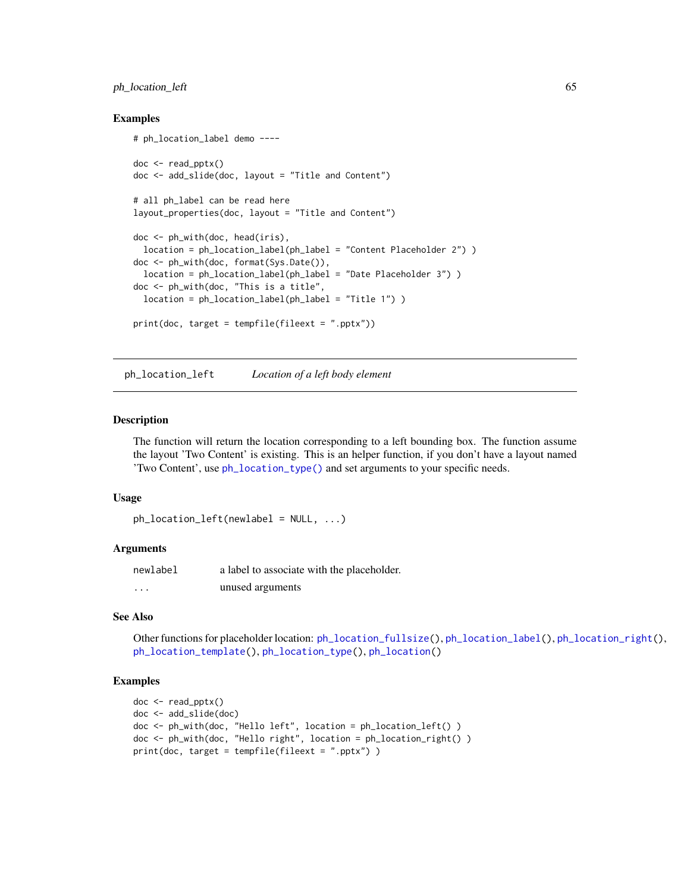# ph\_location\_left 65

### Examples

```
# ph_location_label demo ----
doc <- read_pptx()
doc <- add_slide(doc, layout = "Title and Content")
# all ph_label can be read here
layout_properties(doc, layout = "Title and Content")
doc <- ph_with(doc, head(iris),
  location = ph_location_label(ph_label = "Content Placeholder 2") )
doc <- ph_with(doc, format(Sys.Date()),
  location = ph_location_label(ph_label = "Date Placeholder 3") )
doc <- ph_with(doc, "This is a title",
  location = ph_location_label(ph_label = "Title 1") )
print(doc, target = tempfile(fileext = ".pptx"))
```
<span id="page-64-0"></span>ph\_location\_left *Location of a left body element*

#### **Description**

The function will return the location corresponding to a left bounding box. The function assume the layout 'Two Content' is existing. This is an helper function, if you don't have a layout named 'Two Content', use [ph\\_location\\_type\(\)](#page-67-0) and set arguments to your specific needs.

#### Usage

```
ph\_location\_left(newlabel = NULL, ...)
```
#### Arguments

| newlabel | a label to associate with the placeholder. |
|----------|--------------------------------------------|
| $\cdots$ | unused arguments                           |

### See Also

Other functions for placeholder location: [ph\\_location\\_fullsize\(](#page-62-0)), [ph\\_location\\_label\(](#page-63-0)), [ph\\_location\\_right\(](#page-65-0)), [ph\\_location\\_template\(](#page-65-1)), [ph\\_location\\_type\(](#page-67-0)), [ph\\_location\(](#page-61-0))

```
doc <- read_pptx()
doc <- add_slide(doc)
doc <- ph_with(doc, "Hello left", location = ph_location_left() )
doc <- ph_with(doc, "Hello right", location = ph_location_right() )
print(doc, target = tempfile(fileext = ".pptx") )
```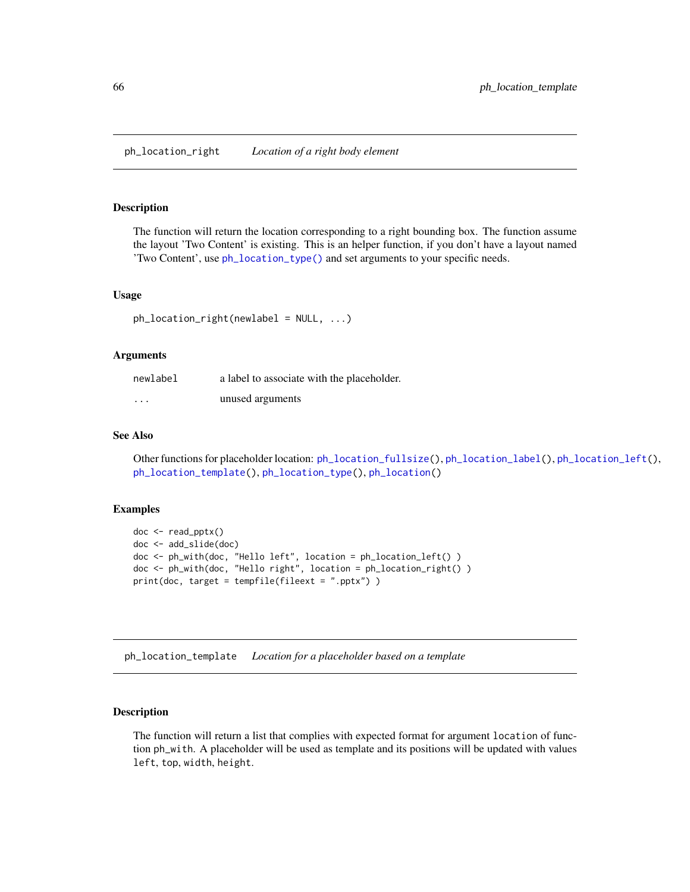<span id="page-65-0"></span>The function will return the location corresponding to a right bounding box. The function assume the layout 'Two Content' is existing. This is an helper function, if you don't have a layout named 'Two Content', use [ph\\_location\\_type\(\)](#page-67-0) and set arguments to your specific needs.

### Usage

```
ph_location_right(newlabel = NULL, ...)
```
### Arguments

| newlabel | a label to associate with the placeholder. |
|----------|--------------------------------------------|
| $\cdots$ | unused arguments                           |

## See Also

Other functions for placeholder location: [ph\\_location\\_fullsize\(](#page-62-0)), [ph\\_location\\_label\(](#page-63-0)), [ph\\_location\\_left\(](#page-64-0)), [ph\\_location\\_template\(](#page-65-1)), [ph\\_location\\_type\(](#page-67-0)), [ph\\_location\(](#page-61-0))

### Examples

```
doc <- read_pptx()
doc <- add_slide(doc)
doc <- ph_with(doc, "Hello left", location = ph_location_left() )
doc <- ph_with(doc, "Hello right", location = ph_location_right() )
print(doc, target = tempfile(fileext = ".pptx") )
```
<span id="page-65-1"></span>ph\_location\_template *Location for a placeholder based on a template*

### Description

The function will return a list that complies with expected format for argument location of function ph\_with. A placeholder will be used as template and its positions will be updated with values left, top, width, height.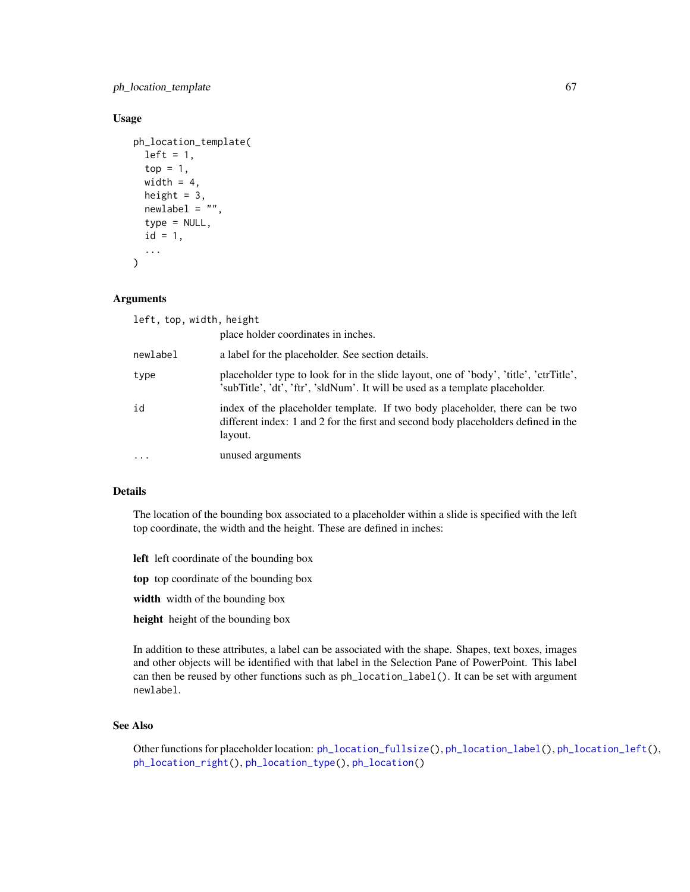ph\_location\_template 67

### Usage

```
ph_location_template(
  left = 1,top = 1,
 width = 4,
  height = 3,
  newlabel = "",
  type = NULL,
  id = 1,...
)
```
### Arguments

| left, top, width, height |                                                                                                                                                                               |
|--------------------------|-------------------------------------------------------------------------------------------------------------------------------------------------------------------------------|
|                          | place holder coordinates in inches.                                                                                                                                           |
| newlabel                 | a label for the placeholder. See section details.                                                                                                                             |
| type                     | placeholder type to look for in the slide layout, one of 'body', 'title', 'ctrTitle',<br>'subTitle', 'dt', 'ftr', 'sldNum'. It will be used as a template placeholder.        |
| id                       | index of the placeholder template. If two body placeholder, there can be two<br>different index: 1 and 2 for the first and second body placeholders defined in the<br>layout. |
| $\ddots$ .               | unused arguments                                                                                                                                                              |

# Details

The location of the bounding box associated to a placeholder within a slide is specified with the left top coordinate, the width and the height. These are defined in inches:

- left left coordinate of the bounding box
- top top coordinate of the bounding box
- width width of the bounding box
- height height of the bounding box

In addition to these attributes, a label can be associated with the shape. Shapes, text boxes, images and other objects will be identified with that label in the Selection Pane of PowerPoint. This label can then be reused by other functions such as  $ph\_location\_label()$ . It can be set with argument newlabel.

## See Also

Other functions for placeholder location: [ph\\_location\\_fullsize\(](#page-62-0)), [ph\\_location\\_label\(](#page-63-0)), [ph\\_location\\_left\(](#page-64-0)), [ph\\_location\\_right\(](#page-65-0)), [ph\\_location\\_type\(](#page-67-0)), [ph\\_location\(](#page-61-0))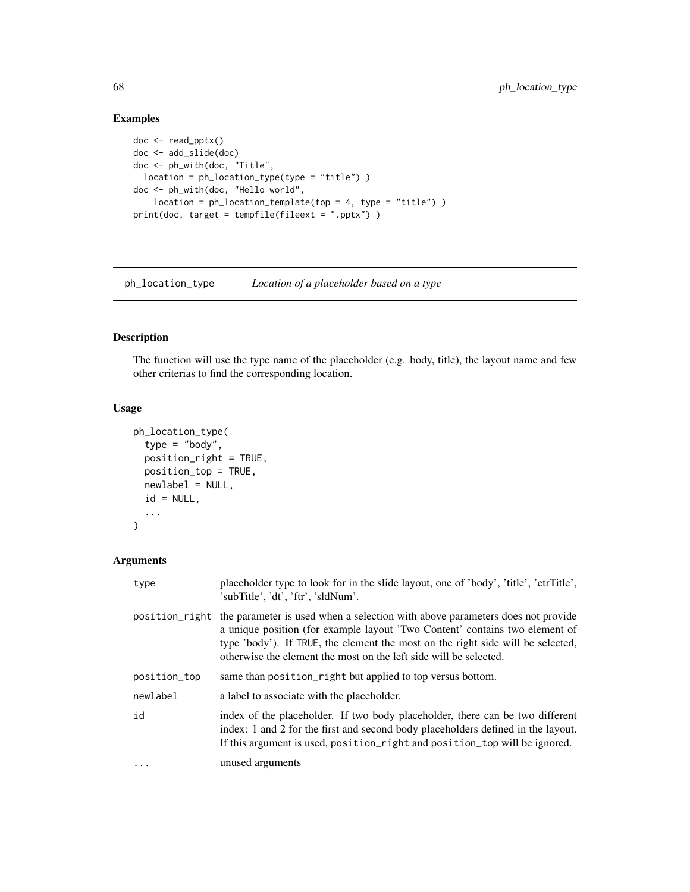# Examples

```
doc <- read_pptx()
doc <- add_slide(doc)
doc <- ph_with(doc, "Title",
 location = ph_location_type(type = "title") )
doc <- ph_with(doc, "Hello world",
   location = ph\_location\_template(top = 4, type = "title")print(doc, target = tempfile(fileext = ".pptx") )
```
<span id="page-67-0"></span>ph\_location\_type *Location of a placeholder based on a type*

## Description

The function will use the type name of the placeholder (e.g. body, title), the layout name and few other criterias to find the corresponding location.

# Usage

```
ph_location_type(
  type = "body",
 position_right = TRUE,
 position_top = TRUE,
 newlabel = NULL,
  id = NULL,...
)
```
## Arguments

| type           | placeholder type to look for in the slide layout, one of 'body', 'title', 'ctrTitle',<br>'subTitle', 'dt', 'ftr', 'sldNum'.                                                                                                                                                                                          |
|----------------|----------------------------------------------------------------------------------------------------------------------------------------------------------------------------------------------------------------------------------------------------------------------------------------------------------------------|
| position_right | the parameter is used when a selection with above parameters does not provide<br>a unique position (for example layout 'Two Content' contains two element of<br>type 'body'). If TRUE, the element the most on the right side will be selected,<br>otherwise the element the most on the left side will be selected. |
| position_top   | same than position_right but applied to top versus bottom.                                                                                                                                                                                                                                                           |
| newlabel       | a label to associate with the placeholder.                                                                                                                                                                                                                                                                           |
| id             | index of the placeholder. If two body placeholder, there can be two different<br>index: 1 and 2 for the first and second body placeholders defined in the layout.<br>If this argument is used, position_right and position_top will be ignored.                                                                      |
| $\ddots$ .     | unused arguments                                                                                                                                                                                                                                                                                                     |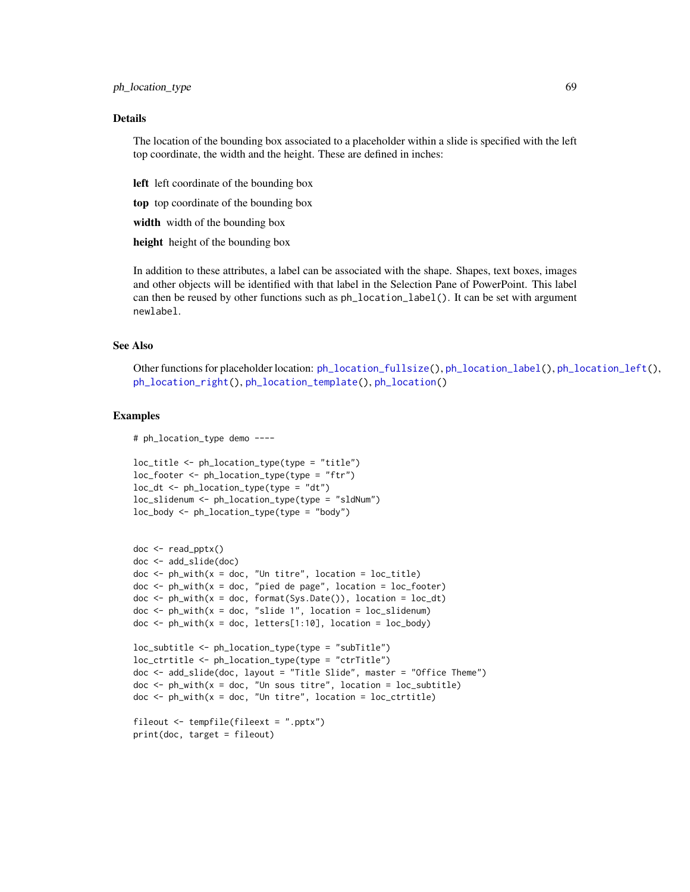#### ph\_location\_type 69

#### Details

The location of the bounding box associated to a placeholder within a slide is specified with the left top coordinate, the width and the height. These are defined in inches:

left left coordinate of the bounding box

top top coordinate of the bounding box

width width of the bounding box

height height of the bounding box

In addition to these attributes, a label can be associated with the shape. Shapes, text boxes, images and other objects will be identified with that label in the Selection Pane of PowerPoint. This label can then be reused by other functions such as ph\_location\_label(). It can be set with argument newlabel.

### See Also

Other functions for placeholder location: [ph\\_location\\_fullsize\(](#page-62-0)), [ph\\_location\\_label\(](#page-63-0)), [ph\\_location\\_left\(](#page-64-0)), [ph\\_location\\_right\(](#page-65-0)), [ph\\_location\\_template\(](#page-65-1)), [ph\\_location\(](#page-61-0))

#### Examples

# ph\_location\_type demo ----

```
loc_title <- ph_location_type(type = "title")
loc_footer <- ph_location_type(type = "ftr")
loc_d t \leq pl\_location\_type(type = "dt")loc_slidenum <- ph_location_type(type = "sldNum")
loc_body <- ph_location_type(type = "body")
```

```
doc <- read_pptx()
doc <- add_slide(doc)
doc \le ph_with(x = doc, "Un titre", location = loc_title)
doc <- ph_with(x = doc, "pied de page", location = loc_footer)
doc < -ph_with(x = doc, format(Sys.DataFrame()), location = loc_dt)
doc \le ph_with(x = doc, "slide 1", location = loc_slidenum)
doc < -ph_with(x = doc, letters[1:10], location = loc_body)loc_subtitle <- ph_location_type(type = "subTitle")
loc_ctrtitle <- ph_location_type(type = "ctrTitle")
doc <- add_slide(doc, layout = "Title Slide", master = "Office Theme")
doc <- ph_with(x = doc, "Un sous titre", location = loc_subtitle)
```
 $doc < -phi$ <sub>L</sub>with(x = doc, "Un titre", location = loc\_ctrtitle)

```
fileout <- tempfile(fileext = ".pptx")
```

```
print(doc, target = fileout)
```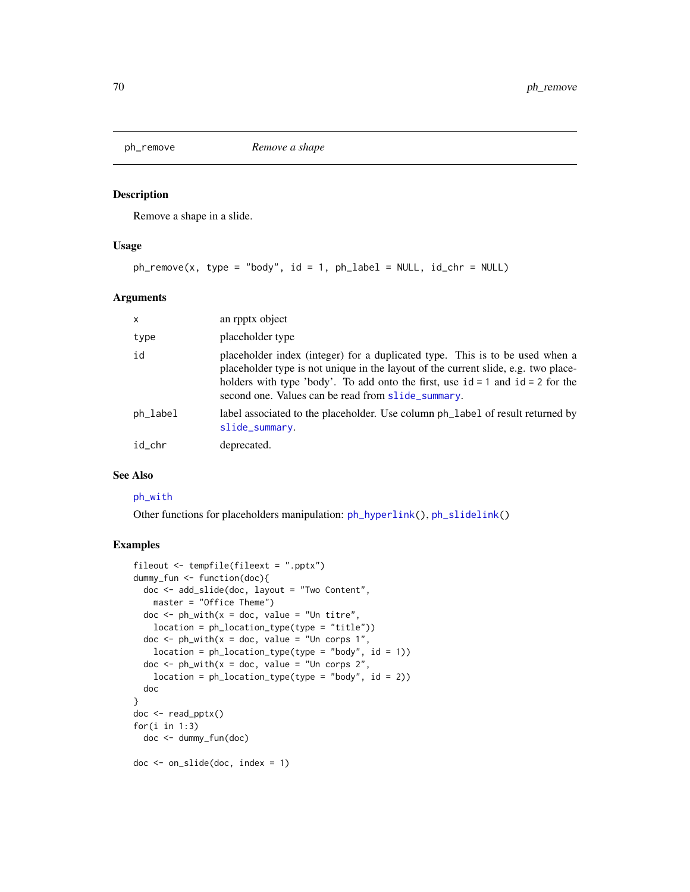<span id="page-69-0"></span>

Remove a shape in a slide.

### Usage

```
ph\_remove(x, type = "body", id = 1, ph\_label = NULL, id_chr = NULL)
```
### Arguments

| $\mathsf{x}$ | an rpptx object                                                                                                                                                                                                                                                                                                |
|--------------|----------------------------------------------------------------------------------------------------------------------------------------------------------------------------------------------------------------------------------------------------------------------------------------------------------------|
| type         | placeholder type                                                                                                                                                                                                                                                                                               |
| id           | placeholder index (integer) for a duplicated type. This is to be used when a<br>placeholder type is not unique in the layout of the current slide, e.g. two place-<br>holders with type 'body'. To add onto the first, use $id = 1$ and $id = 2$ for the<br>second one. Values can be read from slide_summary. |
| ph_label     | label associated to the placeholder. Use column ph_label of result returned by<br>slide_summary.                                                                                                                                                                                                               |
| id chr       | deprecated.                                                                                                                                                                                                                                                                                                    |

### See Also

### [ph\\_with](#page-71-0)

Other functions for placeholders manipulation: [ph\\_hyperlink\(](#page-60-0)), [ph\\_slidelink\(](#page-70-0))

```
fileout <- tempfile(fileext = ".pptx")
dummy_fun <- function(doc){
  doc <- add_slide(doc, layout = "Two Content",
   master = "Office Theme")
  doc \leq ph_with(x = doc, value = "Un titre",
   location = ph_location_type(type = "title"))
  doc \leq ph_with(x = doc, value = "Un corps 1",
   location = ph\_location\_type(type = "body", id = 1))doc \leq ph_with(x = doc, value = "Un corps 2",
   location = ph\_location\_type(type = "body", id = 2))doc
}
doc <- read_pptx()
for(i in 1:3)doc <- dummy_fun(doc)
doc <- on_slide(doc, index = 1)
```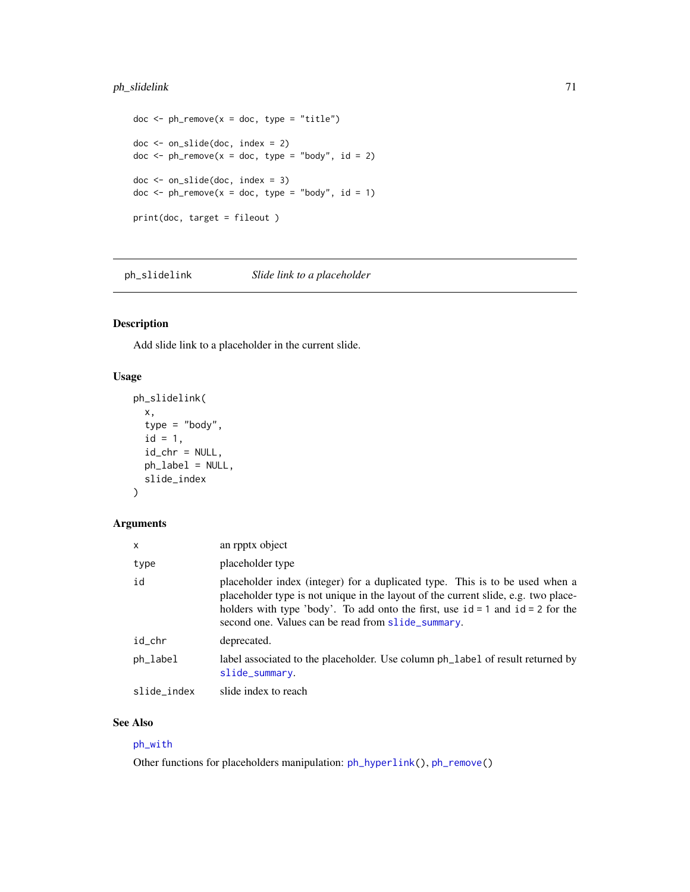# ph\_slidelink 71

```
doc < -ph_{remove}(x = doc, type = "title")doc <- on_slide(doc, index = 2)
doc \le - ph_remove(x = doc, type = "body", id = 2)
doc <- on_slide(doc, index = 3)
doc \le- ph_remove(x = doc, type = "body", id = 1)
print(doc, target = fileout )
```
<span id="page-70-0"></span>ph\_slidelink *Slide link to a placeholder*

# Description

Add slide link to a placeholder in the current slide.

### Usage

```
ph_slidelink(
  x,
  type = "body",
  id = 1,id_chr = NULL,
  ph_label = NULL,
  slide_index
\mathcal{L}
```
### Arguments

| $\mathsf{x}$ | an rpptx object                                                                                                                                                                                                                                                                                                |
|--------------|----------------------------------------------------------------------------------------------------------------------------------------------------------------------------------------------------------------------------------------------------------------------------------------------------------------|
| type         | placeholder type                                                                                                                                                                                                                                                                                               |
| id           | placeholder index (integer) for a duplicated type. This is to be used when a<br>placeholder type is not unique in the layout of the current slide, e.g. two place-<br>holders with type 'body'. To add onto the first, use $id = 1$ and $id = 2$ for the<br>second one. Values can be read from slide_summary. |
| id_chr       | deprecated.                                                                                                                                                                                                                                                                                                    |
| ph_label     | label associated to the placeholder. Use column ph_label of result returned by<br>slide_summary.                                                                                                                                                                                                               |
| slide_index  | slide index to reach                                                                                                                                                                                                                                                                                           |

### See Also

# [ph\\_with](#page-71-0)

Other functions for placeholders manipulation: [ph\\_hyperlink\(](#page-60-0)), [ph\\_remove\(](#page-69-0))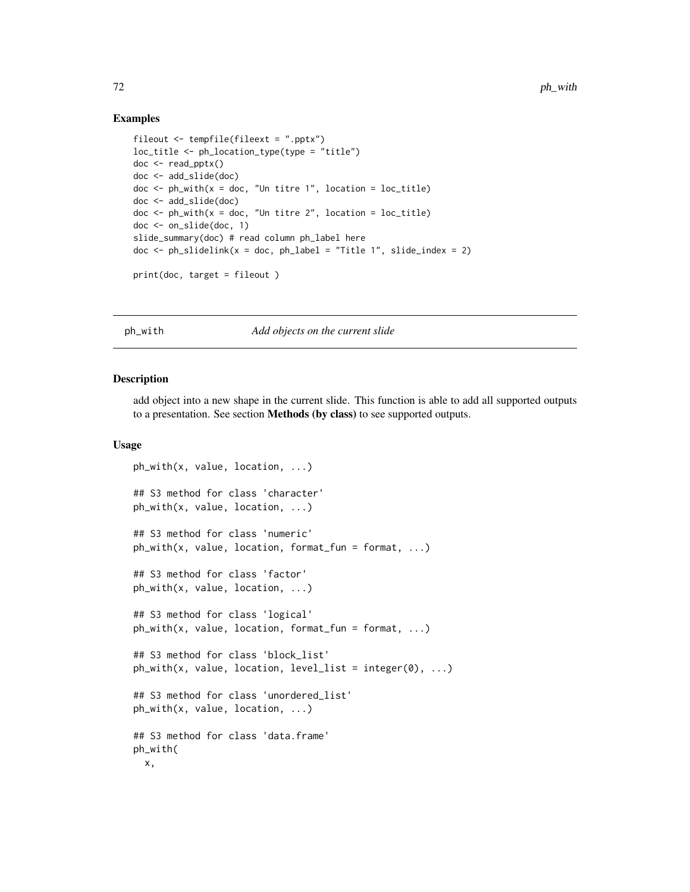### Examples

```
fileout <- tempfile(fileext = ".pptx")
loc_title <- ph_location_type(type = "title")
doc <- read_pptx()
doc <- add_slide(doc)
doc < -ph_with(x = doc, "Un titre 1", location = loc\_title)doc <- add_slide(doc)
doc \leq ph_with(x = doc, "Un titre 2", location = loc_title)
doc <- on_slide(doc, 1)
slide_summary(doc) # read column ph_label here
doc \le ph_slidelink(x = doc, ph_label = "Title 1", slide_index = 2)
print(doc, target = fileout )
```
### <span id="page-71-0"></span>ph\_with *Add objects on the current slide*

#### Description

add object into a new shape in the current slide. This function is able to add all supported outputs to a presentation. See section Methods (by class) to see supported outputs.

#### Usage

```
ph_with(x, value, location, ...)
## S3 method for class 'character'
ph_with(x, value, location, ...)
## S3 method for class 'numeric'
ph_with(x, value, location, format_fun = format, ...)
## S3 method for class 'factor'
ph_with(x, value, location, ...)
## S3 method for class 'logical'
ph_with(x, value, location, format_fun = format, ...)
## S3 method for class 'block_list'
ph_with(x, value, location, level_list = integer(0), ...)## S3 method for class 'unordered_list'
ph_with(x, value, location, ...)
## S3 method for class 'data.frame'
ph_with(
 x,
```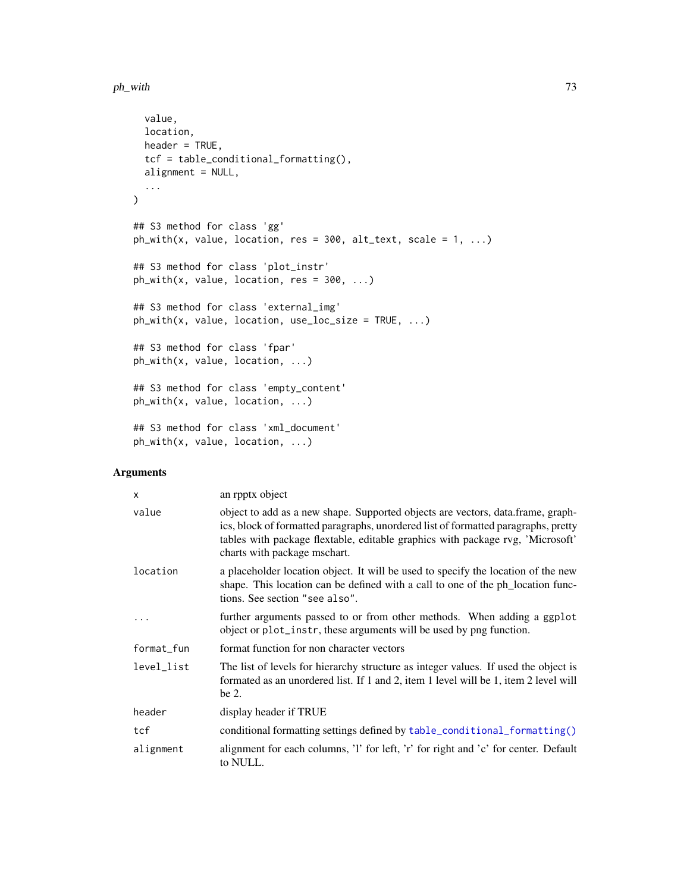```
value,
 location,
 header = TRUE,
 tcf = table_conditional_formatting(),
  alignment = NULL,
  ...
\mathcal{L}## S3 method for class 'gg'
ph_with(x, value, location, res = 300, alt\_text, scale = 1, ...)## S3 method for class 'plot_instr'
ph_with(x, value, location, res = 300, ...)## S3 method for class 'external_img'
ph_with(x, value, location, use_loc_size = TRUE, ...)
## S3 method for class 'fpar'
ph_with(x, value, location, ...)
## S3 method for class 'empty_content'
ph_with(x, value, location, ...)
## S3 method for class 'xml_document'
```
ph\_with(x, value, location, ...)

# Arguments

| $\times$   | an rpptx object                                                                                                                                                                                                                                                                         |
|------------|-----------------------------------------------------------------------------------------------------------------------------------------------------------------------------------------------------------------------------------------------------------------------------------------|
| value      | object to add as a new shape. Supported objects are vectors, data.frame, graph-<br>ics, block of formatted paragraphs, unordered list of formatted paragraphs, pretty<br>tables with package flextable, editable graphics with package rvg, 'Microsoft'<br>charts with package mschart. |
| location   | a placeholder location object. It will be used to specify the location of the new<br>shape. This location can be defined with a call to one of the ph_location func-<br>tions. See section "see also".                                                                                  |
|            | further arguments passed to or from other methods. When adding a ggplot<br>object or plot_instr, these arguments will be used by png function.                                                                                                                                          |
| format_fun | format function for non character vectors                                                                                                                                                                                                                                               |
| level_list | The list of levels for hierarchy structure as integer values. If used the object is<br>formated as an unordered list. If 1 and 2, item 1 level will be 1, item 2 level will<br>be 2.                                                                                                    |
| header     | display header if TRUE                                                                                                                                                                                                                                                                  |
| tcf        | conditional formatting settings defined by table_conditional_formatting()                                                                                                                                                                                                               |
| alignment  | alignment for each columns, 'l' for left, 'r' for right and 'c' for center. Default<br>to NULL.                                                                                                                                                                                         |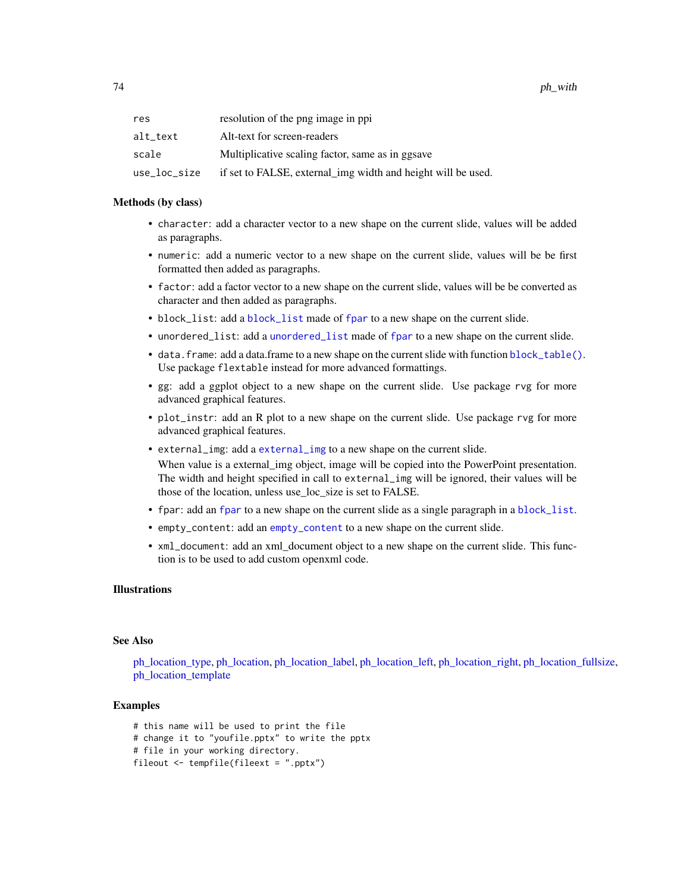| res          | resolution of the png image in ppi                           |
|--------------|--------------------------------------------------------------|
| alt text     | Alt-text for screen-readers                                  |
| scale        | Multiplicative scaling factor, same as in ggsave             |
| use loc size | if set to FALSE, external_img width and height will be used. |

#### Methods (by class)

- character: add a character vector to a new shape on the current slide, values will be added as paragraphs.
- numeric: add a numeric vector to a new shape on the current slide, values will be be first formatted then added as paragraphs.
- factor: add a factor vector to a new shape on the current slide, values will be be converted as character and then added as paragraphs.
- block\_list: add a [block\\_list](#page-7-0) made of [fpar](#page-41-0) to a new shape on the current slide.
- unordered\_list: add a [unordered\\_list](#page-106-0) made of [fpar](#page-41-0) to a new shape on the current slide.
- data.frame: add a data.frame to a new shape on the current slide with function [block\\_table\(\)](#page-10-0). Use package flextable instead for more advanced formattings.
- gg: add a ggplot object to a new shape on the current slide. Use package rvg for more advanced graphical features.
- plot\_instr: add an R plot to a new shape on the current slide. Use package rvg for more advanced graphical features.
- external\_img: add a [external\\_img](#page-40-0) to a new shape on the current slide.

When value is a external\_img object, image will be copied into the PowerPoint presentation. The width and height specified in call to external\_img will be ignored, their values will be those of the location, unless use loc size is set to FALSE.

- fpar: add an [fpar](#page-41-0) to a new shape on the current slide as a single paragraph in a [block\\_list](#page-7-0).
- empty\_content: add an [empty\\_content](#page-39-0) to a new shape on the current slide.
- xml\_document: add an xml\_document object to a new shape on the current slide. This function is to be used to add custom openxml code.

### Illustrations

### See Also

[ph\\_location\\_type,](#page-67-0) [ph\\_location,](#page-61-0) [ph\\_location\\_label,](#page-63-0) [ph\\_location\\_left,](#page-64-0) [ph\\_location\\_right,](#page-65-0) [ph\\_location\\_fullsize,](#page-62-0) [ph\\_location\\_template](#page-65-1)

```
# this name will be used to print the file
# change it to "youfile.pptx" to write the pptx
# file in your working directory.
fileout <- tempfile(fileext = ".pptx")
```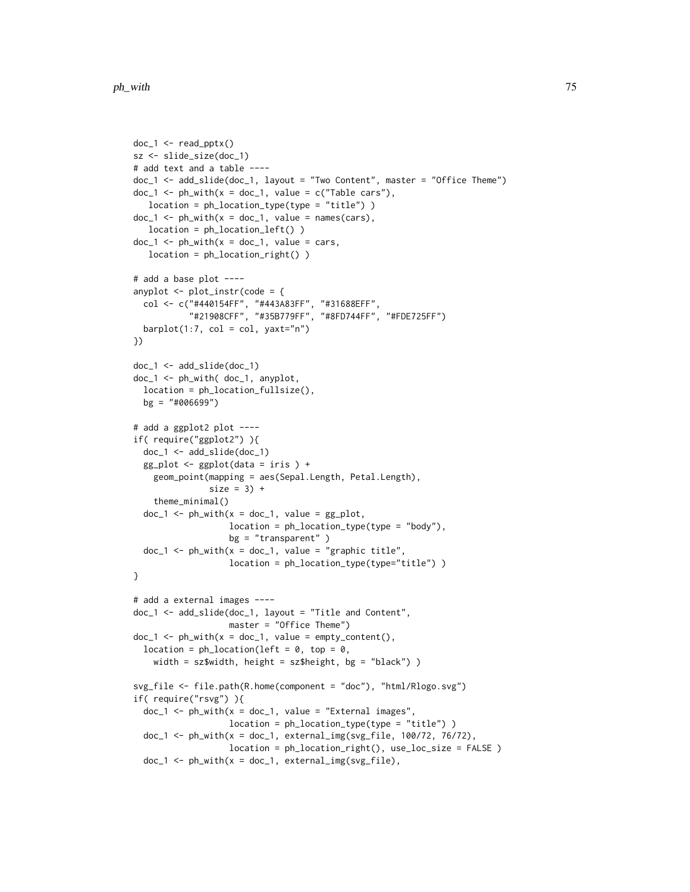```
doc_1 < - read_pptx()
sz <- slide_size(doc_1)
# add text and a table ----
doc_1 <- add_slide(doc_1, layout = "Two Content", master = "Office Theme")
doc_1 < -ph_with(x = doc_1, value = c("Table cars"),location = ph_location_type(type = "title") )
doc_1 \leftarrow ph\_with(x = doc_1, value = names(cars),location = ph_location_left() )
doc_1 < -ph_with(x = doc_1, value = cars,location = ph_location_right() )
# add a base plot ----
anyplot \leq plot_instr(code = {
  col <- c("#440154FF", "#443A83FF", "#31688EFF",
           "#21908CFF", "#35B779FF", "#8FD744FF", "#FDE725FF")
 barplot(1:7, col = col, yaxt="n")
})
doc_1 <- add_slide(doc_1)
doc_1 <- ph_with( doc_1, anyplot,
 location = ph_location_fullsize(),
 bg = "#006699")
# add a ggplot2 plot ----
if( require("ggplot2") ){
 doc_1 <- add_slide(doc_1)
 gg_plot <- ggplot(data = iris ) +
   geom_point(mapping = aes(Sepal.Length, Petal.Length),
               size = 3) +
   theme_minimal()
 doc_1 < -ph_with(x = doc_1, value = gg_plot,location = ph_location_type(type = "body"),
                   bg = "transparent")
 doc_1 \leftarrow ph\_with(x = doc_1, value = "graphic title",location = ph_location_type(type="title") )
}
# add a external images ----
doc_1 <- add_slide(doc_1, layout = "Title and Content",
                   master = "Office Theme")
doc_1 < -ph_with(x = doc_1, value = empty_count(t),location = ph\_location(left = 0, top = 0,width = sz$width, height = sz$height, bg = "black") )
svg_file <- file.path(R.home(component = "doc"), "html/Rlogo.svg")
if( require("rsvg") ){
 doc_1 \leftarrow ph\_with(x = doc_1, value = "External images",location = ph_location_type(type = "title") )
 doc_1 <- ph_with(x = doc_1, external_img(svg_file, 100/72, 76/72),
                   location = ph_location_right(), use_loc_size = FALSE )
 doc_1 \leftarrow ph\_with(x = doc_1, external_img(sys_file),
```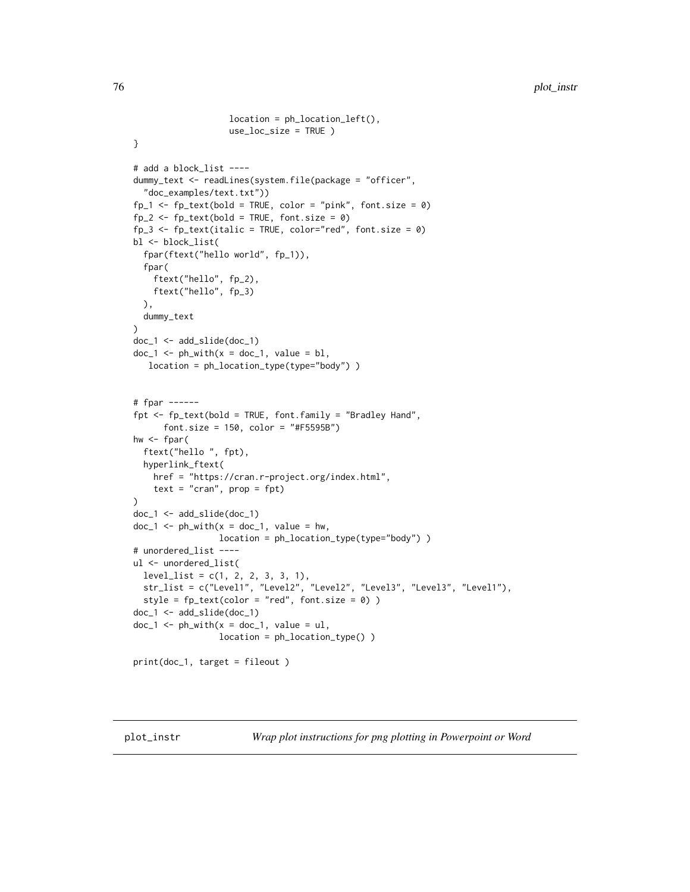```
location = ph_location_left(),
                   use_loc_size = TRUE )
}
# add a block_list ----
dummy_text <- readLines(system.file(package = "officer",
 "doc_examples/text.txt"))
fp_1 \leftarrow fp_text(bold = TRUE, color = "pink", font.size = 0)fp_2 \leftarrow fp_text(bold = TRUE, font.size = 0)fp_3 \leftarrow fp_text(italic = TRUE, color='red", font.size = 0)bl <- block_list(
 fpar(ftext("hello world", fp_1)),
 fpar(
   ftext("hello", fp_2),
   ftext("hello", fp_3)
 ),
 dummy_text
\mathcal{L}doc_1 <- add_slide(doc_1)
doc_1 < -ph_with(x = doc_1, value = bl,location = ph_location_type(type="body") )
# fpar ------
fpt <- fp_text(bold = TRUE, font.family = "Bradley Hand",
      font.size = 150, color = "#F5595B")
hw \leftarrow fpar(
 ftext("hello ", fpt),
 hyperlink_ftext(
   href = "https://cran.r-project.org/index.html",
   text = "cran", prop = fpt)\mathcal{L}doc_1 <- add_slide(doc_1)
doc_1 < -ph_with(x = doc_1, value = hw,location = ph_location_type(type="body") )
# unordered_list ----
ul <- unordered_list(
 level_list = c(1, 2, 2, 3, 3, 1),str_list = c("Level1", "Level2", "Level2", "Level3", "Level3", "Level1"),
 style = fp_{text{(color = "red", font.size = 0)}doc_1 <- add_slide(doc_1)
doc_1 < -ph_with(x = doc_1, value = ul,location = ph_location_type() )
print(doc_1, target = fileout )
```
<span id="page-75-0"></span>plot\_instr *Wrap plot instructions for png plotting in Powerpoint or Word*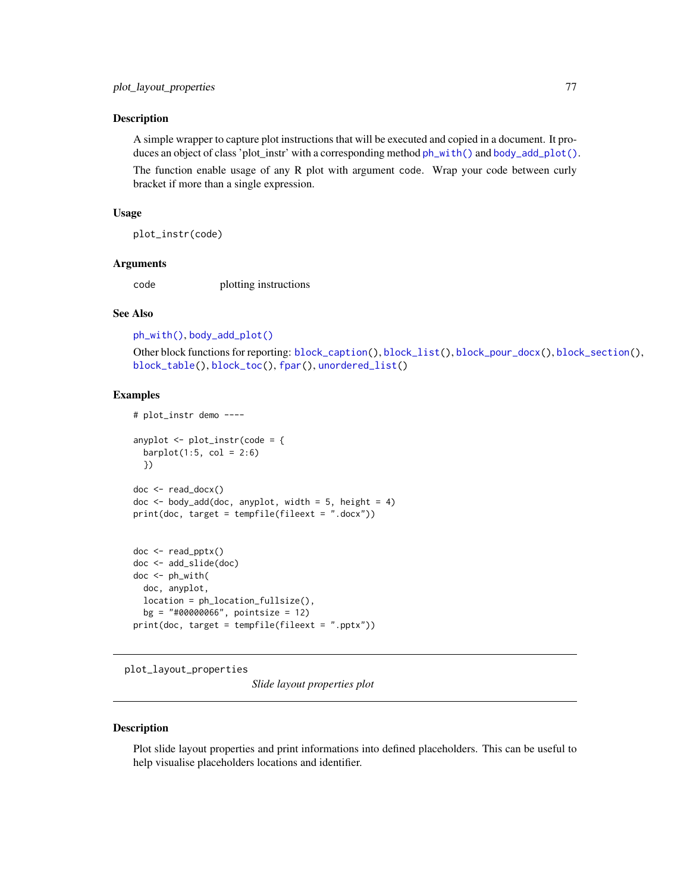A simple wrapper to capture plot instructions that will be executed and copied in a document. It produces an object of class 'plot\_instr' with a corresponding method [ph\\_with\(\)](#page-71-0) and [body\\_add\\_plot\(\)](#page-19-0).

The function enable usage of any R plot with argument code. Wrap your code between curly bracket if more than a single expression.

#### Usage

plot\_instr(code)

#### Arguments

code plotting instructions

### See Also

[ph\\_with\(\)](#page-71-0), [body\\_add\\_plot\(\)](#page-19-0)

Other block functions for reporting: [block\\_caption\(](#page-6-0)), [block\\_list\(](#page-7-0)), [block\\_pour\\_docx\(](#page-8-0)), [block\\_section\(](#page-9-0)), [block\\_table\(](#page-10-0)), [block\\_toc\(](#page-11-0)), [fpar\(](#page-41-0)), [unordered\\_list\(](#page-106-0))

### Examples

```
# plot_instr demo ----
anyplot <- plot_instr(code = {
 barplot(1:5, col = 2:6)})
doc <- read_docx()
doc < - body\_add(doc, anyplot, width = 5, height = 4)print(doc, target = template(fileext = ".docx"))doc <- read_pptx()
doc <- add_slide(doc)
doc <- ph_with(
 doc, anyplot,
 location = ph_location_fullsize(),
 bg = "#00000066", pointsize = 12)
print(doc, target = tempfile(fileext = ".pptx"))
```
<span id="page-76-0"></span>plot\_layout\_properties

*Slide layout properties plot*

#### Description

Plot slide layout properties and print informations into defined placeholders. This can be useful to help visualise placeholders locations and identifier.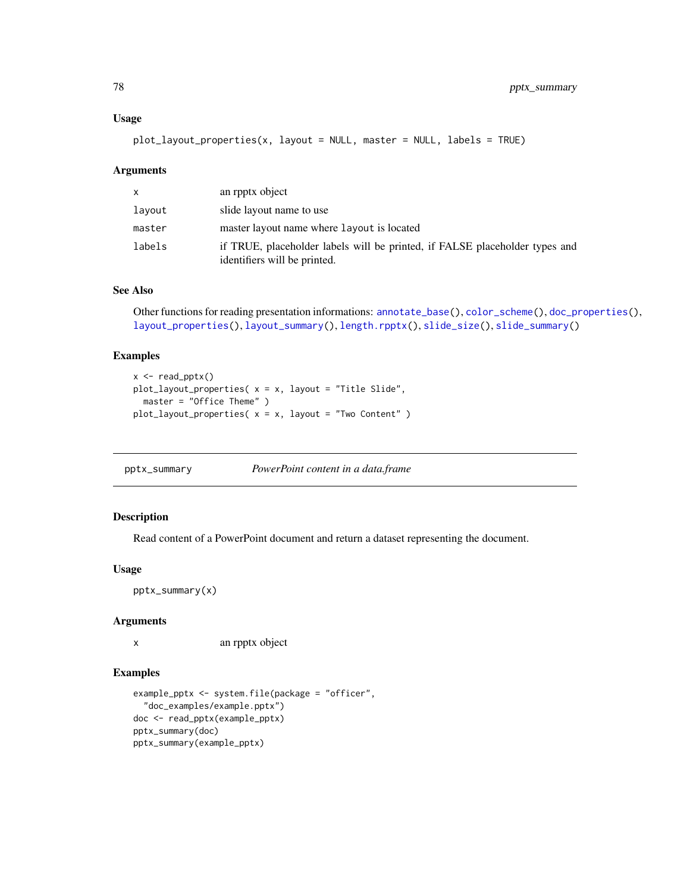#### Usage

plot\_layout\_properties(x, layout = NULL, master = NULL, labels = TRUE)

#### Arguments

| $\mathsf{x}$ | an rpptx object                                                                                             |
|--------------|-------------------------------------------------------------------------------------------------------------|
| layout       | slide layout name to use                                                                                    |
| master       | master layout name where layout is located                                                                  |
| labels       | if TRUE, placeholder labels will be printed, if FALSE placeholder types and<br>identifiers will be printed. |

## See Also

Other functions for reading presentation informations: [annotate\\_base\(](#page-4-0)), [color\\_scheme\(](#page-33-0)), [doc\\_properties\(](#page-38-0)), [layout\\_properties\(](#page-51-0)), [layout\\_summary\(](#page-51-1)), [length.rpptx\(](#page-53-0)), [slide\\_size\(](#page-97-0)), [slide\\_summary\(](#page-98-0))

#### Examples

```
x <- read_pptx()
plot_layout_properties(x = x, layout = "Title Slide",
 master = "Office Theme" )
plot_layout_properties( x = x, layout = "Two Content" )
```
pptx\_summary *PowerPoint content in a data.frame*

#### Description

Read content of a PowerPoint document and return a dataset representing the document.

### Usage

pptx\_summary(x)

#### Arguments

x an rpptx object

```
example_pptx <- system.file(package = "officer",
  "doc_examples/example.pptx")
doc <- read_pptx(example_pptx)
pptx_summary(doc)
pptx_summary(example_pptx)
```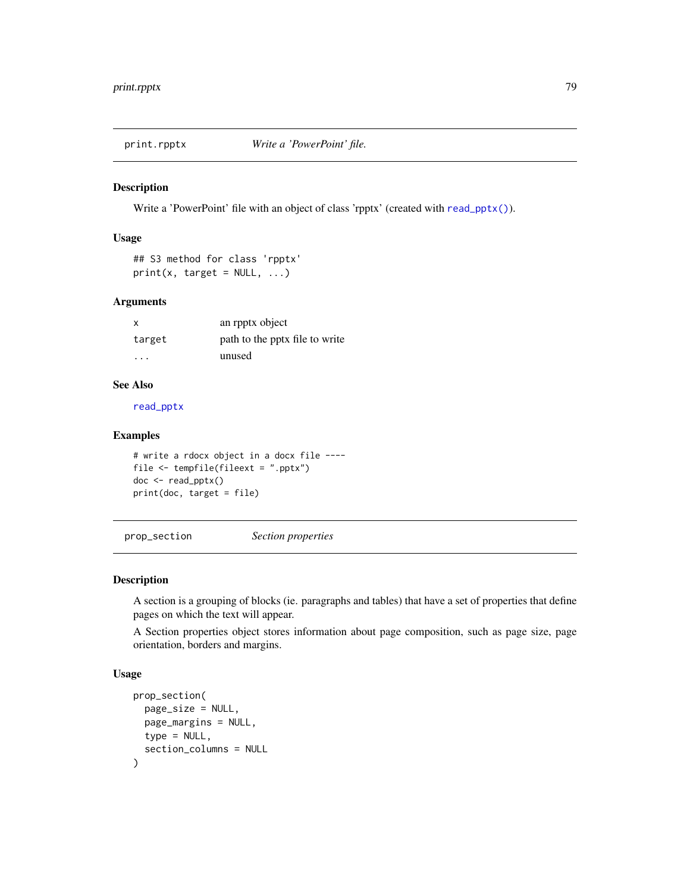<span id="page-78-0"></span>

Write a 'PowerPoint' file with an object of class 'rpptx' (created with [read\\_pptx\(\)](#page-82-0)).

### Usage

```
## S3 method for class 'rpptx'
print(x, target = NULL, ...)
```
#### Arguments

| $\mathsf{x}$ | an rpptx object                |
|--------------|--------------------------------|
| target       | path to the pptx file to write |
| $\cdot$      | unused                         |

# See Also

[read\\_pptx](#page-82-0)

## Examples

```
# write a rdocx object in a docx file ----
file <- tempfile(fileext = ".pptx")
doc <- read_pptx()
print(doc, target = file)
```
<span id="page-78-1"></span>prop\_section *Section properties*

#### Description

A section is a grouping of blocks (ie. paragraphs and tables) that have a set of properties that define pages on which the text will appear.

A Section properties object stores information about page composition, such as page size, page orientation, borders and margins.

### Usage

```
prop_section(
  page_size = NULL,
  page_margins = NULL,
  type = NULL,
  section_columns = NULL
\mathcal{E}
```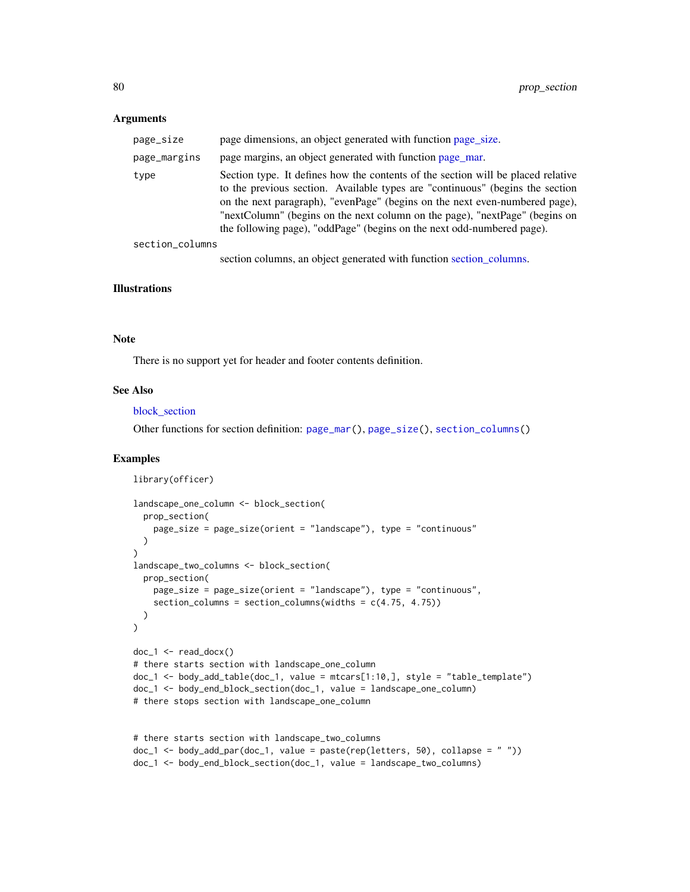#### Arguments

| page_size       | page dimensions, an object generated with function page_size.                                                                                                                                                                                                                                                                                                                                             |
|-----------------|-----------------------------------------------------------------------------------------------------------------------------------------------------------------------------------------------------------------------------------------------------------------------------------------------------------------------------------------------------------------------------------------------------------|
| page_margins    | page margins, an object generated with function page mar.                                                                                                                                                                                                                                                                                                                                                 |
| type            | Section type. It defines how the contents of the section will be placed relative<br>to the previous section. Available types are "continuous" (begins the section<br>on the next paragraph), "evenPage" (begins on the next even-numbered page),<br>"nextColumn" (begins on the next column on the page), "nextPage" (begins on<br>the following page), "oddPage" (begins on the next odd-numbered page). |
| section_columns |                                                                                                                                                                                                                                                                                                                                                                                                           |
|                 | section columns, an object generated with function section columns.                                                                                                                                                                                                                                                                                                                                       |

#### Illustrations

#### Note

There is no support yet for header and footer contents definition.

### See Also

#### block section

Other functions for section definition: [page\\_mar\(](#page-58-0)), [page\\_size\(](#page-59-0)), [section\\_columns\(](#page-92-0))

```
library(officer)
landscape_one_column <- block_section(
  prop_section(
    page_size = page_size(orient = "landscape"), type = "continuous"
  )
)
landscape_two_columns <- block_section(
  prop_section(
   page_size = page_size(orient = "landscape"), type = "continuous",
    section_columns = section_columns(widths = c(4.75, 4.75))
  )
)
doc_1 <- read_docx()
# there starts section with landscape_one_column
doc_1 <- body_add_table(doc_1, value = mtcars[1:10,], style = "table_template")
doc_1 <- body_end_block_section(doc_1, value = landscape_one_column)
# there stops section with landscape_one_column
# there starts section with landscape_two_columns
```

```
doc_1 \leftarrow body\_add\_par(doc_1, value = paste(rep(letters, 50), collapse = ""))doc_1 <- body_end_block_section(doc_1, value = landscape_two_columns)
```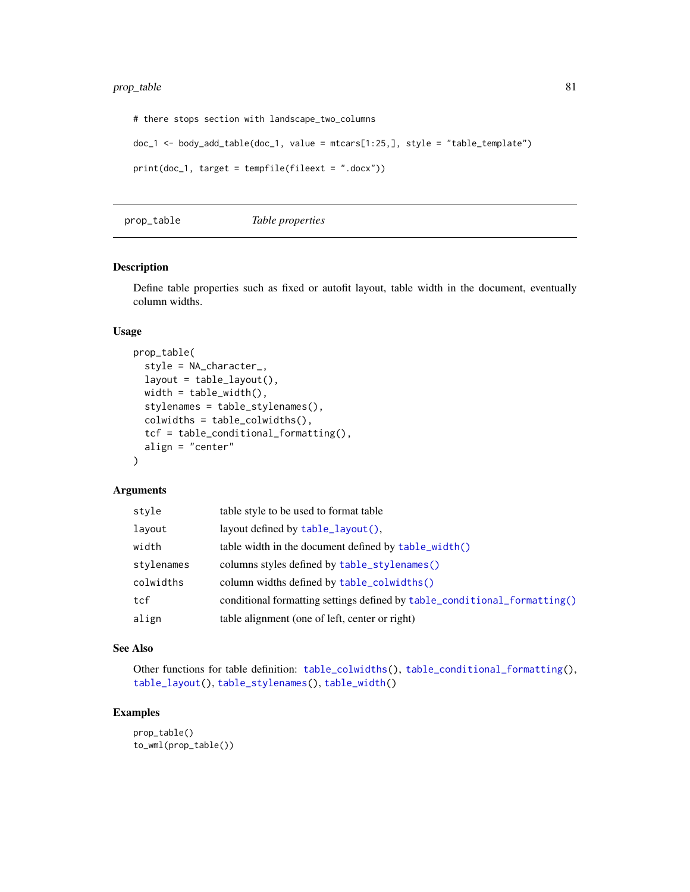```
# there stops section with landscape_two_columns
doc_1 <- body_add_table(doc_1, value = mtcars[1:25,], style = "table_template")
print(doc_1, target = tempfile(fileext = ".docx"))
```
<span id="page-80-0"></span>prop\_table *Table properties*

### Description

Define table properties such as fixed or autofit layout, table width in the document, eventually column widths.

# Usage

```
prop_table(
  style = NA_character_,
  layout = table_layout(),
 width = table_width(),
  stylenames = table_stylenames(),
  colwidths = table_colwidths(),
  tcf = table_conditional_formatting(),
  align = "center"
\lambda
```
## Arguments

| style      | table style to be used to format table                                    |
|------------|---------------------------------------------------------------------------|
| layout     | layout defined by $table\_layout()$ ,                                     |
| width      | table width in the document defined by $table\_width()$                   |
| stylenames | columns styles defined by table_stylenames()                              |
| colwidths  | column widths defined by table_colwidths()                                |
| tcf        | conditional formatting settings defined by table_conditional_formatting() |
| align      | table alignment (one of left, center or right)                            |

### See Also

Other functions for table definition: [table\\_colwidths\(](#page-103-1)), [table\\_conditional\\_formatting\(](#page-103-0)), [table\\_layout\(](#page-104-0)), [table\\_stylenames\(](#page-105-0)), [table\\_width\(](#page-106-1))

```
prop_table()
to_wml(prop_table())
```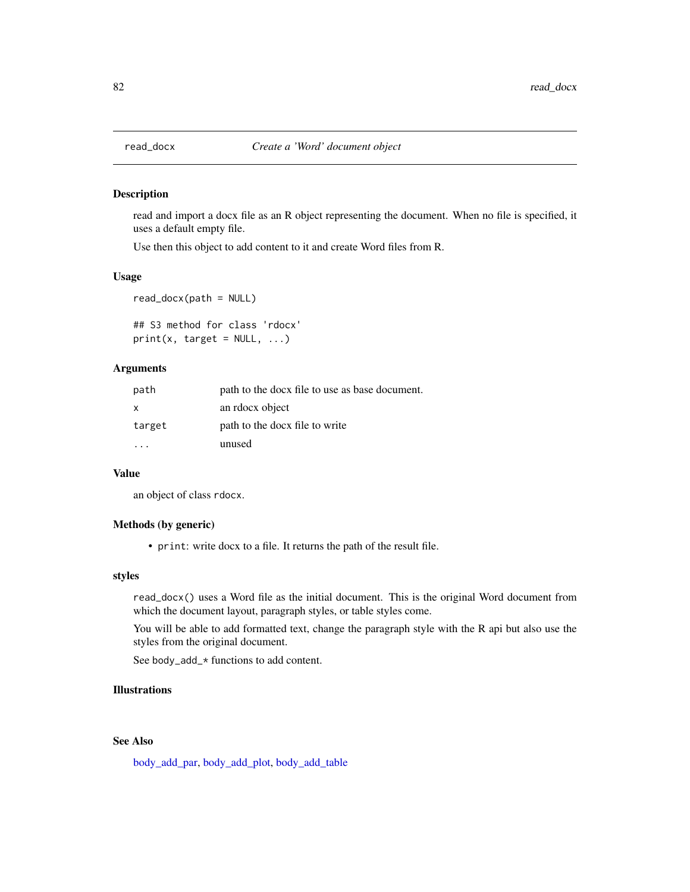read and import a docx file as an R object representing the document. When no file is specified, it uses a default empty file.

Use then this object to add content to it and create Word files from R.

#### Usage

read\_docx(path = NULL)

## S3 method for class 'rdocx'  $print(x, target = NULL, ...)$ 

### **Arguments**

| path   | path to the docx file to use as base document. |
|--------|------------------------------------------------|
| x      | an rdocx object                                |
| target | path to the docx file to write                 |
|        | unused                                         |

## Value

an object of class rdocx.

# Methods (by generic)

• print: write docx to a file. It returns the path of the result file.

### styles

read\_docx() uses a Word file as the initial document. This is the original Word document from which the document layout, paragraph styles, or table styles come.

You will be able to add formatted text, change the paragraph style with the R api but also use the styles from the original document.

See body\_add\_\* functions to add content.

### Illustrations

# See Also

[body\\_add\\_par,](#page-18-0) [body\\_add\\_plot,](#page-19-0) [body\\_add\\_table](#page-20-0)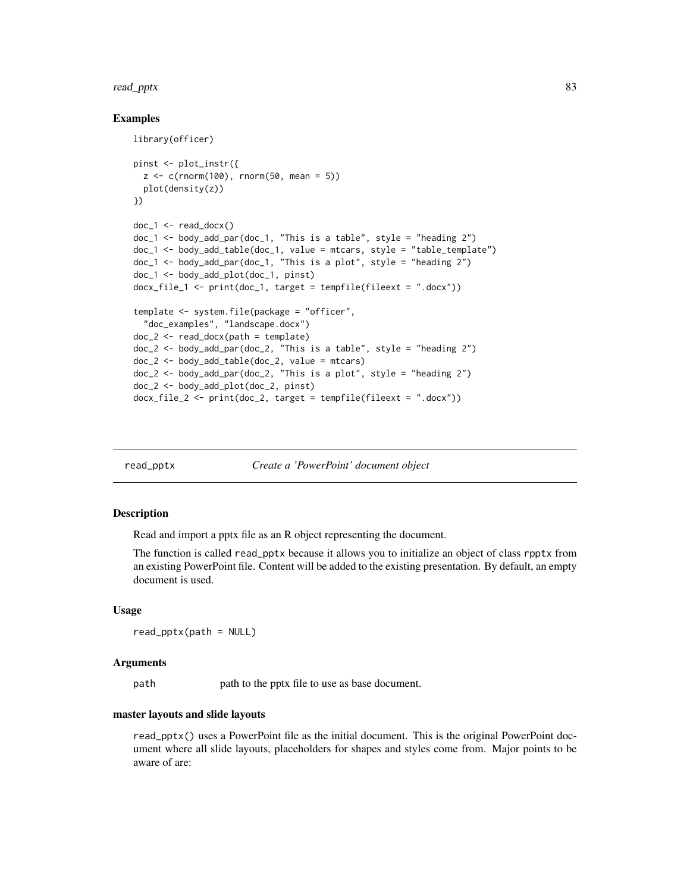#### read\_pptx 83

### Examples

```
library(officer)
pinst <- plot_instr({
  z < -c(rnorm(100), rnorm(50, mean = 5))
  plot(density(z))
})
doc_1 < - read_docx()
doc_1 <- body_add_par(doc_1, "This is a table", style = "heading 2")
doc_1 <- body_add_table(doc_1, value = mtcars, style = "table_template")
doc_1 <- body_add_par(doc_1, "This is a plot", style = "heading 2")
doc_1 <- body_add_plot(doc_1, pinst)
docx_file_1 < - printdoc_1, target = template(fileext = "docx"))template <- system.file(package = "officer",
  "doc_examples", "landscape.docx")
doc_2 < - read\_docx(path = template)doc_2 <- body_add_par(doc_2, "This is a table", style = "heading 2")
doc_2 <- body_add_table(doc_2, value = mtcars)
doc_2 <- body_add_par(doc_2, "This is a plot", style = "heading 2")
doc_2 <- body_add_plot(doc_2, pinst)
docx_file_2 \leftarrow printdoc_2, target = tempfile(fileext = ".docx"))
```
<span id="page-82-0"></span>read\_pptx *Create a 'PowerPoint' document object*

#### Description

Read and import a pptx file as an R object representing the document.

The function is called read\_pptx because it allows you to initialize an object of class rpptx from an existing PowerPoint file. Content will be added to the existing presentation. By default, an empty document is used.

### Usage

read\_pptx(path = NULL)

#### Arguments

path path to the pptx file to use as base document.

#### master layouts and slide layouts

read\_pptx() uses a PowerPoint file as the initial document. This is the original PowerPoint document where all slide layouts, placeholders for shapes and styles come from. Major points to be aware of are: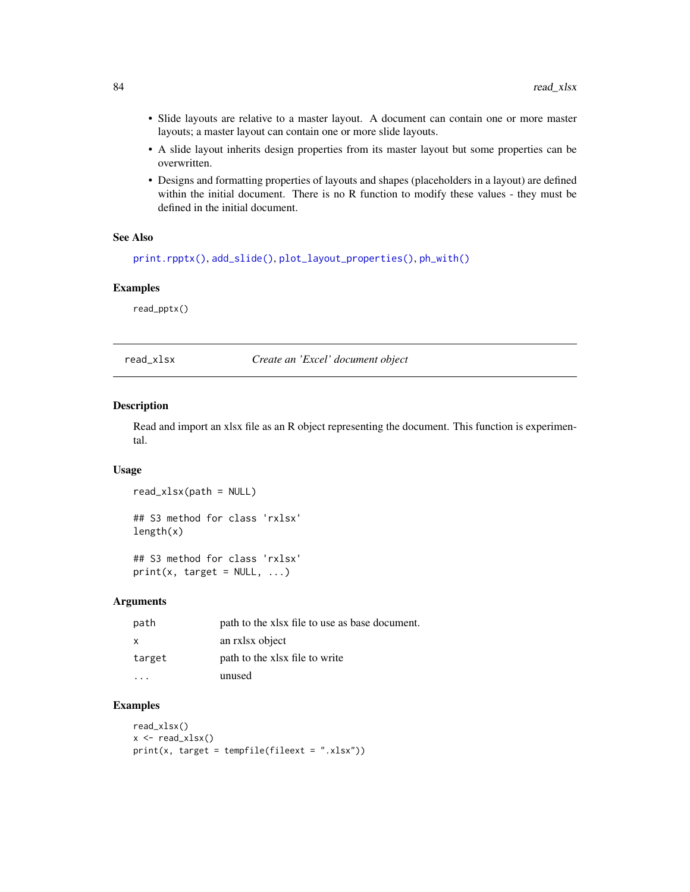- Slide layouts are relative to a master layout. A document can contain one or more master layouts; a master layout can contain one or more slide layouts.
- A slide layout inherits design properties from its master layout but some properties can be overwritten.
- Designs and formatting properties of layouts and shapes (placeholders in a layout) are defined within the initial document. There is no R function to modify these values - they must be defined in the initial document.

### See Also

```
print.rpptx(), add_slide(), plot_layout_properties(), ph_with()
```
#### Examples

read\_pptx()

read\_xlsx *Create an 'Excel' document object*

#### Description

Read and import an xlsx file as an R object representing the document. This function is experimental.

## Usage

```
read_xlsx(path = NULL)
```
## S3 method for class 'rxlsx' length(x)

```
## S3 method for class 'rxlsx'
print(x, target = NULL, ...)
```
# Arguments

| path   | path to the xlsx file to use as base document. |
|--------|------------------------------------------------|
| x      | an rxlsx object                                |
| target | path to the xlsx file to write                 |
|        | unused                                         |

```
read_xlsx()
x \leftarrow \text{read\_xlsx}()print(x, target = template(fileext = ".xlsx"))
```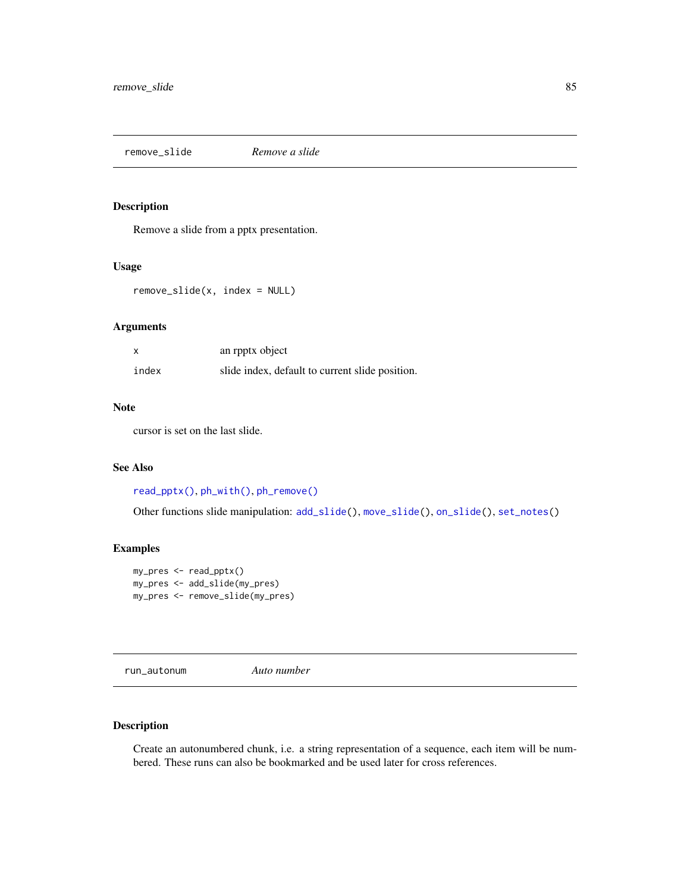<span id="page-84-1"></span>remove\_slide *Remove a slide*

### Description

Remove a slide from a pptx presentation.

### Usage

remove\_slide(x, index = NULL)

#### Arguments

| X     | an rpptx object                                 |
|-------|-------------------------------------------------|
| index | slide index, default to current slide position. |

## Note

cursor is set on the last slide.

### See Also

```
read_pptx(), ph_with(), ph_remove()
```
Other functions slide manipulation: [add\\_slide\(](#page-4-1)), [move\\_slide\(](#page-54-0)), [on\\_slide\(](#page-57-0)), [set\\_notes\(](#page-95-0))

# Examples

```
my_pres <- read_pptx()
my_pres <- add_slide(my_pres)
my_pres <- remove_slide(my_pres)
```
<span id="page-84-0"></span>run\_autonum *Auto number*

### Description

Create an autonumbered chunk, i.e. a string representation of a sequence, each item will be numbered. These runs can also be bookmarked and be used later for cross references.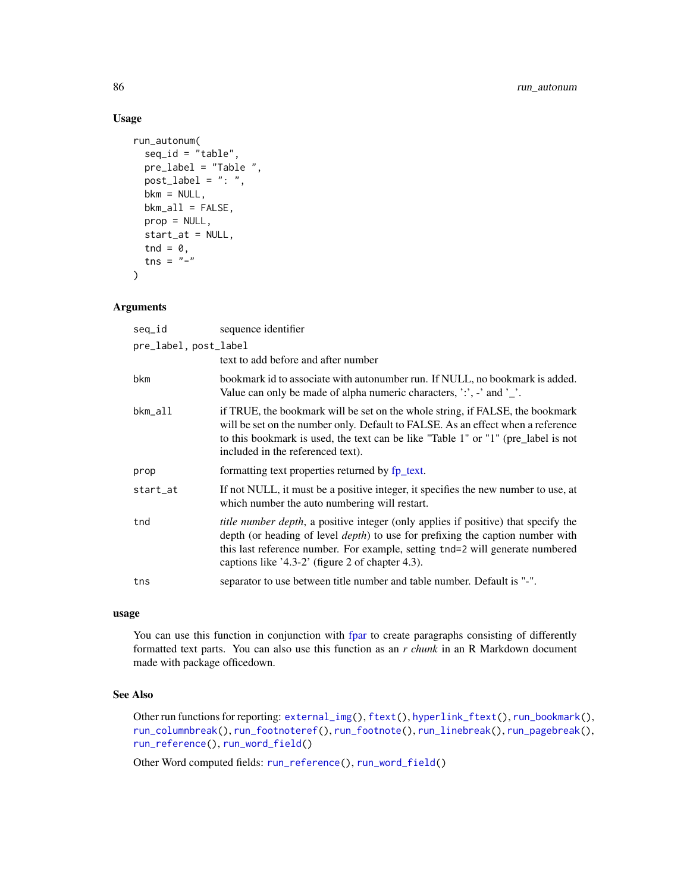# Usage

```
run_autonum(
  seq_id = "table",pre_label = "Table ",
 post\_label = ": "bkm = NULL,bkm_a11 = FALSE,prop = NULL,
  start_at = NULL,
  tnd = \theta,
  tns = "-"
)
```
### Arguments

| seq_id                | sequence identifier                                                                                                                                                                                                                                                                                                       |
|-----------------------|---------------------------------------------------------------------------------------------------------------------------------------------------------------------------------------------------------------------------------------------------------------------------------------------------------------------------|
| pre_label, post_label |                                                                                                                                                                                                                                                                                                                           |
|                       | text to add before and after number                                                                                                                                                                                                                                                                                       |
| bkm                   | bookmark id to associate with autonumber run. If NULL, no bookmark is added.<br>Value can only be made of alpha numeric characters, $\cdot$ , $\cdot$ , and $\cdot$ .                                                                                                                                                     |
| bkm_all               | if TRUE, the bookmark will be set on the whole string, if FALSE, the bookmark<br>will be set on the number only. Default to FALSE. As an effect when a reference<br>to this bookmark is used, the text can be like "Table 1" or "1" (pre_label is not<br>included in the referenced text).                                |
| prop                  | formatting text properties returned by fp_text.                                                                                                                                                                                                                                                                           |
| start_at              | If not NULL, it must be a positive integer, it specifies the new number to use, at<br>which number the auto numbering will restart.                                                                                                                                                                                       |
| tnd                   | <i>title number depth</i> , a positive integer (only applies if positive) that specify the<br>depth (or heading of level <i>depth</i> ) to use for prefixing the caption number with<br>this last reference number. For example, setting tnd=2 will generate numbered<br>captions like '4.3-2' (figure 2 of chapter 4.3). |
| tns                   | separator to use between title number and table number. Default is "-".                                                                                                                                                                                                                                                   |

### usage

You can use this function in conjunction with [fpar](#page-41-0) to create paragraphs consisting of differently formatted text parts. You can also use this function as an *r chunk* in an R Markdown document made with package officedown.

# See Also

Other run functions for reporting: [external\\_img\(](#page-40-0)), [ftext\(](#page-49-0)), [hyperlink\\_ftext\(](#page-50-0)), [run\\_bookmark\(](#page-86-0)), [run\\_columnbreak\(](#page-87-0)), [run\\_footnoteref\(](#page-88-0)), [run\\_footnote\(](#page-87-1)), [run\\_linebreak\(](#page-89-0)), [run\\_pagebreak\(](#page-90-0)), [run\\_reference\(](#page-90-1)), [run\\_word\\_field\(](#page-91-0))

Other Word computed fields: [run\\_reference\(](#page-90-1)), [run\\_word\\_field\(](#page-91-0))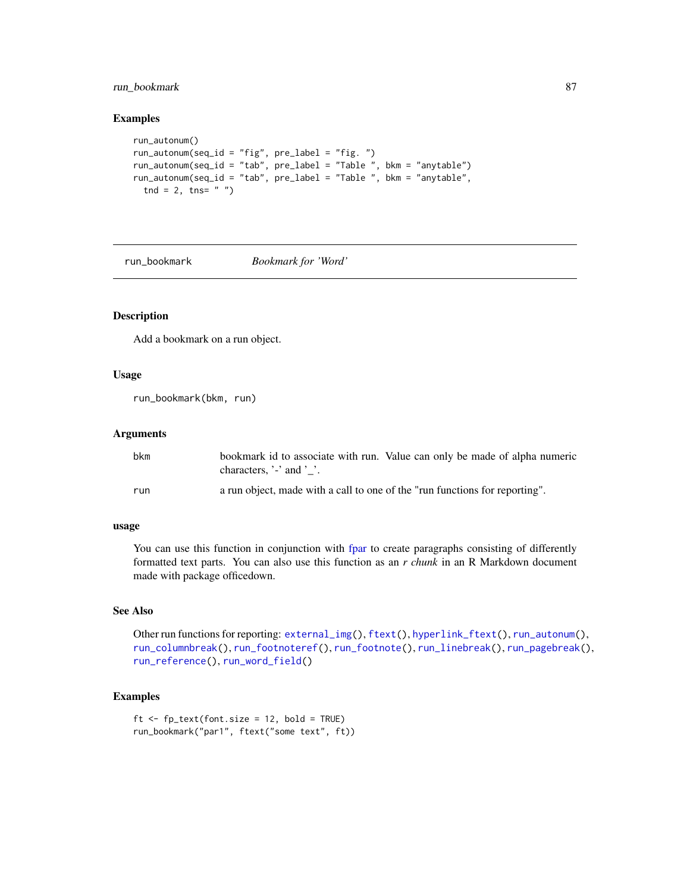# run\_bookmark 87

#### Examples

```
run_autonum()
run_autonum(seq_id = "fig", pre_label = "fig. ")
run_autonum(seq_id = "tab", pre_label = "Table ", bkm = "anytable")
run_autonum(seq_id = "tab", pre_label = "Table ", bkm = "anytable",
  tnd = 2, tns = " " )
```
<span id="page-86-0"></span>

run\_bookmark *Bookmark for 'Word'*

# Description

Add a bookmark on a run object.

#### Usage

run\_bookmark(bkm, run)

#### Arguments

| bkm | bookmark id to associate with run. Value can only be made of alpha numeric<br>characters, $\cdot$ and $\cdot$ $\cdot$ . |
|-----|-------------------------------------------------------------------------------------------------------------------------|
| run | a run object, made with a call to one of the "run functions for reporting".                                             |

### usage

You can use this function in conjunction with [fpar](#page-41-0) to create paragraphs consisting of differently formatted text parts. You can also use this function as an *r chunk* in an R Markdown document made with package officedown.

#### See Also

Other run functions for reporting: [external\\_img\(](#page-40-0)), [ftext\(](#page-49-0)), [hyperlink\\_ftext\(](#page-50-0)), [run\\_autonum\(](#page-84-0)), [run\\_columnbreak\(](#page-87-0)), [run\\_footnoteref\(](#page-88-0)), [run\\_footnote\(](#page-87-1)), [run\\_linebreak\(](#page-89-0)), [run\\_pagebreak\(](#page-90-0)), [run\\_reference\(](#page-90-1)), [run\\_word\\_field\(](#page-91-0))

```
ft < - fp\_text(font.size = 12, bold = TRUE)run_bookmark("par1", ftext("some text", ft))
```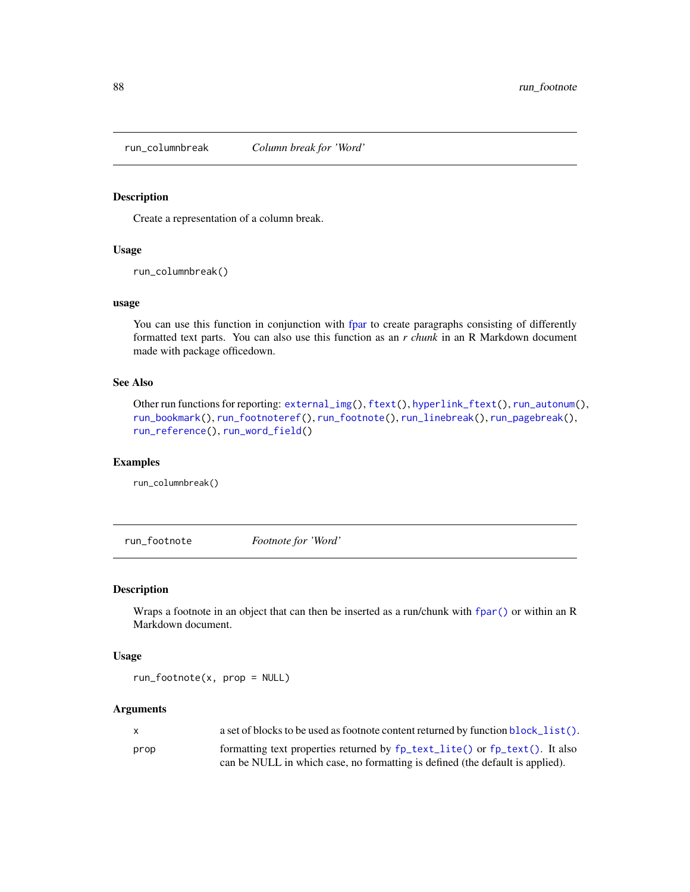<span id="page-87-0"></span>

Create a representation of a column break.

#### Usage

run\_columnbreak()

### usage

You can use this function in conjunction with [fpar](#page-41-0) to create paragraphs consisting of differently formatted text parts. You can also use this function as an *r chunk* in an R Markdown document made with package officedown.

#### See Also

```
Other run functions for reporting: external_img(), ftext(), hyperlink_ftext(), run_autonum(),
run_bookmark(), run_footnoteref(), run_footnote(), run_linebreak(), run_pagebreak(),
run_reference(), run_word_field()
```
#### Examples

run\_columnbreak()

<span id="page-87-1"></span>run\_footnote *Footnote for 'Word'*

### Description

Wraps a footnote in an object that can then be inserted as a run/chunk with [fpar\(\)](#page-41-0) or within an R Markdown document.

#### Usage

run\_footnote(x, prop = NULL)

#### Arguments

| X    | a set of blocks to be used as footnote content returned by function block_list(). |
|------|-----------------------------------------------------------------------------------|
| prop | formatting text properties returned by fp_text_lite() or fp_text(). It also       |
|      | can be NULL in which case, no formatting is defined (the default is applied).     |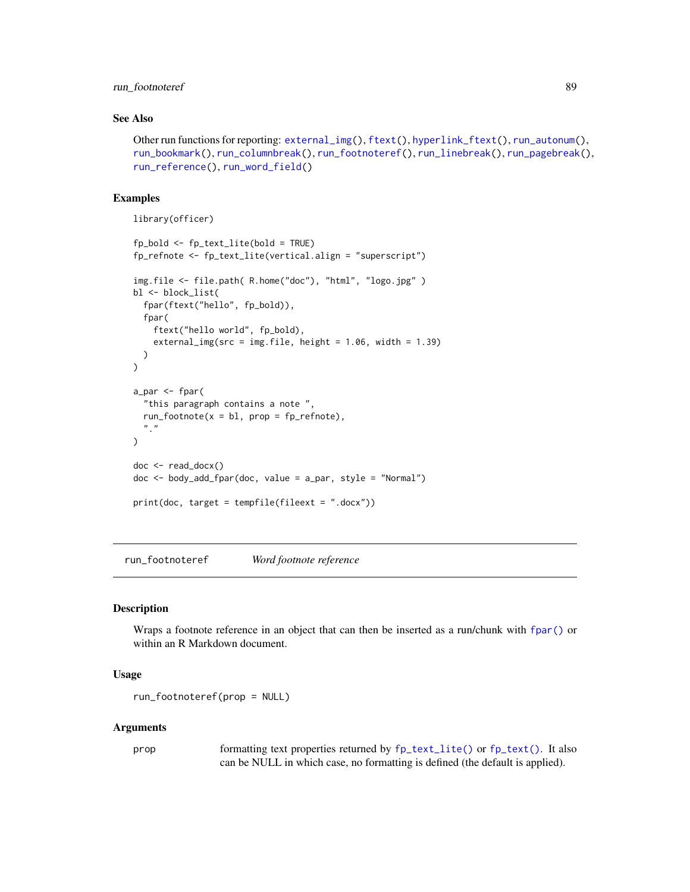## run\_footnoteref 89

## See Also

```
Other run functions for reporting: external_img(), ftext(), hyperlink_ftext(), run_autonum(),
run_bookmark(), run_columnbreak(), run_footnoteref(), run_linebreak(), run_pagebreak(),
run_reference(), run_word_field()
```
### Examples

```
library(officer)
```

```
fp_bold <- fp_text_lite(bold = TRUE)
fp_refnote <- fp_text_lite(vertical.align = "superscript")
img.file <- file.path( R.home("doc"), "html", "logo.jpg" )
bl <- block_list(
  fpar(ftext("hello", fp_bold)),
  fpar(
    ftext("hello world", fp_bold),
    external_img(src = img.file, height = 1.06, width = 1.39)
  )
\mathcal{L}a_par <- fpar(
  "this paragraph contains a note ",
  run_footnote(x = bl, prop = fp_refnote),"''.
\lambdadoc <- read_docx()
doc <- body_add_fpar(doc, value = a_par, style = "Normal")
print(doc, target = tempfile(fileext = ".docx"))
```
<span id="page-88-0"></span>run\_footnoteref *Word footnote reference*

#### Description

Wraps a footnote reference in an object that can then be inserted as a run/chunk with [fpar\(\)](#page-41-0) or within an R Markdown document.

### Usage

```
run_footnoteref(prop = NULL)
```
#### Arguments

prop formatting text properties returned by [fp\\_text\\_lite\(\)](#page-46-1) or [fp\\_text\(\)](#page-46-0). It also can be NULL in which case, no formatting is defined (the default is applied).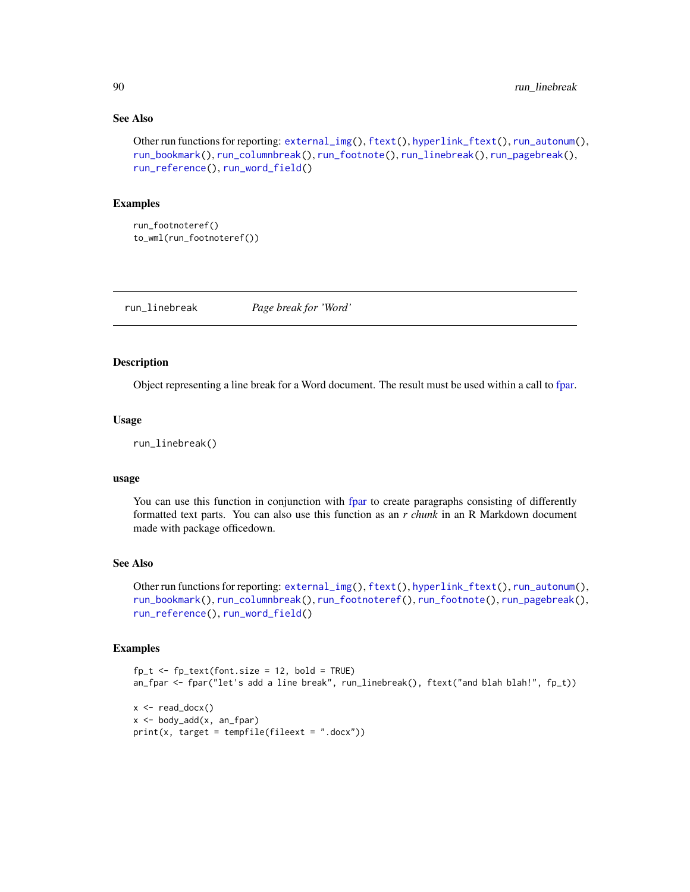### See Also

```
Other run functions for reporting: external_img(), ftext(), hyperlink_ftext(), run_autonum(),
run_bookmark(), run_columnbreak(), run_footnote(), run_linebreak(), run_pagebreak(),
run_reference(), run_word_field()
```
# Examples

```
run_footnoteref()
to_wml(run_footnoteref())
```
<span id="page-89-0"></span>run\_linebreak *Page break for 'Word'*

### Description

Object representing a line break for a Word document. The result must be used within a call to [fpar.](#page-41-0)

#### Usage

```
run_linebreak()
```
#### usage

You can use this function in conjunction with [fpar](#page-41-0) to create paragraphs consisting of differently formatted text parts. You can also use this function as an *r chunk* in an R Markdown document made with package officedown.

### See Also

Other run functions for reporting: [external\\_img\(](#page-40-0)), [ftext\(](#page-49-0)), [hyperlink\\_ftext\(](#page-50-0)), [run\\_autonum\(](#page-84-0)), [run\\_bookmark\(](#page-86-0)), [run\\_columnbreak\(](#page-87-0)), [run\\_footnoteref\(](#page-88-0)), [run\\_footnote\(](#page-87-1)), [run\\_pagebreak\(](#page-90-0)), [run\\_reference\(](#page-90-1)), [run\\_word\\_field\(](#page-91-0))

```
fp_t \leftarrow fp_text(font.size = 12, bold = TRUE)an_fpar <- fpar("let's add a line break", run_linebreak(), ftext("and blah blah!", fp_t))
x \leftarrow \text{read\_docx}()x \le body_add(x, an_fpar)
print(x, target = template(fileext = ".docx"))
```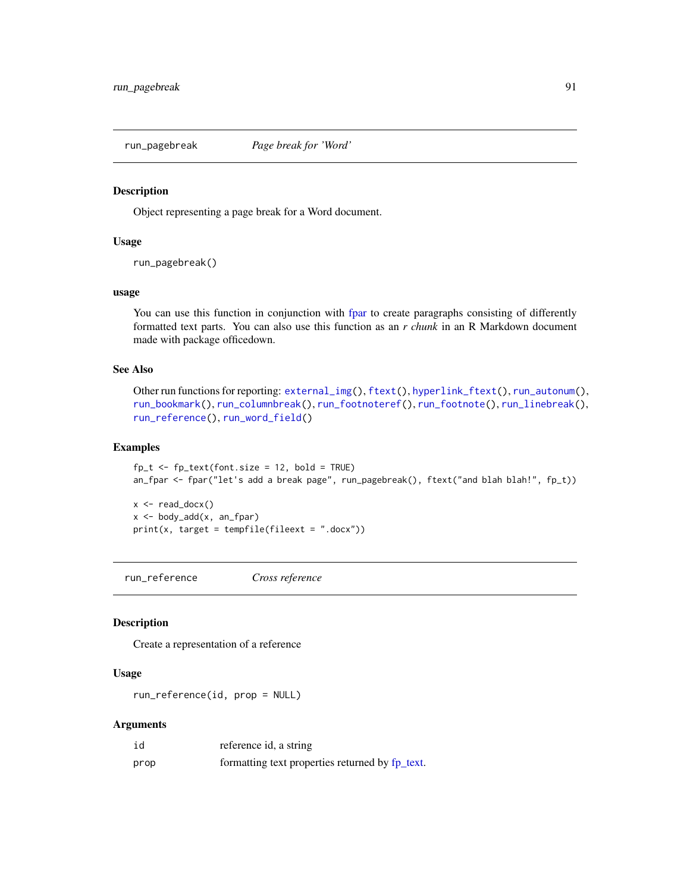<span id="page-90-0"></span>

Object representing a page break for a Word document.

# Usage

run\_pagebreak()

### usage

You can use this function in conjunction with [fpar](#page-41-0) to create paragraphs consisting of differently formatted text parts. You can also use this function as an *r chunk* in an R Markdown document made with package officedown.

#### See Also

```
Other run functions for reporting: external_img(), ftext(), hyperlink_ftext(), run_autonum(),
run_bookmark(), run_columnbreak(), run_footnoteref(), run_footnote(), run_linebreak(),
run_reference(), run_word_field()
```
### Examples

 $fp_t \leftarrow fp_text(font.size = 12, bold = TRUE)$ an\_fpar <- fpar("let's add a break page", run\_pagebreak(), ftext("and blah blah!", fp\_t))

 $x \leftarrow \text{read\_docx}()$  $x \le$  body\_add(x, an\_fpar)  $print(x, target = template(fileext = ".docx"))$ 

<span id="page-90-1"></span>run\_reference *Cross reference*

#### Description

Create a representation of a reference

### Usage

run\_reference(id, prop = NULL)

#### Arguments

| id   | reference id, a string                          |
|------|-------------------------------------------------|
| prop | formatting text properties returned by fp_text. |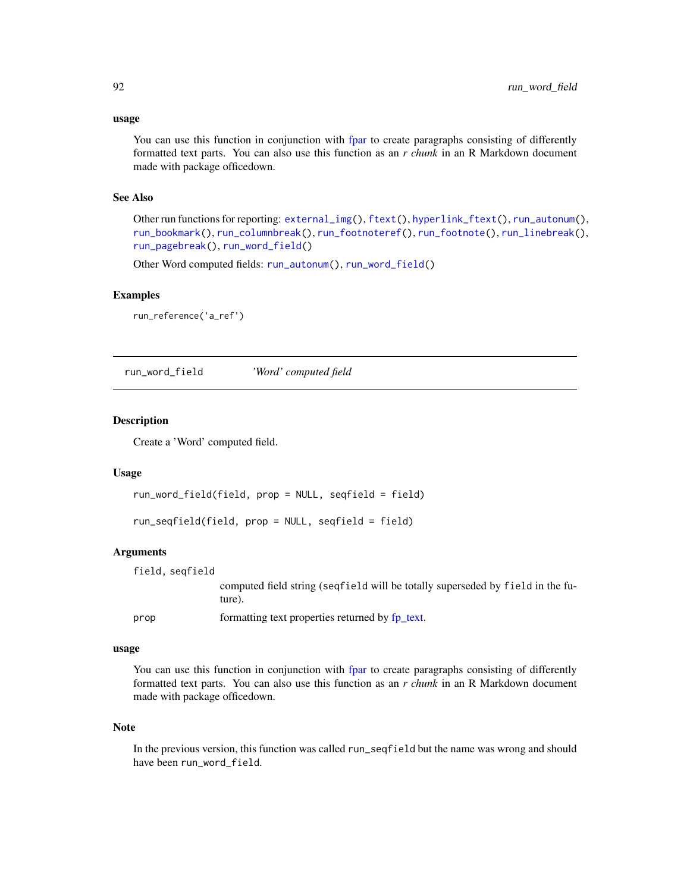#### usage

You can use this function in conjunction with [fpar](#page-41-0) to create paragraphs consisting of differently formatted text parts. You can also use this function as an *r chunk* in an R Markdown document made with package officedown.

## See Also

Other run functions for reporting: [external\\_img\(](#page-40-0)), [ftext\(](#page-49-0)), [hyperlink\\_ftext\(](#page-50-0)), [run\\_autonum\(](#page-84-0)), [run\\_bookmark\(](#page-86-0)), [run\\_columnbreak\(](#page-87-0)), [run\\_footnoteref\(](#page-88-0)), [run\\_footnote\(](#page-87-1)), [run\\_linebreak\(](#page-89-0)), [run\\_pagebreak\(](#page-90-0)), [run\\_word\\_field\(](#page-91-0))

Other Word computed fields: [run\\_autonum\(](#page-84-0)), [run\\_word\\_field\(](#page-91-0))

### Examples

```
run_reference('a_ref')
```
<span id="page-91-0"></span>run\_word\_field *'Word' computed field*

### **Description**

Create a 'Word' computed field.

#### Usage

```
run_word_field(field, prop = NULL, seqfield = field)
```
run\_seqfield(field, prop = NULL, seqfield = field)

### Arguments

field, seqfield

computed field string (seqfield will be totally superseded by field in the future).

prop formatting text properties returned by [fp\\_text.](#page-46-0)

### usage

You can use this function in conjunction with [fpar](#page-41-0) to create paragraphs consisting of differently formatted text parts. You can also use this function as an *r chunk* in an R Markdown document made with package officedown.

#### Note

In the previous version, this function was called run\_seqfield but the name was wrong and should have been run\_word\_field.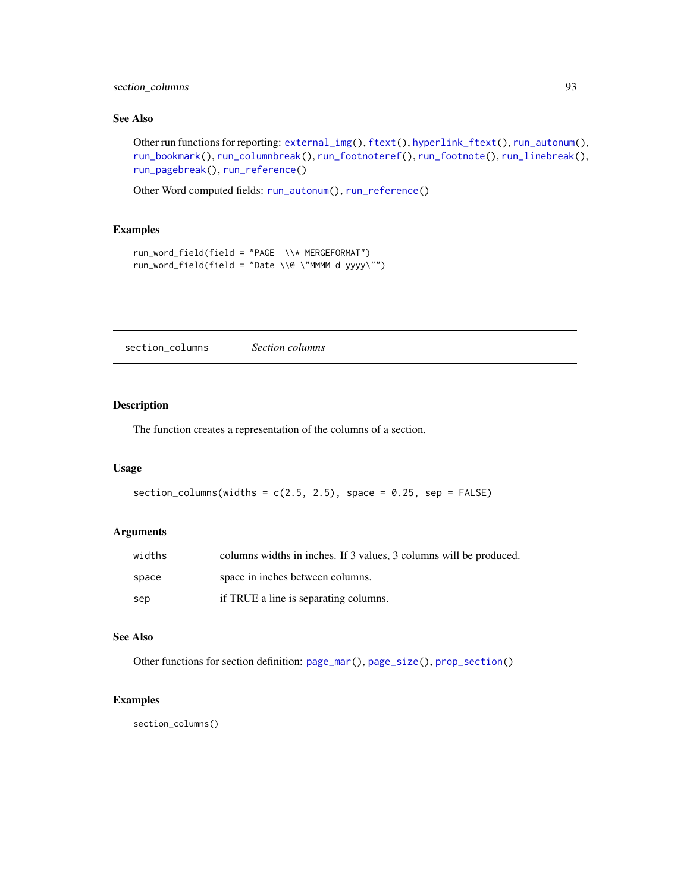# section\_columns 93

## See Also

Other run functions for reporting: [external\\_img\(](#page-40-0)), [ftext\(](#page-49-0)), [hyperlink\\_ftext\(](#page-50-0)), [run\\_autonum\(](#page-84-0)), [run\\_bookmark\(](#page-86-0)), [run\\_columnbreak\(](#page-87-0)), [run\\_footnoteref\(](#page-88-0)), [run\\_footnote\(](#page-87-1)), [run\\_linebreak\(](#page-89-0)), [run\\_pagebreak\(](#page-90-0)), [run\\_reference\(](#page-90-1))

Other Word computed fields: [run\\_autonum\(](#page-84-0)), [run\\_reference\(](#page-90-1))

# Examples

```
run_word_field(field = "PAGE \\* MERGEFORMAT")
run_word_field(field = "Date \\@ \"MMMM d yyyy\"")
```
<span id="page-92-0"></span>section\_columns *Section columns*

### Description

The function creates a representation of the columns of a section.

#### Usage

```
section_columns(widths = c(2.5, 2.5), space = 0.25, sep = FALSE)
```
## Arguments

| widths | columns widths in inches. If 3 values, 3 columns will be produced. |
|--------|--------------------------------------------------------------------|
| space  | space in inches between columns.                                   |
| sep    | if TRUE a line is separating columns.                              |

## See Also

Other functions for section definition: [page\\_mar\(](#page-58-0)), [page\\_size\(](#page-59-0)), [prop\\_section\(](#page-78-1))

# Examples

section\_columns()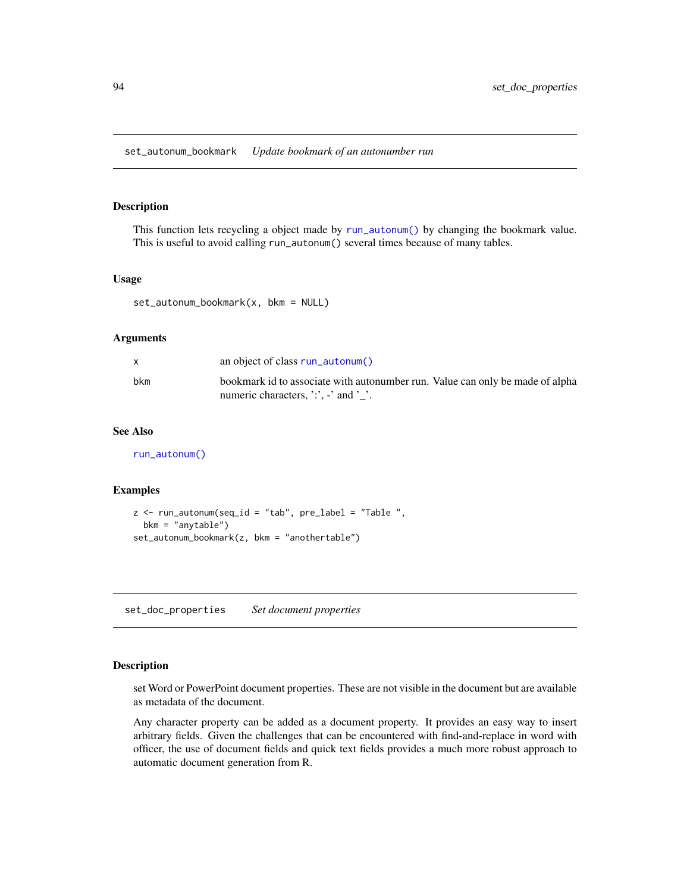set\_autonum\_bookmark *Update bookmark of an autonumber run*

### Description

This function lets recycling a object made by [run\\_autonum\(\)](#page-84-0) by changing the bookmark value. This is useful to avoid calling run\_autonum() several times because of many tables.

#### Usage

 $set_autonum\_bookmark(x, bkm = NULL)$ 

#### Arguments

|     | an object of class run_autonum()                                                                                      |
|-----|-----------------------------------------------------------------------------------------------------------------------|
| bkm | bookmark id to associate with autonumber run. Value can only be made of alpha<br>numeric characters, ':', -' and ' '. |

#### See Also

[run\\_autonum\(\)](#page-84-0)

#### Examples

```
z <- run_autonum(seq_id = "tab", pre_label = "Table ",
 bkm = "anytable")
set_autonum_bookmark(z, bkm = "anothertable")
```
<span id="page-93-0"></span>set\_doc\_properties *Set document properties*

#### Description

set Word or PowerPoint document properties. These are not visible in the document but are available as metadata of the document.

Any character property can be added as a document property. It provides an easy way to insert arbitrary fields. Given the challenges that can be encountered with find-and-replace in word with officer, the use of document fields and quick text fields provides a much more robust approach to automatic document generation from R.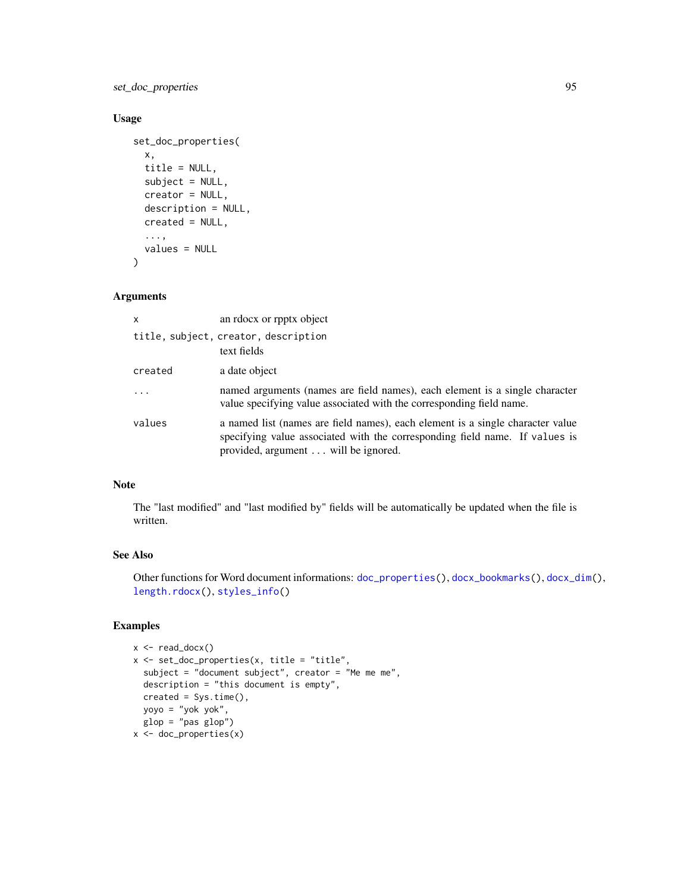set\_doc\_properties 95

# Usage

```
set_doc_properties(
 x,
 title = NULL,
 subject = NULL,
 creator = NULL,
 description = NULL,
 created = NULL,
  ...,
 values = NULL
```

```
)
```
## Arguments

| x          | an rdocx or rpptx object                                                                                                                                                                             |
|------------|------------------------------------------------------------------------------------------------------------------------------------------------------------------------------------------------------|
|            | title, subject, creator, description<br>text fields                                                                                                                                                  |
| created    | a date object                                                                                                                                                                                        |
| $\ddots$ . | named arguments (names are field names), each element is a single character<br>value specifying value associated with the corresponding field name.                                                  |
| values     | a named list (names are field names), each element is a single character value<br>specifying value associated with the corresponding field name. If values is<br>provided, argument will be ignored. |

## Note

The "last modified" and "last modified by" fields will be automatically be updated when the file is written.

## See Also

Other functions for Word document informations: [doc\\_properties\(](#page-38-0)), [docx\\_bookmarks\(](#page-35-0)), [docx\\_dim\(](#page-36-0)), [length.rdocx\(](#page-52-0)), [styles\\_info\(](#page-102-0))

```
x <- read_docx()
x <- set_doc_properties(x, title = "title",
  subject = "document subject", creator = "Me me me",
  description = "this document is empty",
 created = Sys.time(),
 yoyo = "yok yok",
  glop = "pas glop")x <- doc_properties(x)
```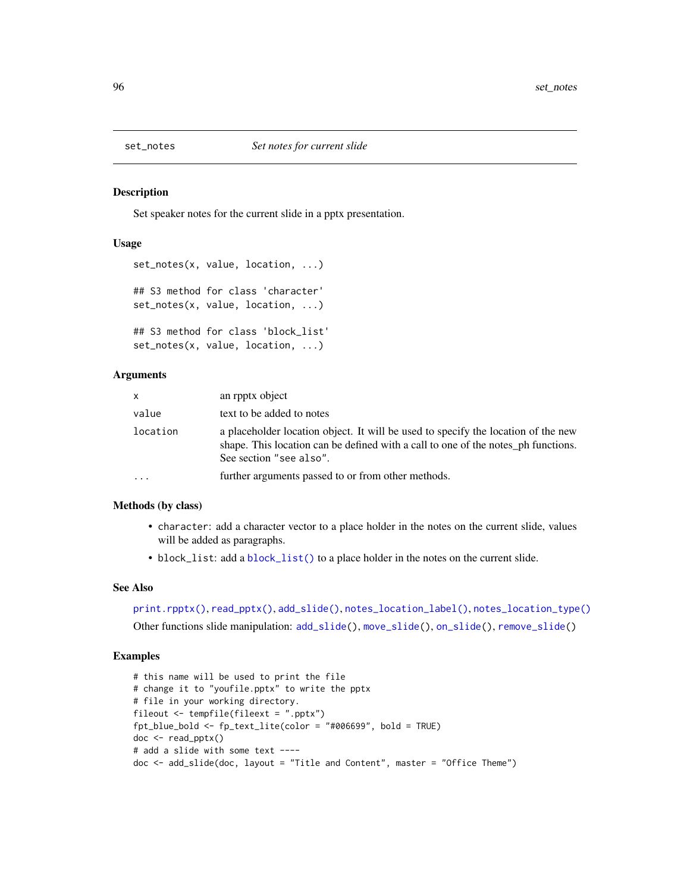<span id="page-95-0"></span>

Set speaker notes for the current slide in a pptx presentation.

### Usage

```
set_notes(x, value, location, ...)
## S3 method for class 'character'
set_notes(x, value, location, ...)
## S3 method for class 'block_list'
set_notes(x, value, location, ...)
```
## Arguments

| $\mathsf{x}$ | an rpptx object                                                                                                                                                                                   |
|--------------|---------------------------------------------------------------------------------------------------------------------------------------------------------------------------------------------------|
| value        | text to be added to notes                                                                                                                                                                         |
| location     | a placeholder location object. It will be used to specify the location of the new<br>shape. This location can be defined with a call to one of the notes ph functions.<br>See section "see also". |
| $\cdot$      | further arguments passed to or from other methods.                                                                                                                                                |

### Methods (by class)

- character: add a character vector to a place holder in the notes on the current slide, values will be added as paragraphs.
- block\_list: add a [block\\_list\(\)](#page-7-0) to a place holder in the notes on the current slide.

### See Also

```
print.rpptx(), read_pptx(), add_slide(), notes_location_label(), notes_location_type()
Other functions slide manipulation: add_slide(), move_slide(), on_slide(), remove_slide()
```

```
# this name will be used to print the file
# change it to "youfile.pptx" to write the pptx
# file in your working directory.
fileout <- tempfile(fileext = ".pptx")
fpt_blue_bold <- fp_text_lite(color = "#006699", bold = TRUE)
doc <- read_pptx()
# add a slide with some text ----
doc <- add_slide(doc, layout = "Title and Content", master = "Office Theme")
```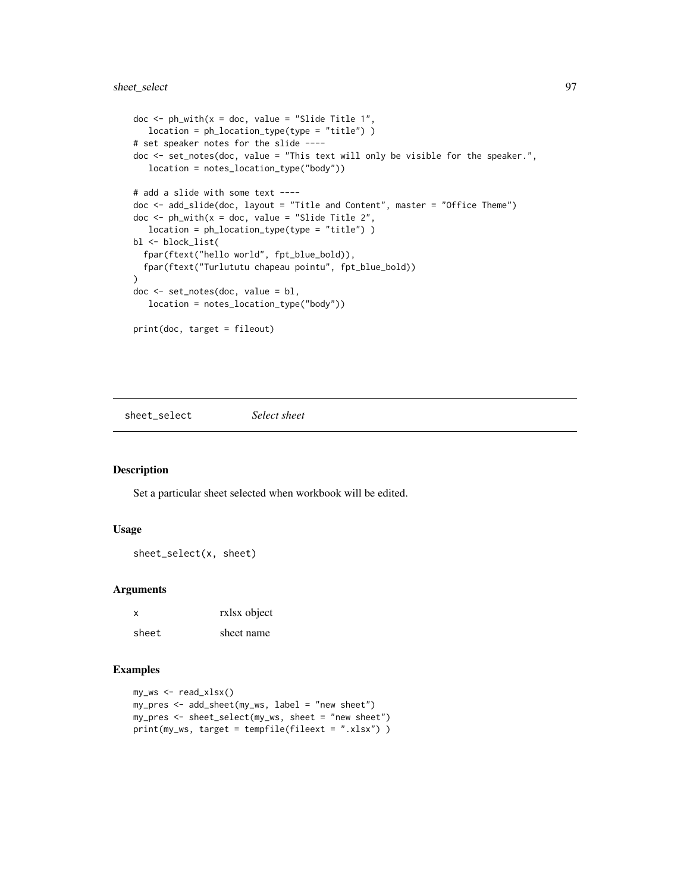# sheet\_select 97

```
doc \le ph_with(x = doc, value = "Slide Title 1",
  location = ph_location_type(type = "title") )
# set speaker notes for the slide ----
doc <- set_notes(doc, value = "This text will only be visible for the speaker.",
  location = notes_location_type("body"))
# add a slide with some text ----
doc <- add_slide(doc, layout = "Title and Content", master = "Office Theme")
doc \leq ph_with(x = doc, value = "Slide Title 2",
  location = ph_location_type(type = "title") )
bl <- block_list(
  fpar(ftext("hello world", fpt_blue_bold)),
  fpar(ftext("Turlututu chapeau pointu", fpt_blue_bold))
)
doc <- set_notes(doc, value = bl,
   location = notes_location_type("body"))
print(doc, target = fileout)
```
sheet\_select *Select sheet*

## Description

Set a particular sheet selected when workbook will be edited.

### Usage

```
sheet_select(x, sheet)
```
# Arguments

| X     | rxlsx object |
|-------|--------------|
| sheet | sheet name   |

```
my_ws <- read_xlsx()
my_pres <- add_sheet(my_ws, label = "new sheet")
my_pres <- sheet_select(my_ws, sheet = "new sheet")
print(my_ws, target = tempfile(fileext = ".xlsx") )
```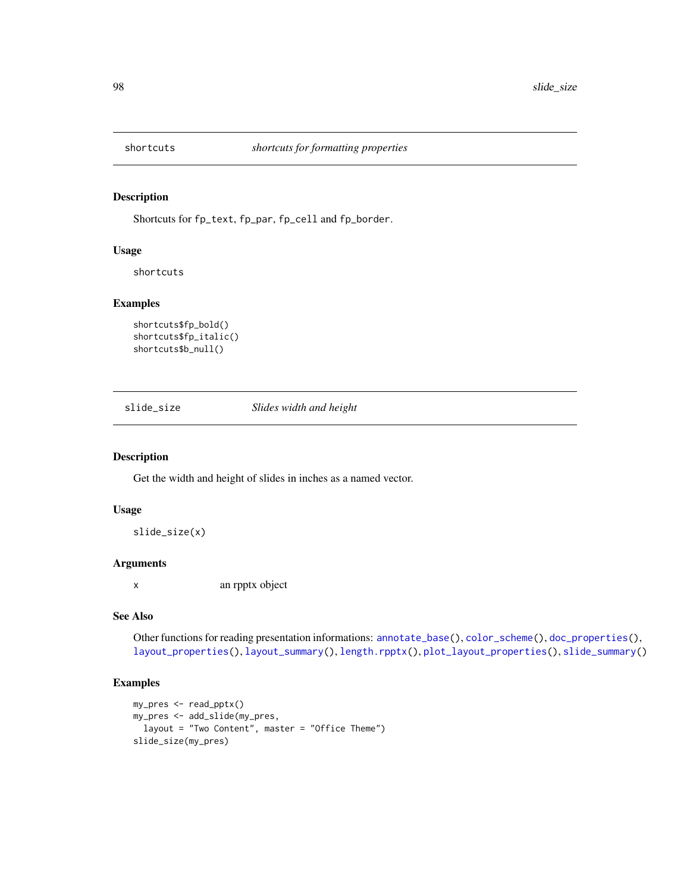Shortcuts for fp\_text, fp\_par, fp\_cell and fp\_border.

### Usage

shortcuts

## Examples

```
shortcuts$fp_bold()
shortcuts$fp_italic()
shortcuts$b_null()
```
<span id="page-97-0"></span>slide\_size *Slides width and height*

# Description

Get the width and height of slides in inches as a named vector.

### Usage

slide\_size(x)

### Arguments

x an rpptx object

# See Also

Other functions for reading presentation informations: [annotate\\_base\(](#page-4-0)), [color\\_scheme\(](#page-33-0)), [doc\\_properties\(](#page-38-0)), [layout\\_properties\(](#page-51-0)), [layout\\_summary\(](#page-51-1)), [length.rpptx\(](#page-53-0)), [plot\\_layout\\_properties\(](#page-76-0)), [slide\\_summary\(](#page-98-0))

```
my_pres <- read_pptx()
my_pres <- add_slide(my_pres,
  layout = "Two Content", master = "Office Theme")
slide_size(my_pres)
```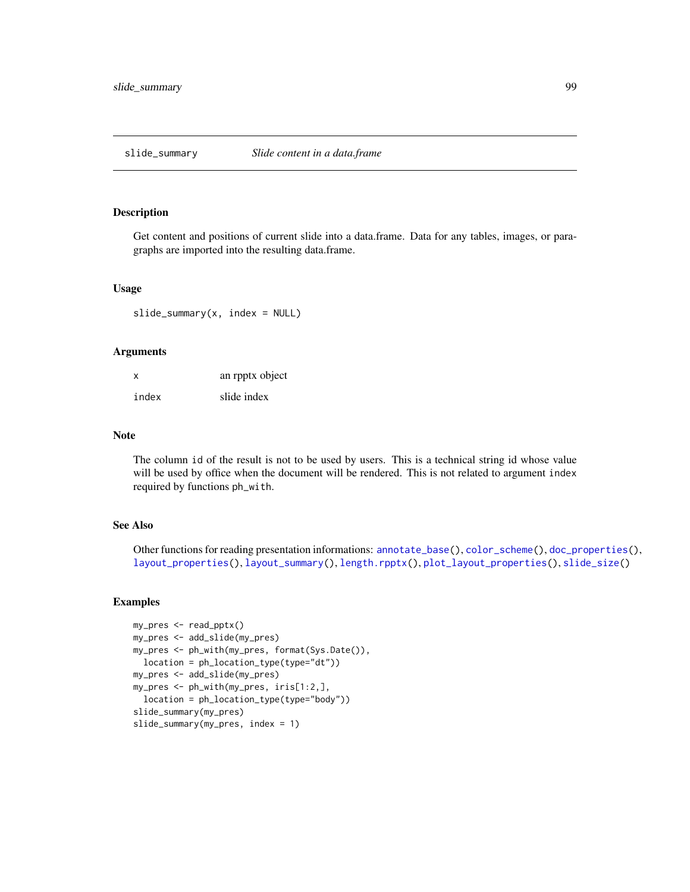<span id="page-98-0"></span>

Get content and positions of current slide into a data.frame. Data for any tables, images, or paragraphs are imported into the resulting data.frame.

#### Usage

slide\_summary(x, index = NULL)

#### Arguments

| X     | an rpptx object |
|-------|-----------------|
| index | slide index     |

### Note

The column id of the result is not to be used by users. This is a technical string id whose value will be used by office when the document will be rendered. This is not related to argument index required by functions ph\_with.

## See Also

Other functions for reading presentation informations: [annotate\\_base\(](#page-4-0)), [color\\_scheme\(](#page-33-0)), [doc\\_properties\(](#page-38-0)), [layout\\_properties\(](#page-51-0)), [layout\\_summary\(](#page-51-1)), [length.rpptx\(](#page-53-0)), [plot\\_layout\\_properties\(](#page-76-0)), [slide\\_size\(](#page-97-0))

```
my_pres <- read_pptx()
my_pres <- add_slide(my_pres)
my_pres <- ph_with(my_pres, format(Sys.Date()),
 location = ph_location_type(type="dt"))
my_pres <- add_slide(my_pres)
my_pres <- ph_with(my_pres, iris[1:2,],
  location = ph_location_type(type="body"))
slide_summary(my_pres)
slide_summary(my_pres, index = 1)
```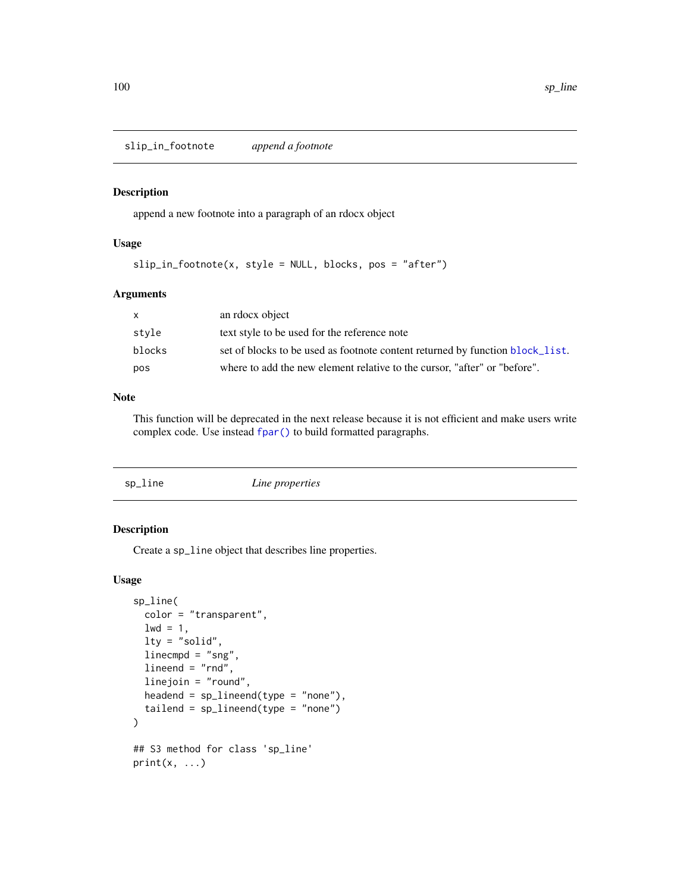slip\_in\_footnote *append a footnote*

## Description

append a new footnote into a paragraph of an rdocx object

# Usage

 $slip_in_footnote(x, style = NULL, blocks, pos = "after")$ 

# Arguments

| set of blocks to be used as footnote content returned by function block_list. |
|-------------------------------------------------------------------------------|
| where to add the new element relative to the cursor, "after" or "before".     |
|                                                                               |

## Note

This function will be deprecated in the next release because it is not efficient and make users write complex code. Use instead [fpar\(\)](#page-41-0) to build formatted paragraphs.

<span id="page-99-0"></span>

| sp_line | Line properties |
|---------|-----------------|
|         |                 |

# Description

Create a sp\_line object that describes line properties.

### Usage

```
sp_line(
  color = "transparent",
  1wd = 1,lty = "solid",
  linecmpd = "sng",
  lineend = "rnd",linejoin = "round",
  headend = sp\_linear(type = "none"),
  tailend = sp\_linear(type = "none"))
## S3 method for class 'sp_line'
print(x, \ldots)
```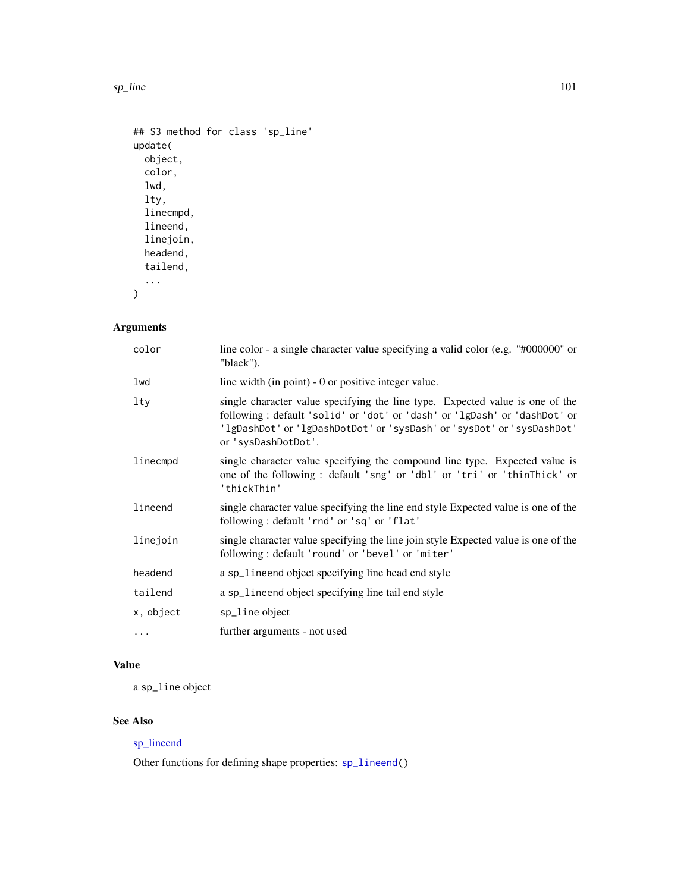#### sp\_line 101

```
## S3 method for class 'sp_line'
update(
 object,
 color,
 lwd,
 lty,
 linecmpd,
 lineend,
 linejoin,
 headend,
  tailend,
  ...
)
```
# Arguments

| color     | line color - a single character value specifying a valid color (e.g. "#000000" or<br>"black").                                                                                                                                                              |
|-----------|-------------------------------------------------------------------------------------------------------------------------------------------------------------------------------------------------------------------------------------------------------------|
| lwd       | line width (in point) - 0 or positive integer value.                                                                                                                                                                                                        |
| lty       | single character value specifying the line type. Expected value is one of the<br>following: default 'solid' or 'dot' or 'dash' or 'lgDash' or 'dashDot' or<br>'lgDashDot' or 'lgDashDotDot' or 'sysDash' or 'sysDot' or 'sysDashDot'<br>or 'sysDashDotDot'. |
| linecmpd  | single character value specifying the compound line type. Expected value is<br>one of the following: default 'sng' or 'dbl' or 'tri' or 'thinThick' or<br>'thickThin'                                                                                       |
| lineend   | single character value specifying the line end style Expected value is one of the<br>following: default 'rnd' or 'sq' or 'flat'                                                                                                                             |
| linejoin  | single character value specifying the line join style Expected value is one of the<br>following: default 'round' or 'bevel' or 'miter'                                                                                                                      |
| headend   | a sp_lineend object specifying line head end style                                                                                                                                                                                                          |
| tailend   | a sp_lineend object specifying line tail end style                                                                                                                                                                                                          |
| x, object | sp_line object                                                                                                                                                                                                                                              |
| $\cdots$  | further arguments - not used                                                                                                                                                                                                                                |

# Value

a sp\_line object

# See Also

# [sp\\_lineend](#page-101-0)

Other functions for defining shape properties: [sp\\_lineend\(](#page-101-0))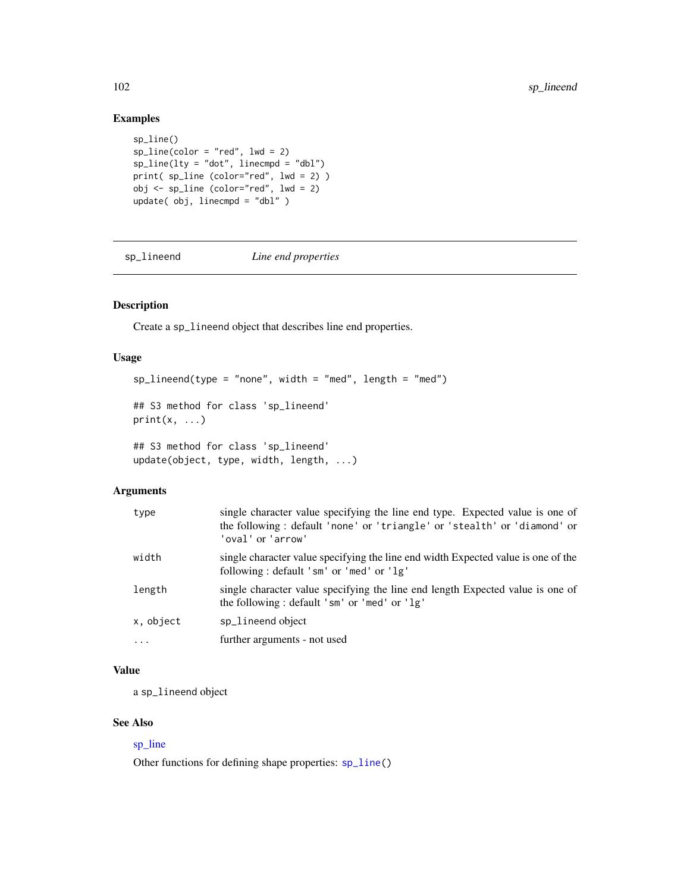# Examples

```
sp_line()
sp\_line(color = "red", lwd = 2)sp\_line(lty = "dot", linecmpd = "dbl")print( sp_line (color="red", lwd = 2) )
obj <- sp_line (color="red", lwd = 2)
update( obj, linecmpd = "dbl" )
```
<span id="page-101-0"></span>sp\_lineend *Line end properties*

# Description

Create a sp\_lineend object that describes line end properties.

### Usage

```
sp\_linear(type = "none", width = "med", length = "med")## S3 method for class 'sp_lineend'
print(x, \ldots)## S3 method for class 'sp_lineend'
update(object, type, width, length, ...)
```
### Arguments

| type      | single character value specifying the line end type. Expected value is one of<br>the following: default 'none' or 'triangle' or 'stealth' or 'diamond' or<br>'oval' or 'arrow' |
|-----------|--------------------------------------------------------------------------------------------------------------------------------------------------------------------------------|
| width     | single character value specifying the line end width Expected value is one of the<br>following: default 'sm' or 'med' or 'lg'                                                  |
| length    | single character value specifying the line end length Expected value is one of<br>the following: default 'sm' or 'med' or 'lg'                                                 |
| x, object | sp_lineend object                                                                                                                                                              |
| $\cdot$   | further arguments - not used                                                                                                                                                   |

# Value

a sp\_lineend object

### See Also

# [sp\\_line](#page-99-0)

Other functions for defining shape properties: [sp\\_line\(](#page-99-0))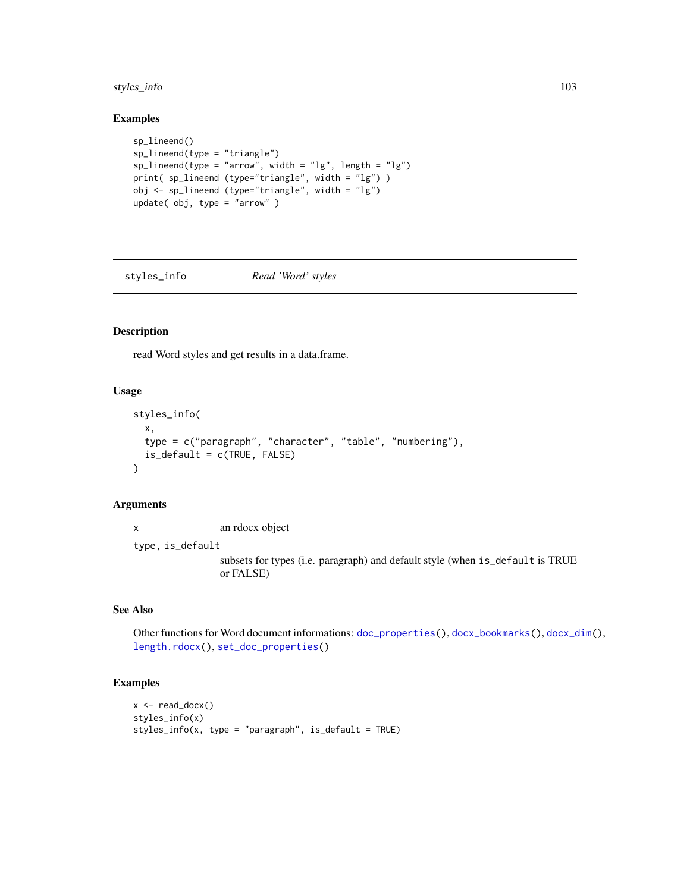# styles\_info 103

# Examples

```
sp_lineend()
sp_lineend(type = "triangle")
sp\_linear(type = "arrow", width = "lg", length = "lg")print( sp_lineend (type="triangle", width = "lg") )
obj <- sp_lineend (type="triangle", width = "lg")
update( obj, type = "arrow" )
```
<span id="page-102-0"></span>styles\_info *Read 'Word' styles*

#### Description

read Word styles and get results in a data.frame.

# Usage

```
styles_info(
  x,
  type = c("paragraph", "character", "table", "numbering"),
  is\_default = c(TRUE, FALSE))
```
## Arguments

x an rdocx object type, is\_default subsets for types (i.e. paragraph) and default style (when is\_default is TRUE or FALSE)

### See Also

Other functions for Word document informations: [doc\\_properties\(](#page-38-0)), [docx\\_bookmarks\(](#page-35-0)), [docx\\_dim\(](#page-36-0)), [length.rdocx\(](#page-52-0)), [set\\_doc\\_properties\(](#page-93-0))

```
x \leftarrow \text{read\_docx}()styles_info(x)
styles_info(x, type = "paragraph", is_default = TRUE)
```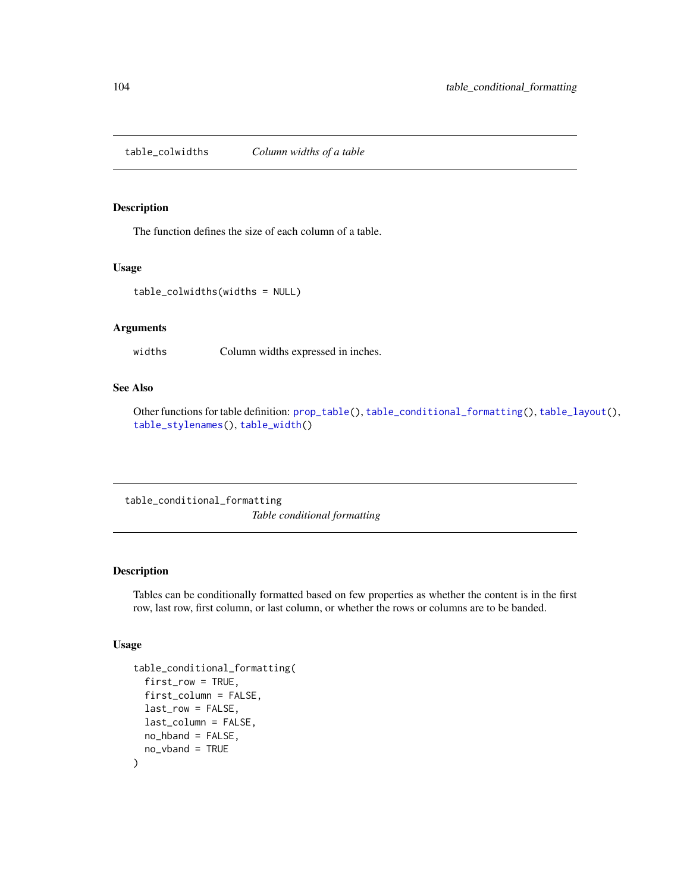<span id="page-103-1"></span>table\_colwidths *Column widths of a table*

#### Description

The function defines the size of each column of a table.

### Usage

```
table_colwidths(widths = NULL)
```
# Arguments

widths Column widths expressed in inches.

## See Also

Other functions for table definition: [prop\\_table\(](#page-80-0)), [table\\_conditional\\_formatting\(](#page-103-0)), [table\\_layout\(](#page-104-0)), [table\\_stylenames\(](#page-105-0)), [table\\_width\(](#page-106-1))

<span id="page-103-0"></span>table\_conditional\_formatting *Table conditional formatting*

### Description

Tables can be conditionally formatted based on few properties as whether the content is in the first row, last row, first column, or last column, or whether the rows or columns are to be banded.

#### Usage

```
table_conditional_formatting(
  first_row = TRUE,
  first_column = FALSE,
  last_row = FALSE,
  last_column = FALSE,
 no_hband = FALSE,
  no_vband = TRUE
)
```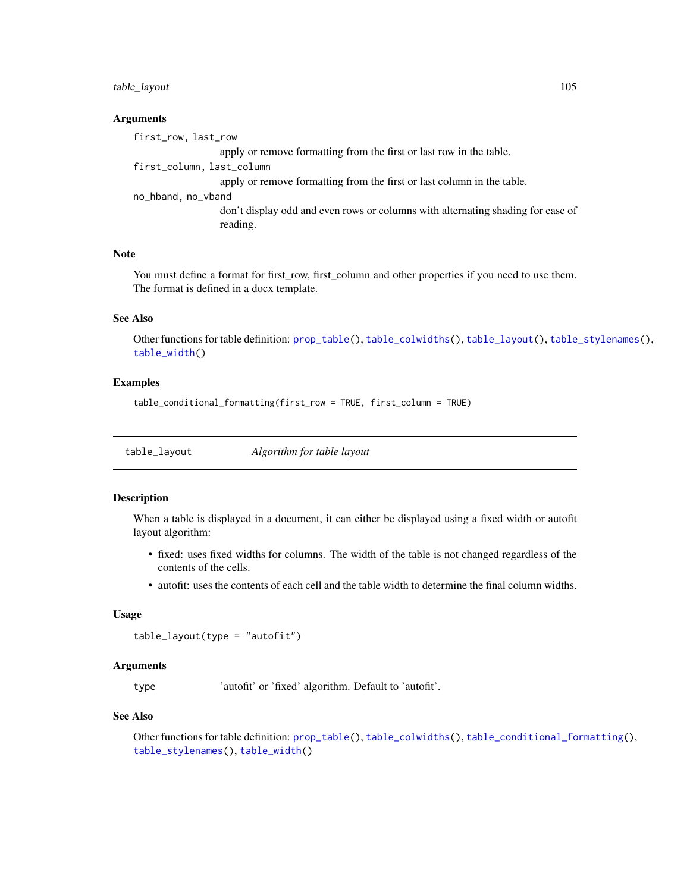# table\_layout 105

#### Arguments

first\_row, last\_row apply or remove formatting from the first or last row in the table. first\_column, last\_column apply or remove formatting from the first or last column in the table. no\_hband, no\_vband don't display odd and even rows or columns with alternating shading for ease of reading.

# Note

You must define a format for first\_row, first\_column and other properties if you need to use them. The format is defined in a docx template.

#### See Also

Other functions for table definition: [prop\\_table\(](#page-80-0)), [table\\_colwidths\(](#page-103-1)), [table\\_layout\(](#page-104-0)), [table\\_stylenames\(](#page-105-0)), [table\\_width\(](#page-106-1))

### Examples

```
table_conditional_formatting(first_row = TRUE, first_column = TRUE)
```
<span id="page-104-0"></span>table\_layout *Algorithm for table layout*

### Description

When a table is displayed in a document, it can either be displayed using a fixed width or autofit layout algorithm:

- fixed: uses fixed widths for columns. The width of the table is not changed regardless of the contents of the cells.
- autofit: uses the contents of each cell and the table width to determine the final column widths.

#### Usage

```
table_layout(type = "autofit")
```
#### Arguments

type 'autofit' or 'fixed' algorithm. Default to 'autofit'.

#### See Also

Other functions for table definition: [prop\\_table\(](#page-80-0)), [table\\_colwidths\(](#page-103-1)), [table\\_conditional\\_formatting\(](#page-103-0)), [table\\_stylenames\(](#page-105-0)), [table\\_width\(](#page-106-1))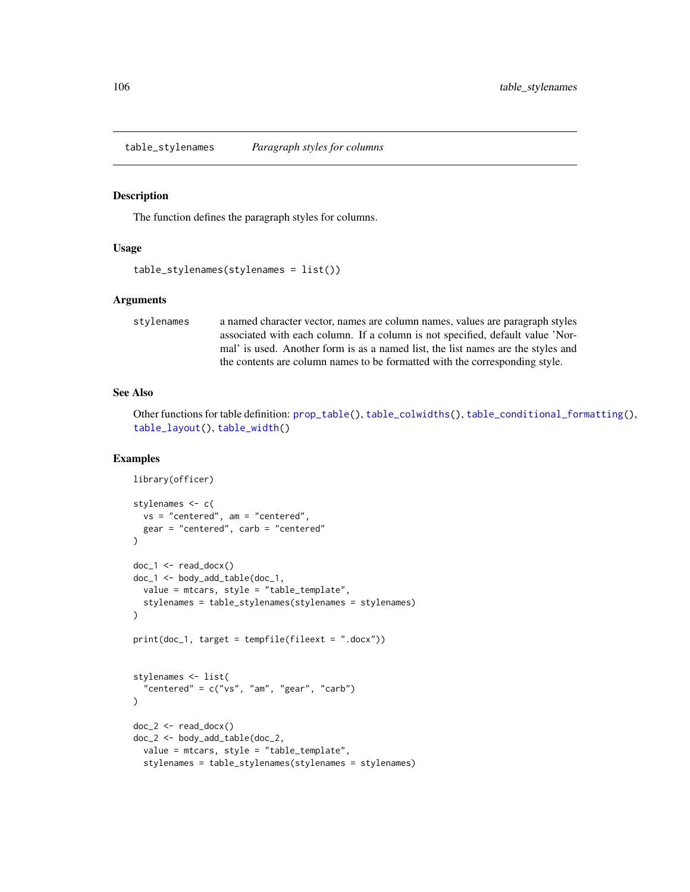<span id="page-105-0"></span>table\_stylenames *Paragraph styles for columns*

#### Description

The function defines the paragraph styles for columns.

# Usage

```
table_stylenames(stylenames = list())
```
#### Arguments

stylenames a named character vector, names are column names, values are paragraph styles associated with each column. If a column is not specified, default value 'Normal' is used. Another form is as a named list, the list names are the styles and the contents are column names to be formatted with the corresponding style.

#### See Also

Other functions for table definition: [prop\\_table\(](#page-80-0)), [table\\_colwidths\(](#page-103-1)), [table\\_conditional\\_formatting\(](#page-103-0)), [table\\_layout\(](#page-104-0)), [table\\_width\(](#page-106-1))

```
library(officer)
stylenames <- c(
  vs = "centered", am = "centered",gear = "centered", carb = "centered"
)
doc_1 < - read_docx()
doc_1 <- body_add_table(doc_1,
  value = mtcars, style = "table_template",
  stylenames = table_stylenames(stylenames = stylenames)
)
print(doc_1, target = tempfile(fileext = ".docx"))
stylenames <- list(
  "centered" = c("vs", "am", "gear", "carb")
)
doc_2 < - read\_docx()doc_2 <- body_add_table(doc_2,
  value = mtcars, style = "table_template",
  stylenames = table_stylenames(stylenames = stylenames)
```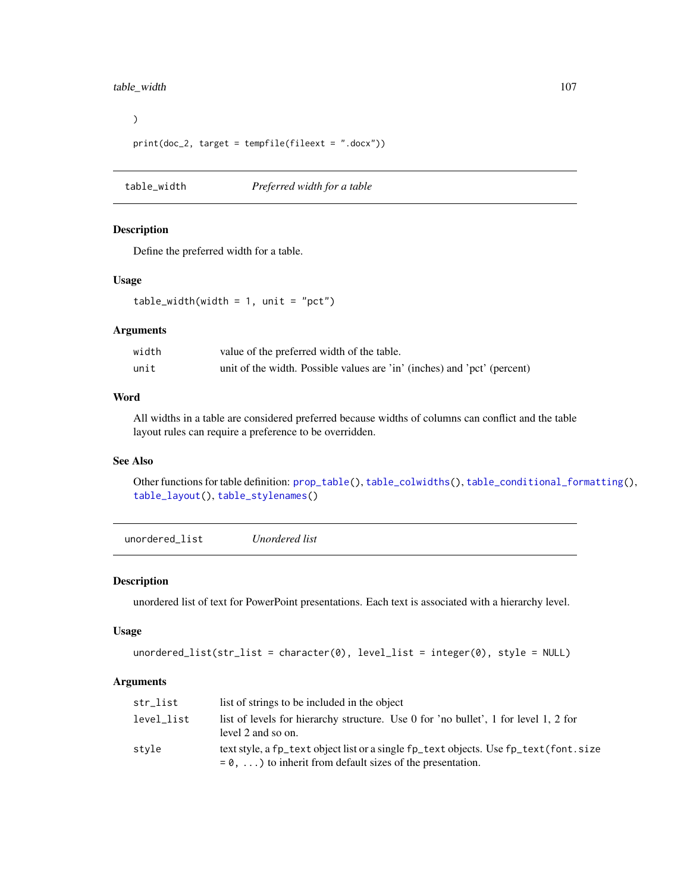# table\_width 107

```
\overline{)}print(doc_2, target = tempfile(fileext = ".docx"))
```
<span id="page-106-1"></span>table\_width *Preferred width for a table*

## Description

Define the preferred width for a table.

# Usage

 $table\_width(width = 1, unit = "pot")$ 

### Arguments

| width | value of the preferred width of the table.                               |
|-------|--------------------------------------------------------------------------|
| unit  | unit of the width. Possible values are 'in' (inches) and 'pct' (percent) |

# Word

All widths in a table are considered preferred because widths of columns can conflict and the table layout rules can require a preference to be overridden.

### See Also

Other functions for table definition: [prop\\_table\(](#page-80-0)), [table\\_colwidths\(](#page-103-1)), [table\\_conditional\\_formatting\(](#page-103-0)), [table\\_layout\(](#page-104-0)), [table\\_stylenames\(](#page-105-0))

<span id="page-106-0"></span>unordered\_list *Unordered list*

### Description

unordered list of text for PowerPoint presentations. Each text is associated with a hierarchy level.

### Usage

```
undered\_list(str\_list = character(0), level\_list = integer(0), style = NULL)
```
# Arguments

| str_list   | list of strings to be included in the object                                                                                                                 |
|------------|--------------------------------------------------------------------------------------------------------------------------------------------------------------|
| level list | list of levels for hierarchy structure. Use 0 for 'no bullet', 1 for level 1, 2 for<br>level 2 and so on.                                                    |
| style      | text style, a fp_text object list or a single fp_text objects. Use fp_text (font. size<br>$= 0, \ldots$ ) to inherit from default sizes of the presentation. |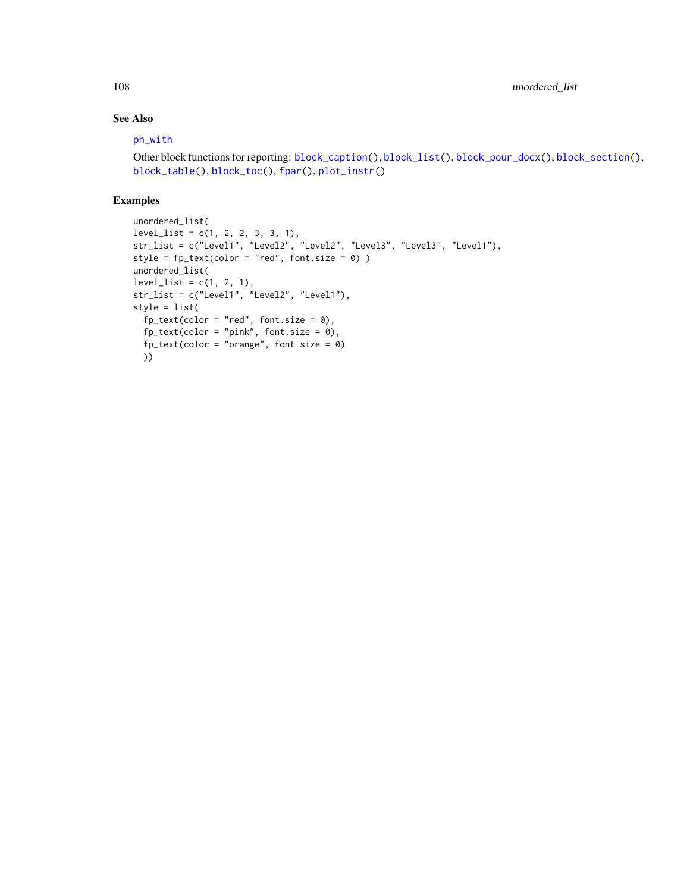# See Also

#### [ph\\_with](#page-71-0)

```
Other block functions for reporting: block_caption(), block_list(), block_pour_docx(), block_section(),
block_table(), block_toc(), fpar(), plot_instr()
```

```
unordered_list(
level_list = c(1, 2, 2, 3, 3, 1),str_list = c("Level1", "Level2", "Level2", "Level3", "Level3", "Level1"),
style = f<sub>p</sub>text(color = "red", font.size = 0))
unordered_list(
level_list = c(1, 2, 1),str_list = c("Level1", "Level2", "Level1"),
style = list(
  fp_{text{(color = "red", font.size = 0)},fp\_text(color = "pink", font.size = 0),fp_text(color = "orange", font.size = 0)
  ))
```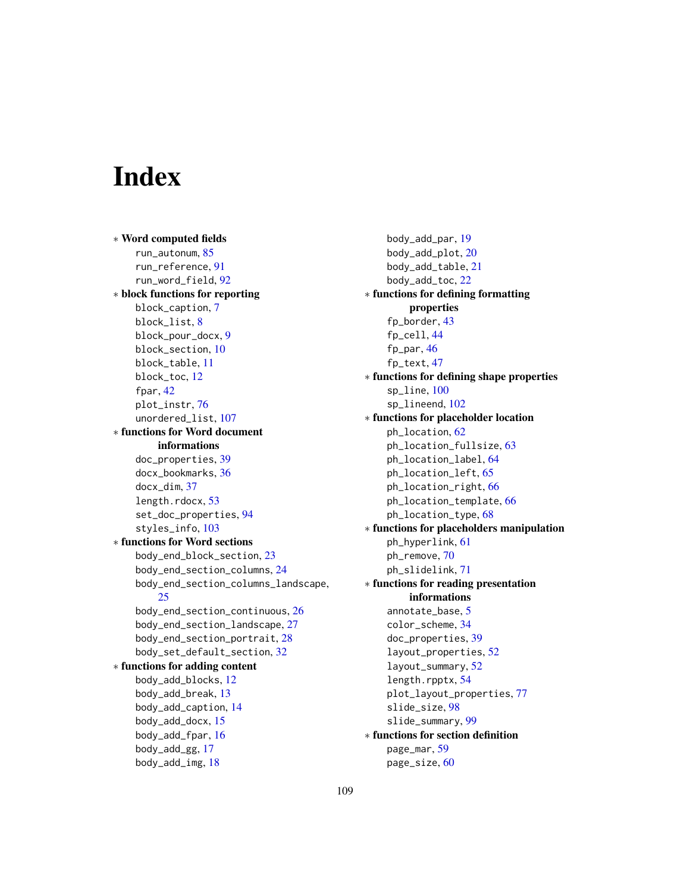## **Index**

∗ Word computed fields run\_autonum, [85](#page-84-0) run\_reference, [91](#page-90-0) run\_word\_field, [92](#page-91-0) ∗ block functions for reporting block\_caption, [7](#page-6-0) block\_list, [8](#page-7-0) block\_pour\_docx, [9](#page-8-0) block\_section, [10](#page-9-0) block\_table, [11](#page-10-0) block\_toc, [12](#page-11-0) fpar, [42](#page-41-0) plot\_instr, [76](#page-75-0) unordered\_list, [107](#page-106-0) ∗ functions for Word document informations doc\_properties, [39](#page-38-0) docx\_bookmarks, [36](#page-35-0) docx\_dim, [37](#page-36-0) length.rdocx, [53](#page-52-0) set\_doc\_properties, [94](#page-93-0) styles\_info, [103](#page-102-0) ∗ functions for Word sections body\_end\_block\_section, [23](#page-22-0) body\_end\_section\_columns, [24](#page-23-0) body\_end\_section\_columns\_landscape, [25](#page-24-0) body\_end\_section\_continuous, [26](#page-25-0) body\_end\_section\_landscape, [27](#page-26-0) body\_end\_section\_portrait, [28](#page-27-0) body\_set\_default\_section, [32](#page-31-0) ∗ functions for adding content body\_add\_blocks, [12](#page-11-0) body\_add\_break, [13](#page-12-0) body\_add\_caption, [14](#page-13-0) body\_add\_docx, [15](#page-14-0) body\_add\_fpar, [16](#page-15-0) body\_add\_gg, [17](#page-16-0) body\_add\_img, [18](#page-17-0)

body\_add\_par, [19](#page-18-0) body\_add\_plot, [20](#page-19-0) body\_add\_table, [21](#page-20-0) body\_add\_toc, [22](#page-21-0) ∗ functions for defining formatting properties fp\_border, [43](#page-42-0) fp\_cell, [44](#page-43-0) fp\_par, [46](#page-45-0) fp\_text, [47](#page-46-0) ∗ functions for defining shape properties sp\_line, [100](#page-99-0) sp lineend, [102](#page-101-0) ∗ functions for placeholder location ph\_location, [62](#page-61-0) ph\_location\_fullsize, [63](#page-62-0) ph\_location\_label, [64](#page-63-0) ph\_location\_left, [65](#page-64-0) ph\_location\_right, [66](#page-65-0) ph\_location\_template, [66](#page-65-0) ph\_location\_type, [68](#page-67-0) ∗ functions for placeholders manipulation ph\_hyperlink, [61](#page-60-0) ph\_remove, [70](#page-69-0) ph\_slidelink, [71](#page-70-0) ∗ functions for reading presentation informations annotate\_base, [5](#page-4-0) color\_scheme, [34](#page-33-0) doc\_properties, [39](#page-38-0) layout\_properties, [52](#page-51-0) layout\_summary, [52](#page-51-0) length.rpptx, [54](#page-53-0) plot\_layout\_properties, [77](#page-76-0) slide\_size, [98](#page-97-0) slide\_summary, [99](#page-98-0) ∗ functions for section definition page\_mar, [59](#page-58-0) page\_size, [60](#page-59-0)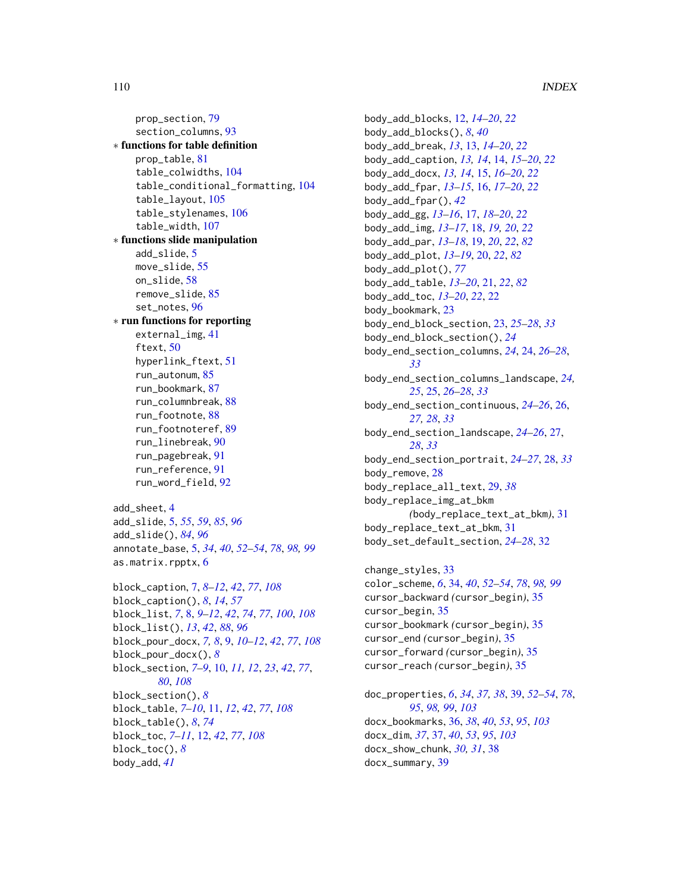prop\_section, [79](#page-78-0) section\_columns, [93](#page-92-0) ∗ functions for table definition prop\_table, [81](#page-80-0) table\_colwidths, [104](#page-103-0) table\_conditional\_formatting, [104](#page-103-0) table\_layout, [105](#page-104-0) table\_stylenames, [106](#page-105-0) table\_width, [107](#page-106-0) ∗ functions slide manipulation add\_slide, [5](#page-4-0) move\_slide, [55](#page-54-0) on\_slide, [58](#page-57-0) remove\_slide, [85](#page-84-0) set\_notes, [96](#page-95-0) ∗ run functions for reporting external\_img, [41](#page-40-0) ftext, [50](#page-49-0) hyperlink\_ftext, [51](#page-50-0) run\_autonum, [85](#page-84-0) run\_bookmark, [87](#page-86-0) run\_columnbreak, [88](#page-87-0) run\_footnote, [88](#page-87-0) run\_footnoteref, [89](#page-88-0) run\_linebreak, [90](#page-89-0) run\_pagebreak, [91](#page-90-0) run\_reference, [91](#page-90-0) run\_word\_field, [92](#page-91-0) add\_sheet, [4](#page-3-0) add\_slide, [5,](#page-4-0) *[55](#page-54-0)*, *[59](#page-58-0)*, *[85](#page-84-0)*, *[96](#page-95-0)* add\_slide(), *[84](#page-83-0)*, *[96](#page-95-0)* annotate\_base, [5,](#page-4-0) *[34](#page-33-0)*, *[40](#page-39-0)*, *[52–](#page-51-0)[54](#page-53-0)*, *[78](#page-77-0)*, *[98,](#page-97-0) [99](#page-98-0)*

```
block_caption, 7, 8–12, 42, 77, 108
block_caption(), 8, 14, 57
block_list, 7, 8, 9–12, 42, 74, 77, 100, 108
block_list(), 13, 42, 88, 96
block_pour_docx, 7, 8, 9, 10–12, 42, 77, 108
block_pour_docx(), 8
block_section, 7–9, 10, 11, 12, 23, 42, 77,
         80, 108
block_section(), 8
block_table, 7–10, 11, 12, 42, 77, 108
block_table(), 8, 74
block_toc, 7–11, 12, 42, 77, 108
block_toc(), 8
body_add, 41
```
as.matrix.rpptx, [6](#page-5-0)

body\_add\_blocks, [12,](#page-11-0) *[14](#page-13-0)[–20](#page-19-0)*, *[22](#page-21-0)* body\_add\_blocks(), *[8](#page-7-0)*, *[40](#page-39-0)* body\_add\_break, *[13](#page-12-0)*, [13,](#page-12-0) *[14](#page-13-0)[–20](#page-19-0)*, *[22](#page-21-0)* body\_add\_caption, *[13,](#page-12-0) [14](#page-13-0)*, [14,](#page-13-0) *[15](#page-14-0)[–20](#page-19-0)*, *[22](#page-21-0)* body\_add\_docx, *[13,](#page-12-0) [14](#page-13-0)*, [15,](#page-14-0) *[16](#page-15-0)[–20](#page-19-0)*, *[22](#page-21-0)* body\_add\_fpar, *[13](#page-12-0)[–15](#page-14-0)*, [16,](#page-15-0) *[17](#page-16-0)[–20](#page-19-0)*, *[22](#page-21-0)* body\_add\_fpar(), *[42](#page-41-0)* body\_add\_gg, *[13](#page-12-0)[–16](#page-15-0)*, [17,](#page-16-0) *[18](#page-17-0)[–20](#page-19-0)*, *[22](#page-21-0)* body\_add\_img, *[13](#page-12-0)[–17](#page-16-0)*, [18,](#page-17-0) *[19,](#page-18-0) [20](#page-19-0)*, *[22](#page-21-0)* body\_add\_par, *[13](#page-12-0)[–18](#page-17-0)*, [19,](#page-18-0) *[20](#page-19-0)*, *[22](#page-21-0)*, *[82](#page-81-0)* body\_add\_plot, *[13](#page-12-0)[–19](#page-18-0)*, [20,](#page-19-0) *[22](#page-21-0)*, *[82](#page-81-0)* body\_add\_plot(), *[77](#page-76-0)* body\_add\_table, *[13](#page-12-0)[–20](#page-19-0)*, [21,](#page-20-0) *[22](#page-21-0)*, *[82](#page-81-0)* body\_add\_toc, *[13](#page-12-0)[–20](#page-19-0)*, *[22](#page-21-0)*, [22](#page-21-0) body\_bookmark, [23](#page-22-0) body\_end\_block\_section, [23,](#page-22-0) *[25](#page-24-0)[–28](#page-27-0)*, *[33](#page-32-0)* body\_end\_block\_section(), *[24](#page-23-0)* body\_end\_section\_columns, *[24](#page-23-0)*, [24,](#page-23-0) *[26](#page-25-0)[–28](#page-27-0)*, *[33](#page-32-0)* body\_end\_section\_columns\_landscape, *[24,](#page-23-0) [25](#page-24-0)*, [25,](#page-24-0) *[26](#page-25-0)[–28](#page-27-0)*, *[33](#page-32-0)* body\_end\_section\_continuous, *[24](#page-23-0)[–26](#page-25-0)*, [26,](#page-25-0) *[27,](#page-26-0) [28](#page-27-0)*, *[33](#page-32-0)* body\_end\_section\_landscape, *[24](#page-23-0)[–26](#page-25-0)*, [27,](#page-26-0) *[28](#page-27-0)*, *[33](#page-32-0)* body\_end\_section\_portrait, *[24](#page-23-0)[–27](#page-26-0)*, [28,](#page-27-0) *[33](#page-32-0)* body\_remove, [28](#page-27-0) body\_replace\_all\_text, [29,](#page-28-0) *[38](#page-37-0)* body\_replace\_img\_at\_bkm *(*body\_replace\_text\_at\_bkm*)*, [31](#page-30-0) body\_replace\_text\_at\_bkm, [31](#page-30-0) body\_set\_default\_section, *[24](#page-23-0)[–28](#page-27-0)*, [32](#page-31-0)

change\_styles, [33](#page-32-0) color\_scheme, *[6](#page-5-0)*, [34,](#page-33-0) *[40](#page-39-0)*, *[52](#page-51-0)[–54](#page-53-0)*, *[78](#page-77-0)*, *[98,](#page-97-0) [99](#page-98-0)* cursor\_backward *(*cursor\_begin*)*, [35](#page-34-0) cursor\_begin, [35](#page-34-0) cursor\_bookmark *(*cursor\_begin*)*, [35](#page-34-0) cursor\_end *(*cursor\_begin*)*, [35](#page-34-0) cursor\_forward *(*cursor\_begin*)*, [35](#page-34-0) cursor\_reach *(*cursor\_begin*)*, [35](#page-34-0)

doc\_properties, *[6](#page-5-0)*, *[34](#page-33-0)*, *[37,](#page-36-0) [38](#page-37-0)*, [39,](#page-38-0) *[52](#page-51-0)[–54](#page-53-0)*, *[78](#page-77-0)*, *[95](#page-94-0)*, *[98,](#page-97-0) [99](#page-98-0)*, *[103](#page-102-0)* docx\_bookmarks, [36,](#page-35-0) *[38](#page-37-0)*, *[40](#page-39-0)*, *[53](#page-52-0)*, *[95](#page-94-0)*, *[103](#page-102-0)* docx\_dim, *[37](#page-36-0)*, [37,](#page-36-0) *[40](#page-39-0)*, *[53](#page-52-0)*, *[95](#page-94-0)*, *[103](#page-102-0)* docx\_show\_chunk, *[30,](#page-29-0) [31](#page-30-0)*, [38](#page-37-0) docx\_summary, [39](#page-38-0)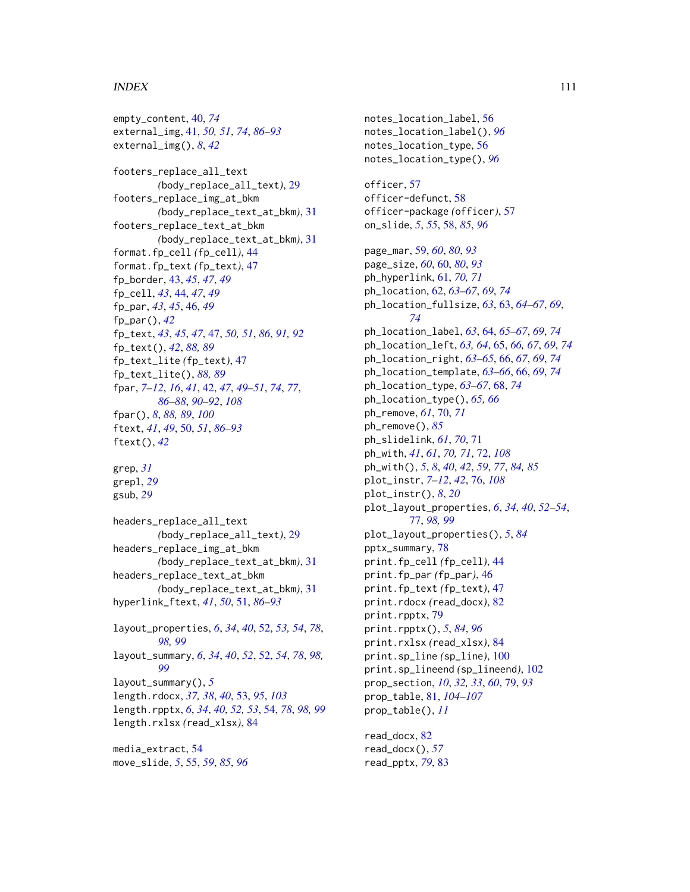## INDEX 111

empty\_content, [40,](#page-39-0) *[74](#page-73-0)* external\_img, [41,](#page-40-0) *[50,](#page-49-0) [51](#page-50-0)*, *[74](#page-73-0)*, *[86–](#page-85-0)[93](#page-92-0)* external\_img(), *[8](#page-7-0)*, *[42](#page-41-0)* footers\_replace\_all\_text *(*body\_replace\_all\_text*)*, [29](#page-28-0) footers\_replace\_img\_at\_bkm *(*body\_replace\_text\_at\_bkm*)*, [31](#page-30-0) footers\_replace\_text\_at\_bkm *(*body\_replace\_text\_at\_bkm*)*, [31](#page-30-0) format.fp\_cell *(*fp\_cell*)*, [44](#page-43-0) format.fp\_text *(*fp\_text*)*, [47](#page-46-0) fp\_border, [43,](#page-42-0) *[45](#page-44-0)*, *[47](#page-46-0)*, *[49](#page-48-0)* fp\_cell, *[43](#page-42-0)*, [44,](#page-43-0) *[47](#page-46-0)*, *[49](#page-48-0)* fp\_par, *[43](#page-42-0)*, *[45](#page-44-0)*, [46,](#page-45-0) *[49](#page-48-0)* fp\_par(), *[42](#page-41-0)* fp\_text, *[43](#page-42-0)*, *[45](#page-44-0)*, *[47](#page-46-0)*, [47,](#page-46-0) *[50,](#page-49-0) [51](#page-50-0)*, *[86](#page-85-0)*, *[91,](#page-90-0) [92](#page-91-0)* fp\_text(), *[42](#page-41-0)*, *[88,](#page-87-0) [89](#page-88-0)* fp\_text\_lite *(*fp\_text*)*, [47](#page-46-0) fp\_text\_lite(), *[88,](#page-87-0) [89](#page-88-0)* fpar, *[7](#page-6-0)[–12](#page-11-0)*, *[16](#page-15-0)*, *[41](#page-40-0)*, [42,](#page-41-0) *[47](#page-46-0)*, *[49–](#page-48-0)[51](#page-50-0)*, *[74](#page-73-0)*, *[77](#page-76-0)*, *[86](#page-85-0)[–88](#page-87-0)*, *[90](#page-89-0)[–92](#page-91-0)*, *[108](#page-107-0)* fpar(), *[8](#page-7-0)*, *[88,](#page-87-0) [89](#page-88-0)*, *[100](#page-99-0)* ftext, *[41](#page-40-0)*, *[49](#page-48-0)*, [50,](#page-49-0) *[51](#page-50-0)*, *[86–](#page-85-0)[93](#page-92-0)* ftext(), *[42](#page-41-0)* grep, *[31](#page-30-0)* grepl, *[29](#page-28-0)* gsub, *[29](#page-28-0)* headers\_replace\_all\_text *(*body\_replace\_all\_text*)*, [29](#page-28-0) headers\_replace\_img\_at\_bkm *(*body\_replace\_text\_at\_bkm*)*, [31](#page-30-0) headers\_replace\_text\_at\_bkm *(*body\_replace\_text\_at\_bkm*)*, [31](#page-30-0) hyperlink\_ftext, *[41](#page-40-0)*, *[50](#page-49-0)*, [51,](#page-50-0) *[86–](#page-85-0)[93](#page-92-0)* layout\_properties, *[6](#page-5-0)*, *[34](#page-33-0)*, *[40](#page-39-0)*, [52,](#page-51-0) *[53,](#page-52-0) [54](#page-53-0)*, *[78](#page-77-0)*, *[98,](#page-97-0) [99](#page-98-0)* layout\_summary, *[6](#page-5-0)*, *[34](#page-33-0)*, *[40](#page-39-0)*, *[52](#page-51-0)*, [52,](#page-51-0) *[54](#page-53-0)*, *[78](#page-77-0)*, *[98,](#page-97-0) [99](#page-98-0)* layout\_summary(), *[5](#page-4-0)* length.rdocx, *[37,](#page-36-0) [38](#page-37-0)*, *[40](#page-39-0)*, [53,](#page-52-0) *[95](#page-94-0)*, *[103](#page-102-0)* length.rpptx, *[6](#page-5-0)*, *[34](#page-33-0)*, *[40](#page-39-0)*, *[52,](#page-51-0) [53](#page-52-0)*, [54,](#page-53-0) *[78](#page-77-0)*, *[98,](#page-97-0) [99](#page-98-0)* length.rxlsx *(*read\_xlsx*)*, [84](#page-83-0) media\_extract, [54](#page-53-0)

move\_slide, *[5](#page-4-0)*, [55,](#page-54-0) *[59](#page-58-0)*, *[85](#page-84-0)*, *[96](#page-95-0)*

notes\_location\_label, [56](#page-55-0) notes\_location\_label(), *[96](#page-95-0)* notes\_location\_type, [56](#page-55-0) notes\_location\_type(), *[96](#page-95-0)*

officer, [57](#page-56-0) officer-defunct, [58](#page-57-0) officer-package *(*officer*)*, [57](#page-56-0) on\_slide, *[5](#page-4-0)*, *[55](#page-54-0)*, [58,](#page-57-0) *[85](#page-84-0)*, *[96](#page-95-0)*

page\_mar, [59,](#page-58-0) *[60](#page-59-0)*, *[80](#page-79-0)*, *[93](#page-92-0)* page\_size, *[60](#page-59-0)*, [60,](#page-59-0) *[80](#page-79-0)*, *[93](#page-92-0)* ph\_hyperlink, [61,](#page-60-0) *[70,](#page-69-0) [71](#page-70-0)* ph\_location, [62,](#page-61-0) *[63](#page-62-0)[–67](#page-66-0)*, *[69](#page-68-0)*, *[74](#page-73-0)* ph\_location\_fullsize, *[63](#page-62-0)*, [63,](#page-62-0) *[64](#page-63-0)[–67](#page-66-0)*, *[69](#page-68-0)*, *[74](#page-73-0)* ph\_location\_label, *[63](#page-62-0)*, [64,](#page-63-0) *[65](#page-64-0)[–67](#page-66-0)*, *[69](#page-68-0)*, *[74](#page-73-0)* ph\_location\_left, *[63,](#page-62-0) [64](#page-63-0)*, [65,](#page-64-0) *[66,](#page-65-0) [67](#page-66-0)*, *[69](#page-68-0)*, *[74](#page-73-0)* ph\_location\_right, *[63](#page-62-0)[–65](#page-64-0)*, [66,](#page-65-0) *[67](#page-66-0)*, *[69](#page-68-0)*, *[74](#page-73-0)* ph\_location\_template, *[63](#page-62-0)[–66](#page-65-0)*, [66,](#page-65-0) *[69](#page-68-0)*, *[74](#page-73-0)* ph\_location\_type, *[63](#page-62-0)[–67](#page-66-0)*, [68,](#page-67-0) *[74](#page-73-0)* ph\_location\_type(), *[65,](#page-64-0) [66](#page-65-0)* ph\_remove, *[61](#page-60-0)*, [70,](#page-69-0) *[71](#page-70-0)* ph\_remove(), *[85](#page-84-0)* ph\_slidelink, *[61](#page-60-0)*, *[70](#page-69-0)*, [71](#page-70-0) ph\_with, *[41](#page-40-0)*, *[61](#page-60-0)*, *[70,](#page-69-0) [71](#page-70-0)*, [72,](#page-71-0) *[108](#page-107-0)* ph\_with(), *[5](#page-4-0)*, *[8](#page-7-0)*, *[40](#page-39-0)*, *[42](#page-41-0)*, *[59](#page-58-0)*, *[77](#page-76-0)*, *[84,](#page-83-0) [85](#page-84-0)* plot\_instr, *[7](#page-6-0)[–12](#page-11-0)*, *[42](#page-41-0)*, [76,](#page-75-0) *[108](#page-107-0)* plot\_instr(), *[8](#page-7-0)*, *[20](#page-19-0)* plot\_layout\_properties, *[6](#page-5-0)*, *[34](#page-33-0)*, *[40](#page-39-0)*, *[52](#page-51-0)[–54](#page-53-0)*, [77,](#page-76-0) *[98,](#page-97-0) [99](#page-98-0)* plot\_layout\_properties(), *[5](#page-4-0)*, *[84](#page-83-0)* pptx\_summary, [78](#page-77-0) print.fp\_cell *(*fp\_cell*)*, [44](#page-43-0) print.fp\_par *(*fp\_par*)*, [46](#page-45-0) print.fp\_text *(*fp\_text*)*, [47](#page-46-0) print.rdocx *(*read\_docx*)*, [82](#page-81-0) print.rpptx, [79](#page-78-0) print.rpptx(), *[5](#page-4-0)*, *[84](#page-83-0)*, *[96](#page-95-0)* print.rxlsx *(*read\_xlsx*)*, [84](#page-83-0) print.sp\_line *(*sp\_line*)*, [100](#page-99-0) print.sp\_lineend *(*sp\_lineend*)*, [102](#page-101-0) prop\_section, *[10](#page-9-0)*, *[32,](#page-31-0) [33](#page-32-0)*, *[60](#page-59-0)*, [79,](#page-78-0) *[93](#page-92-0)* prop\_table, [81,](#page-80-0) *[104](#page-103-0)[–107](#page-106-0)* prop\_table(), *[11](#page-10-0)*

read\_docx, [82](#page-81-0) read\_docx(), *[57](#page-56-0)* read\_pptx, *[79](#page-78-0)*, [83](#page-82-0)